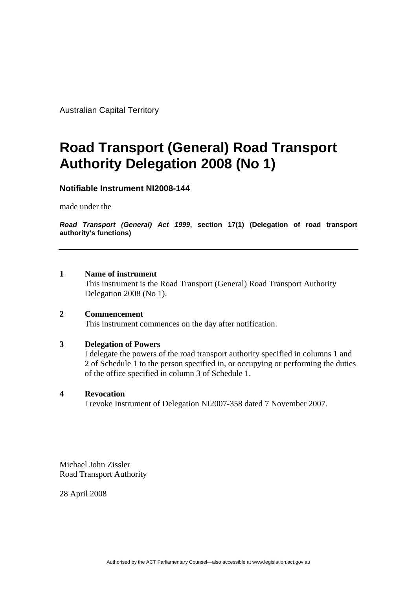Australian Capital Territory

# **Road Transport (General) Road Transport Authority Delegation 2008 (No 1)**

# **Notifiable Instrument NI2008-144**

made under the

*Road Transport (General) Act 1999***, section 17(1) (Delegation of road transport authority's functions)**

#### **1 Name of instrument**

This instrument is the Road Transport (General) Road Transport Authority Delegation 2008 (No 1).

#### **2 Commencement**

This instrument commences on the day after notification.

#### **3 Delegation of Powers**

I delegate the powers of the road transport authority specified in columns 1 and 2 of Schedule 1 to the person specified in, or occupying or performing the duties of the office specified in column 3 of Schedule 1.

#### **4 Revocation**

I revoke Instrument of Delegation NI2007-358 dated 7 November 2007.

Michael John Zissler Road Transport Authority

28 April 2008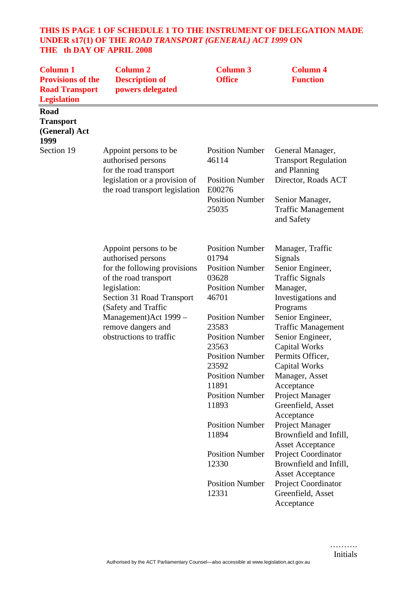# **THIS IS PAGE 1 OF SCHEDULE 1 TO THE INSTRUMENT OF DELEGATION MADE UNDER s17(1) OF THE** *ROAD TRANSPORT (GENERAL) ACT 1999* **ON THE th DAY OF APRIL 2008**

| <b>Column 1</b><br><b>Provisions of the</b><br><b>Road Transport</b><br><b>Legislation</b> | <b>Column 2</b><br><b>Description of</b><br>powers delegated                                                                                                                                                                                               | <b>Column 3</b><br><b>Office</b>                                                                                                                                                                                                                                                     | <b>Column 4</b><br><b>Function</b>                                                                                                                                                                                                                                                                                                |
|--------------------------------------------------------------------------------------------|------------------------------------------------------------------------------------------------------------------------------------------------------------------------------------------------------------------------------------------------------------|--------------------------------------------------------------------------------------------------------------------------------------------------------------------------------------------------------------------------------------------------------------------------------------|-----------------------------------------------------------------------------------------------------------------------------------------------------------------------------------------------------------------------------------------------------------------------------------------------------------------------------------|
| Road<br><b>Transport</b><br>(General) Act<br>1999                                          |                                                                                                                                                                                                                                                            |                                                                                                                                                                                                                                                                                      |                                                                                                                                                                                                                                                                                                                                   |
| Section 19                                                                                 | Appoint persons to be<br>authorised persons<br>for the road transport                                                                                                                                                                                      | <b>Position Number</b><br>46114                                                                                                                                                                                                                                                      | General Manager,<br><b>Transport Regulation</b><br>and Planning                                                                                                                                                                                                                                                                   |
|                                                                                            | legislation or a provision of<br>the road transport legislation                                                                                                                                                                                            | <b>Position Number</b><br>E00276                                                                                                                                                                                                                                                     | Director, Roads ACT                                                                                                                                                                                                                                                                                                               |
|                                                                                            |                                                                                                                                                                                                                                                            | <b>Position Number</b><br>25035                                                                                                                                                                                                                                                      | Senior Manager,<br><b>Traffic Management</b><br>and Safety                                                                                                                                                                                                                                                                        |
|                                                                                            | Appoint persons to be<br>authorised persons<br>for the following provisions<br>of the road transport<br>legislation:<br><b>Section 31 Road Transport</b><br>(Safety and Traffic<br>Management) Act 1999 -<br>remove dangers and<br>obstructions to traffic | <b>Position Number</b><br>01794<br><b>Position Number</b><br>03628<br><b>Position Number</b><br>46701<br><b>Position Number</b><br>23583<br><b>Position Number</b><br>23563<br><b>Position Number</b><br>23592<br><b>Position Number</b><br>11891<br><b>Position Number</b><br>11893 | Manager, Traffic<br>Signals<br>Senior Engineer,<br><b>Traffic Signals</b><br>Manager,<br>Investigations and<br>Programs<br>Senior Engineer,<br><b>Traffic Management</b><br>Senior Engineer,<br><b>Capital Works</b><br>Permits Officer,<br>Capital Works<br>Manager, Asset<br>Acceptance<br>Project Manager<br>Greenfield, Asset |
|                                                                                            |                                                                                                                                                                                                                                                            | <b>Position Number</b><br>11894                                                                                                                                                                                                                                                      | Acceptance<br>Project Manager<br>Brownfield and Infill,<br><b>Asset Acceptance</b>                                                                                                                                                                                                                                                |
|                                                                                            |                                                                                                                                                                                                                                                            | <b>Position Number</b><br>12330                                                                                                                                                                                                                                                      | Project Coordinator<br>Brownfield and Infill,<br><b>Asset Acceptance</b>                                                                                                                                                                                                                                                          |
|                                                                                            |                                                                                                                                                                                                                                                            | <b>Position Number</b><br>12331                                                                                                                                                                                                                                                      | Project Coordinator<br>Greenfield, Asset<br>Acceptance                                                                                                                                                                                                                                                                            |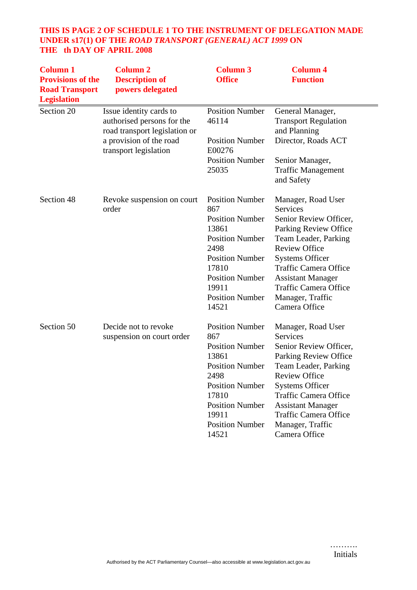# **THIS IS PAGE 2 OF SCHEDULE 1 TO THE INSTRUMENT OF DELEGATION MADE UNDER s17(1) OF THE** *ROAD TRANSPORT (GENERAL) ACT 1999* **ON THE th DAY OF APRIL 2008**

| <b>Column 1</b><br><b>Provisions of the</b><br><b>Road Transport</b><br><b>Legislation</b> | <b>Column 2</b><br><b>Description of</b><br>powers delegated                                                                               | <b>Column 3</b><br><b>Office</b>                                                                                                                                                                            | <b>Column 4</b><br><b>Function</b>                                                                                                                                                                                                                                                                         |
|--------------------------------------------------------------------------------------------|--------------------------------------------------------------------------------------------------------------------------------------------|-------------------------------------------------------------------------------------------------------------------------------------------------------------------------------------------------------------|------------------------------------------------------------------------------------------------------------------------------------------------------------------------------------------------------------------------------------------------------------------------------------------------------------|
| Section 20                                                                                 | Issue identity cards to<br>authorised persons for the<br>road transport legislation or<br>a provision of the road<br>transport legislation | <b>Position Number</b><br>46114<br><b>Position Number</b><br>E00276<br><b>Position Number</b><br>25035                                                                                                      | General Manager,<br><b>Transport Regulation</b><br>and Planning<br>Director, Roads ACT<br>Senior Manager,<br><b>Traffic Management</b>                                                                                                                                                                     |
| Section 48                                                                                 | Revoke suspension on court<br>order                                                                                                        | <b>Position Number</b><br>867<br><b>Position Number</b><br>13861<br><b>Position Number</b><br>2498<br><b>Position Number</b><br>17810<br><b>Position Number</b><br>19911<br><b>Position Number</b><br>14521 | and Safety<br>Manager, Road User<br>Services<br>Senior Review Officer,<br>Parking Review Office<br>Team Leader, Parking<br><b>Review Office</b><br><b>Systems Officer</b><br><b>Traffic Camera Office</b><br><b>Assistant Manager</b><br><b>Traffic Camera Office</b><br>Manager, Traffic<br>Camera Office |
| Section 50                                                                                 | Decide not to revoke<br>suspension on court order                                                                                          | <b>Position Number</b><br>867<br><b>Position Number</b><br>13861<br><b>Position Number</b><br>2498<br><b>Position Number</b><br>17810<br><b>Position Number</b><br>19911<br><b>Position Number</b><br>14521 | Manager, Road User<br>Services<br>Senior Review Officer,<br>Parking Review Office<br>Team Leader, Parking<br><b>Review Office</b><br><b>Systems Officer</b><br><b>Traffic Camera Office</b><br><b>Assistant Manager</b><br><b>Traffic Camera Office</b><br>Manager, Traffic<br>Camera Office               |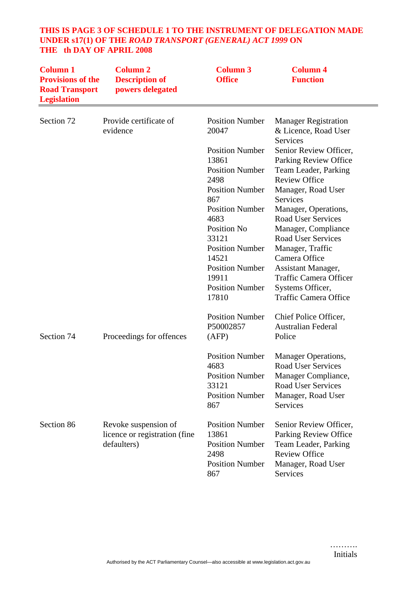| THE th DAY OF APRIL 2008 |          | THIS IS PAGE 3 OF SCHEDULE 1 TO THE INSTRUMENT OF DELEGATION MADE<br>UNDER s17(1) OF THE ROAD TRANSPORT (GENERAL) ACT 1999 ON |            |  |
|--------------------------|----------|-------------------------------------------------------------------------------------------------------------------------------|------------|--|
| Column 1                 | Column 2 | Column 3                                                                                                                      | - Column 4 |  |

| Commun 1<br><b>Provisions of the</b><br><b>Road Transport</b><br><b>Legislation</b> | Социнин 2<br><b>Description of</b><br>powers delegated                | Социни Ј<br><b>Office</b>                                                                          | <b>Function</b>                                                                                                                        |
|-------------------------------------------------------------------------------------|-----------------------------------------------------------------------|----------------------------------------------------------------------------------------------------|----------------------------------------------------------------------------------------------------------------------------------------|
| Section 72                                                                          | Provide certificate of<br>evidence                                    | <b>Position Number</b><br>20047                                                                    | <b>Manager Registration</b><br>& Licence, Road User<br>Services                                                                        |
|                                                                                     |                                                                       | <b>Position Number</b><br>13861<br><b>Position Number</b><br>2498                                  | Senior Review Officer,<br>Parking Review Office<br>Team Leader, Parking<br><b>Review Office</b>                                        |
|                                                                                     |                                                                       | <b>Position Number</b><br>867                                                                      | Manager, Road User<br>Services                                                                                                         |
|                                                                                     |                                                                       | <b>Position Number</b><br>4683                                                                     | Manager, Operations,<br><b>Road User Services</b>                                                                                      |
|                                                                                     |                                                                       | Position No<br>33121<br><b>Position Number</b>                                                     | Manager, Compliance<br><b>Road User Services</b><br>Manager, Traffic                                                                   |
|                                                                                     |                                                                       | 14521<br><b>Position Number</b>                                                                    | Camera Office<br><b>Assistant Manager,</b>                                                                                             |
|                                                                                     |                                                                       | 19911<br><b>Position Number</b><br>17810                                                           | <b>Traffic Camera Officer</b><br>Systems Officer,<br><b>Traffic Camera Office</b>                                                      |
| Section 74                                                                          | Proceedings for offences                                              | <b>Position Number</b><br>P50002857<br>(AFP)                                                       | Chief Police Officer,<br><b>Australian Federal</b><br>Police                                                                           |
|                                                                                     |                                                                       | <b>Position Number</b><br>4683<br><b>Position Number</b><br>33121<br><b>Position Number</b><br>867 | Manager Operations,<br><b>Road User Services</b><br>Manager Compliance,<br>Road User Services<br>Manager, Road User<br><b>Services</b> |
| Section 86                                                                          | Revoke suspension of<br>licence or registration (fine)<br>defaulters) | <b>Position Number</b><br>13861<br><b>Position Number</b><br>2498<br><b>Position Number</b><br>867 | Senior Review Officer,<br>Parking Review Office<br>Team Leader, Parking<br><b>Review Office</b><br>Manager, Road User<br>Services      |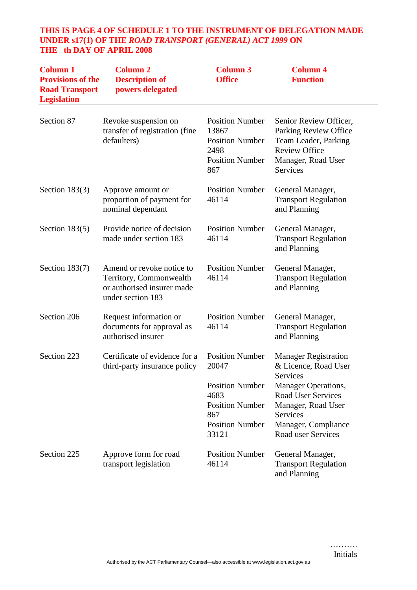# **THIS IS PAGE 4 OF SCHEDULE 1 TO THE INSTRUMENT OF DELEGATION MADE UNDER s17(1) OF THE** *ROAD TRANSPORT (GENERAL) ACT 1999* **ON THE th DAY OF APRIL 2008**

| <b>Column 1</b><br><b>Provisions of the</b><br><b>Road Transport</b><br><b>Legislation</b> | <b>Column 2</b><br><b>Description of</b><br>powers delegated                                            | <b>Column 3</b><br><b>Office</b>                                                                                                      | <b>Column 4</b><br><b>Function</b>                                                                                                                                                                 |
|--------------------------------------------------------------------------------------------|---------------------------------------------------------------------------------------------------------|---------------------------------------------------------------------------------------------------------------------------------------|----------------------------------------------------------------------------------------------------------------------------------------------------------------------------------------------------|
| Section 87                                                                                 | Revoke suspension on<br>transfer of registration (fine<br>defaulters)                                   | <b>Position Number</b><br>13867<br><b>Position Number</b><br>2498<br><b>Position Number</b><br>867                                    | Senior Review Officer,<br>Parking Review Office<br>Team Leader, Parking<br><b>Review Office</b><br>Manager, Road User<br>Services                                                                  |
| Section $183(3)$                                                                           | Approve amount or<br>proportion of payment for<br>nominal dependant                                     | <b>Position Number</b><br>46114                                                                                                       | General Manager,<br><b>Transport Regulation</b><br>and Planning                                                                                                                                    |
| Section $183(5)$                                                                           | Provide notice of decision<br>made under section 183                                                    | <b>Position Number</b><br>46114                                                                                                       | General Manager,<br><b>Transport Regulation</b><br>and Planning                                                                                                                                    |
| Section $183(7)$                                                                           | Amend or revoke notice to<br>Territory, Commonwealth<br>or authorised insurer made<br>under section 183 | <b>Position Number</b><br>46114                                                                                                       | General Manager,<br><b>Transport Regulation</b><br>and Planning                                                                                                                                    |
| Section 206                                                                                | Request information or<br>documents for approval as<br>authorised insurer                               | <b>Position Number</b><br>46114                                                                                                       | General Manager,<br><b>Transport Regulation</b><br>and Planning                                                                                                                                    |
| Section 223                                                                                | Certificate of evidence for a<br>third-party insurance policy                                           | <b>Position Number</b><br>20047<br><b>Position Number</b><br>4683<br><b>Position Number</b><br>867<br><b>Position Number</b><br>33121 | <b>Manager Registration</b><br>& Licence, Road User<br>Services<br>Manager Operations,<br><b>Road User Services</b><br>Manager, Road User<br>Services<br>Manager, Compliance<br>Road user Services |
| Section 225                                                                                | Approve form for road<br>transport legislation                                                          | <b>Position Number</b><br>46114                                                                                                       | General Manager,<br><b>Transport Regulation</b><br>and Planning                                                                                                                                    |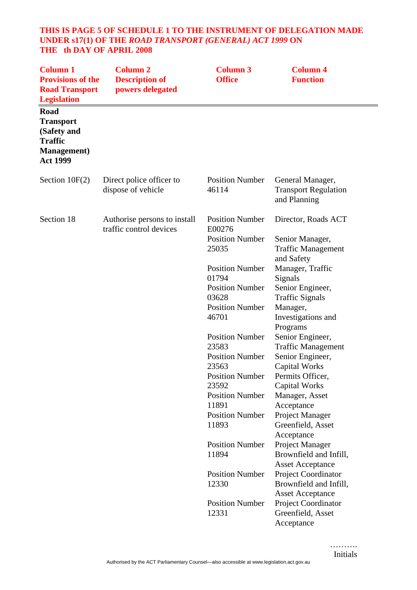#### **THIS IS PAGE 5 OF SCHEDULE 1 TO THE INSTRUMENT OF DELEGATION MADE UNDER s17(1) OF THE** *ROAD TRANSPORT (GENERAL) ACT 1999* **ON THE th DAY OF APRIL 2008**

| <b>Column 1</b><br><b>Provisions of the</b><br><b>Road Transport</b><br><b>Legislation</b>          | <b>Column 2</b><br><b>Description of</b><br>powers delegated | <b>Column 3</b><br><b>Office</b>                                                                                                | <b>Column 4</b><br><b>Function</b>                                                                                                                      |
|-----------------------------------------------------------------------------------------------------|--------------------------------------------------------------|---------------------------------------------------------------------------------------------------------------------------------|---------------------------------------------------------------------------------------------------------------------------------------------------------|
| Road<br><b>Transport</b><br>(Safety and<br><b>Traffic</b><br><b>Management</b> )<br><b>Act 1999</b> |                                                              |                                                                                                                                 |                                                                                                                                                         |
| Section $10F(2)$                                                                                    | Direct police officer to<br>dispose of vehicle               | <b>Position Number</b><br>46114                                                                                                 | General Manager,<br><b>Transport Regulation</b><br>and Planning                                                                                         |
| Section 18                                                                                          | Authorise persons to install<br>traffic control devices      | <b>Position Number</b><br>E00276<br><b>Position Number</b><br>25035                                                             | Director, Roads ACT<br>Senior Manager,<br><b>Traffic Management</b>                                                                                     |
|                                                                                                     |                                                              | <b>Position Number</b><br>01794<br><b>Position Number</b><br>03628<br><b>Position Number</b><br>46701                           | and Safety<br>Manager, Traffic<br>Signals<br>Senior Engineer,<br><b>Traffic Signals</b><br>Manager,<br>Investigations and<br>Programs                   |
|                                                                                                     |                                                              | <b>Position Number</b><br>23583<br><b>Position Number</b><br>23563<br><b>Position Number</b><br>23592<br><b>Position Number</b> | Senior Engineer,<br><b>Traffic Management</b><br>Senior Engineer,<br><b>Capital Works</b><br>Permits Officer,<br><b>Capital Works</b><br>Manager, Asset |
|                                                                                                     |                                                              | 11891<br><b>Position Number</b><br>11893                                                                                        | Acceptance<br>Project Manager<br>Greenfield, Asset<br>Acceptance                                                                                        |
|                                                                                                     |                                                              | <b>Position Number</b><br>11894                                                                                                 | Project Manager<br>Brownfield and Infill,<br><b>Asset Acceptance</b>                                                                                    |
|                                                                                                     |                                                              | <b>Position Number</b><br>12330                                                                                                 | Project Coordinator<br>Brownfield and Infill,<br><b>Asset Acceptance</b>                                                                                |
|                                                                                                     |                                                              | <b>Position Number</b><br>12331                                                                                                 | Project Coordinator<br>Greenfield, Asset<br>Acceptance                                                                                                  |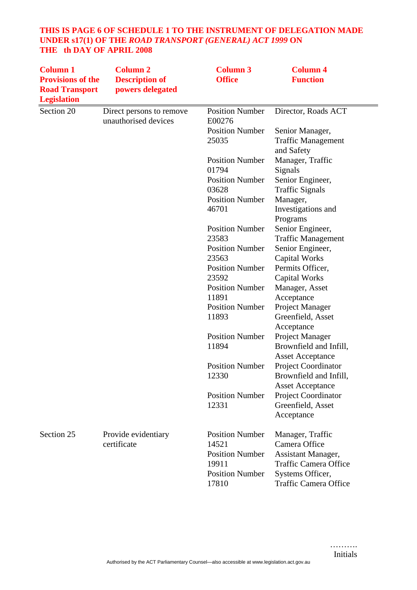# **THIS IS PAGE 6 OF SCHEDULE 1 TO THE INSTRUMENT OF DELEGATION MADE UNDER s17(1) OF THE** *ROAD TRANSPORT (GENERAL) ACT 1999* **ON THE th DAY OF APRIL 2008**

| <b>Column 1</b><br><b>Provisions of the</b><br><b>Road Transport</b><br><b>Legislation</b> | <b>Column 2</b><br><b>Description of</b><br>powers delegated | <b>Column 3</b><br><b>Office</b> | <b>Column 4</b><br><b>Function</b>             |
|--------------------------------------------------------------------------------------------|--------------------------------------------------------------|----------------------------------|------------------------------------------------|
| Section 20                                                                                 | Direct persons to remove<br>unauthorised devices             | <b>Position Number</b><br>E00276 | Director, Roads ACT                            |
|                                                                                            |                                                              | <b>Position Number</b>           | Senior Manager,                                |
|                                                                                            |                                                              | 25035                            | <b>Traffic Management</b><br>and Safety        |
|                                                                                            |                                                              | <b>Position Number</b>           | Manager, Traffic                               |
|                                                                                            |                                                              | 01794                            | Signals                                        |
|                                                                                            |                                                              | <b>Position Number</b>           | Senior Engineer,                               |
|                                                                                            |                                                              | 03628                            | <b>Traffic Signals</b>                         |
|                                                                                            |                                                              | <b>Position Number</b>           | Manager,                                       |
|                                                                                            |                                                              | 46701                            | Investigations and<br>Programs                 |
|                                                                                            |                                                              | <b>Position Number</b>           | Senior Engineer,                               |
|                                                                                            |                                                              | 23583                            | <b>Traffic Management</b>                      |
|                                                                                            |                                                              | <b>Position Number</b>           | Senior Engineer,                               |
|                                                                                            |                                                              | 23563                            | <b>Capital Works</b>                           |
|                                                                                            |                                                              | <b>Position Number</b>           | Permits Officer,                               |
|                                                                                            |                                                              | 23592                            | <b>Capital Works</b>                           |
|                                                                                            |                                                              | <b>Position Number</b>           | Manager, Asset                                 |
|                                                                                            |                                                              | 11891                            | Acceptance                                     |
|                                                                                            |                                                              | <b>Position Number</b>           | Project Manager                                |
|                                                                                            |                                                              | 11893                            | Greenfield, Asset                              |
|                                                                                            |                                                              |                                  | Acceptance                                     |
|                                                                                            |                                                              | <b>Position Number</b><br>11894  | Project Manager                                |
|                                                                                            |                                                              |                                  | Brownfield and Infill,                         |
|                                                                                            |                                                              |                                  | <b>Asset Acceptance</b>                        |
|                                                                                            |                                                              | <b>Position Number</b>           | Project Coordinator                            |
|                                                                                            |                                                              | 12330                            | Brownfield and Infill,                         |
|                                                                                            |                                                              | <b>Position Number</b>           | <b>Asset Acceptance</b><br>Project Coordinator |
|                                                                                            |                                                              | 12331                            | Greenfield, Asset                              |
|                                                                                            |                                                              |                                  | Acceptance                                     |
|                                                                                            |                                                              |                                  |                                                |
| Section 25                                                                                 | Provide evidentiary                                          | <b>Position Number</b>           | Manager, Traffic                               |
|                                                                                            | certificate                                                  | 14521                            | Camera Office                                  |
|                                                                                            |                                                              | <b>Position Number</b>           | Assistant Manager,                             |
|                                                                                            |                                                              | 19911                            | <b>Traffic Camera Office</b>                   |
|                                                                                            |                                                              | <b>Position Number</b>           | Systems Officer,                               |
|                                                                                            |                                                              | 17810                            | <b>Traffic Camera Office</b>                   |
|                                                                                            |                                                              |                                  |                                                |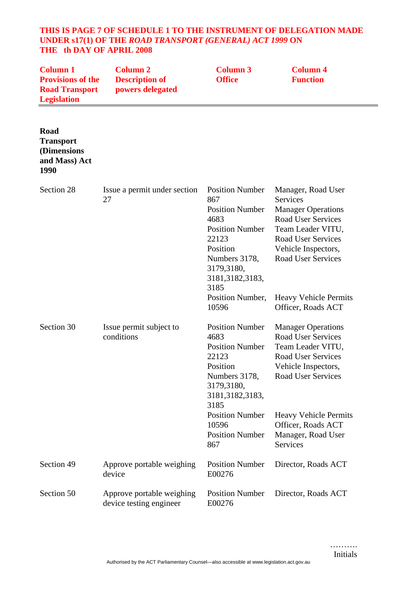#### **THIS IS PAGE 7 OF SCHEDULE 1 TO THE INSTRUMENT OF DELEGATION MADE UNDER s17(1) OF THE** *ROAD TRANSPORT (GENERAL) ACT 1999* **ON THE th DAY OF APRIL 2008**

| <b>Column 1</b><br><b>Provisions of the</b><br><b>Road Transport</b><br><b>Legislation</b> | <b>Column 2</b><br><b>Description of</b><br>powers delegated | <b>Column 3</b><br><b>Office</b>                                                                                                                                           | <b>Column 4</b><br><b>Function</b>                                                                                                                                                             |
|--------------------------------------------------------------------------------------------|--------------------------------------------------------------|----------------------------------------------------------------------------------------------------------------------------------------------------------------------------|------------------------------------------------------------------------------------------------------------------------------------------------------------------------------------------------|
| Road<br><b>Transport</b><br>(Dimensions<br>and Mass) Act<br>1990                           |                                                              |                                                                                                                                                                            |                                                                                                                                                                                                |
| Section 28                                                                                 | Issue a permit under section<br>27                           | <b>Position Number</b><br>867<br><b>Position Number</b><br>4683<br><b>Position Number</b><br>22123<br>Position<br>Numbers 3178,<br>3179,3180,<br>3181, 3182, 3183,<br>3185 | Manager, Road User<br><b>Services</b><br><b>Manager Operations</b><br><b>Road User Services</b><br>Team Leader VITU,<br>Road User Services<br>Vehicle Inspectors,<br><b>Road User Services</b> |
|                                                                                            |                                                              | Position Number,<br>10596                                                                                                                                                  | <b>Heavy Vehicle Permits</b><br>Officer, Roads ACT                                                                                                                                             |
| Section 30                                                                                 | Issue permit subject to<br>conditions                        | <b>Position Number</b><br>4683<br><b>Position Number</b><br>22123<br>Position<br>Numbers 3178,<br>3179,3180,<br>3181, 3182, 3183,<br>3185                                  | <b>Manager Operations</b><br>Road User Services<br>Team Leader VITU,<br><b>Road User Services</b><br>Vehicle Inspectors,<br>Road User Services                                                 |
|                                                                                            |                                                              | <b>Position Number</b><br>10596<br><b>Position Number</b><br>867                                                                                                           | <b>Heavy Vehicle Permits</b><br>Officer, Roads ACT<br>Manager, Road User<br>Services                                                                                                           |
| Section 49                                                                                 | Approve portable weighing<br>device                          | <b>Position Number</b><br>E00276                                                                                                                                           | Director, Roads ACT                                                                                                                                                                            |
| Section 50                                                                                 | Approve portable weighing<br>device testing engineer         | <b>Position Number</b><br>E00276                                                                                                                                           | Director, Roads ACT                                                                                                                                                                            |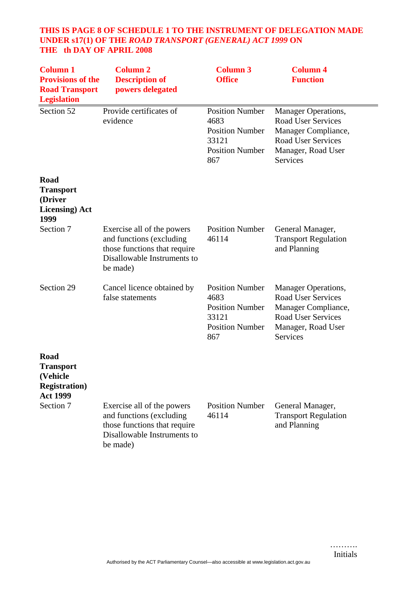# **THIS IS PAGE 8 OF SCHEDULE 1 TO THE INSTRUMENT OF DELEGATION MADE UNDER s17(1) OF THE** *ROAD TRANSPORT (GENERAL) ACT 1999* **ON THE th DAY OF APRIL 2008**

| <b>Column 1</b><br><b>Provisions of the</b><br><b>Road Transport</b><br><b>Legislation</b> | <b>Column 2</b><br><b>Description of</b><br>powers delegated                                                                      | <b>Column 3</b><br><b>Office</b>                                                                   | <b>Column 4</b><br><b>Function</b>                                                                                                                   |
|--------------------------------------------------------------------------------------------|-----------------------------------------------------------------------------------------------------------------------------------|----------------------------------------------------------------------------------------------------|------------------------------------------------------------------------------------------------------------------------------------------------------|
| Section 52                                                                                 | Provide certificates of<br>evidence                                                                                               | <b>Position Number</b><br>4683<br><b>Position Number</b><br>33121<br><b>Position Number</b><br>867 | <b>Manager Operations,</b><br><b>Road User Services</b><br>Manager Compliance,<br><b>Road User Services</b><br>Manager, Road User<br><b>Services</b> |
| Road<br><b>Transport</b><br>(Driver<br><b>Licensing</b> ) Act<br>1999                      |                                                                                                                                   |                                                                                                    |                                                                                                                                                      |
| Section 7                                                                                  | Exercise all of the powers<br>and functions (excluding<br>those functions that require<br>Disallowable Instruments to<br>be made) | <b>Position Number</b><br>46114                                                                    | General Manager,<br><b>Transport Regulation</b><br>and Planning                                                                                      |
| Section 29                                                                                 | Cancel licence obtained by<br>false statements                                                                                    | <b>Position Number</b><br>4683<br><b>Position Number</b><br>33121<br><b>Position Number</b><br>867 | <b>Manager Operations,</b><br><b>Road User Services</b><br>Manager Compliance,<br><b>Road User Services</b><br>Manager, Road User<br>Services        |
| Road<br><b>Transport</b><br>(Vehicle<br><b>Registration</b> )<br><b>Act 1999</b>           |                                                                                                                                   |                                                                                                    |                                                                                                                                                      |
| Section 7                                                                                  | Exercise all of the powers<br>and functions (excluding<br>those functions that require<br>Disallowable Instruments to<br>be made) | <b>Position Number</b><br>46114                                                                    | General Manager,<br><b>Transport Regulation</b><br>and Planning                                                                                      |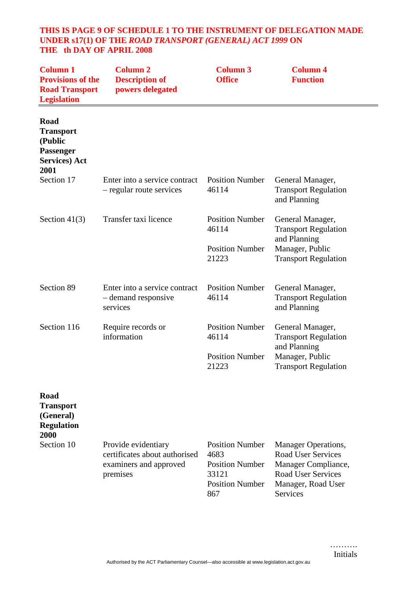#### **THIS IS PAGE 9 OF SCHEDULE 1 TO THE INSTRUMENT OF DELEGATION MADE UNDER s17(1) OF THE** *ROAD TRANSPORT (GENERAL) ACT 1999* **ON THE th DAY OF APRIL 2008**

| <b>Column 1</b><br><b>Provisions of the</b><br><b>Road Transport</b><br><b>Legislation</b> | <b>Column 2</b><br><b>Description of</b><br>powers delegated                               | <b>Column 3</b><br><b>Office</b>                                                                   | <b>Column 4</b><br><b>Function</b>                                                                                                                   |
|--------------------------------------------------------------------------------------------|--------------------------------------------------------------------------------------------|----------------------------------------------------------------------------------------------------|------------------------------------------------------------------------------------------------------------------------------------------------------|
| Road<br><b>Transport</b><br>(Public<br>Passenger<br><b>Services</b> ) Act<br>2001          |                                                                                            |                                                                                                    |                                                                                                                                                      |
| Section 17                                                                                 | Enter into a service contract<br>- regular route services                                  | <b>Position Number</b><br>46114                                                                    | General Manager,<br><b>Transport Regulation</b><br>and Planning                                                                                      |
| Section $41(3)$                                                                            | Transfer taxi licence                                                                      | <b>Position Number</b><br>46114<br><b>Position Number</b><br>21223                                 | General Manager,<br><b>Transport Regulation</b><br>and Planning<br>Manager, Public<br><b>Transport Regulation</b>                                    |
| Section 89                                                                                 | Enter into a service contract<br>- demand responsive<br>services                           | <b>Position Number</b><br>46114                                                                    | General Manager,<br><b>Transport Regulation</b><br>and Planning                                                                                      |
| Section 116                                                                                | Require records or<br>information                                                          | <b>Position Number</b><br>46114<br><b>Position Number</b><br>21223                                 | General Manager,<br><b>Transport Regulation</b><br>and Planning<br>Manager, Public<br><b>Transport Regulation</b>                                    |
| <b>Road</b><br><b>Transport</b><br>(General)<br><b>Regulation</b><br>2000                  |                                                                                            |                                                                                                    |                                                                                                                                                      |
| Section 10                                                                                 | Provide evidentiary<br>certificates about authorised<br>examiners and approved<br>premises | <b>Position Number</b><br>4683<br><b>Position Number</b><br>33121<br><b>Position Number</b><br>867 | <b>Manager Operations,</b><br><b>Road User Services</b><br>Manager Compliance,<br><b>Road User Services</b><br>Manager, Road User<br><b>Services</b> |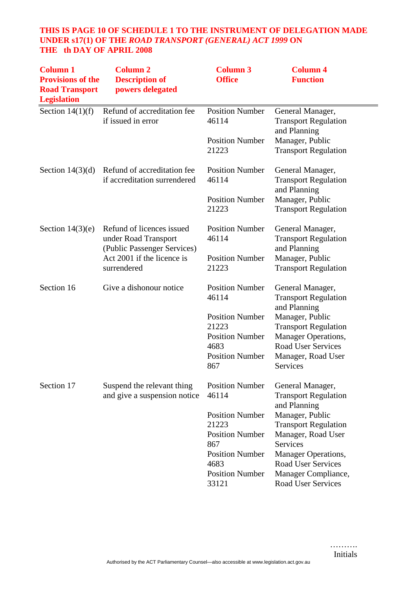# **THIS IS PAGE 10 OF SCHEDULE 1 TO THE INSTRUMENT OF DELEGATION MADE UNDER s17(1) OF THE** *ROAD TRANSPORT (GENERAL) ACT 1999* **ON THE th DAY OF APRIL 2008**

| <b>Column 1</b><br><b>Provisions of the</b><br><b>Road Transport</b><br><b>Legislation</b> | <b>Column 2</b><br><b>Description of</b><br>powers delegated                     | <b>Column 3</b><br><b>Office</b> | <b>Column 4</b><br><b>Function</b>                              |
|--------------------------------------------------------------------------------------------|----------------------------------------------------------------------------------|----------------------------------|-----------------------------------------------------------------|
| Section $14(1)(f)$                                                                         | Refund of accreditation fee<br>if issued in error                                | <b>Position Number</b><br>46114  | General Manager,<br><b>Transport Regulation</b><br>and Planning |
|                                                                                            |                                                                                  | <b>Position Number</b><br>21223  | Manager, Public<br><b>Transport Regulation</b>                  |
| Section $14(3)(d)$                                                                         | Refund of accreditation fee<br>if accreditation surrendered                      | <b>Position Number</b><br>46114  | General Manager,<br><b>Transport Regulation</b><br>and Planning |
|                                                                                            |                                                                                  | <b>Position Number</b><br>21223  | Manager, Public<br><b>Transport Regulation</b>                  |
| Section $14(3)(e)$                                                                         | Refund of licences issued<br>under Road Transport<br>(Public Passenger Services) | <b>Position Number</b><br>46114  | General Manager,<br><b>Transport Regulation</b><br>and Planning |
|                                                                                            | Act 2001 if the licence is<br>surrendered                                        | <b>Position Number</b><br>21223  | Manager, Public<br><b>Transport Regulation</b>                  |
| Section 16                                                                                 | Give a dishonour notice                                                          | <b>Position Number</b><br>46114  | General Manager,<br><b>Transport Regulation</b><br>and Planning |
|                                                                                            |                                                                                  | <b>Position Number</b><br>21223  | Manager, Public<br><b>Transport Regulation</b>                  |
|                                                                                            |                                                                                  | <b>Position Number</b><br>4683   | <b>Manager Operations,</b><br><b>Road User Services</b>         |
|                                                                                            |                                                                                  | <b>Position Number</b><br>867    | Manager, Road User<br>Services                                  |
| Section 17                                                                                 | Suspend the relevant thing<br>and give a suspension notice                       | <b>Position Number</b><br>46114  | General Manager,<br><b>Transport Regulation</b><br>and Planning |
|                                                                                            |                                                                                  | <b>Position Number</b>           | Manager, Public                                                 |
|                                                                                            |                                                                                  | 21223<br><b>Position Number</b>  | <b>Transport Regulation</b><br>Manager, Road User               |
|                                                                                            |                                                                                  | 867<br><b>Position Number</b>    | <b>Services</b><br>Manager Operations,                          |
|                                                                                            |                                                                                  | 4683<br><b>Position Number</b>   | <b>Road User Services</b>                                       |
|                                                                                            |                                                                                  | 33121                            | Manager Compliance,<br>Road User Services                       |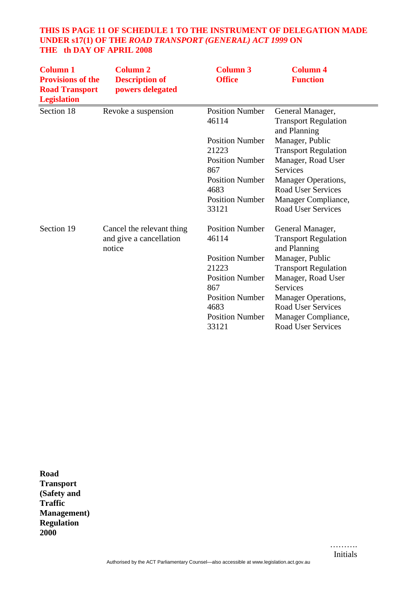# **THIS IS PAGE 11 OF SCHEDULE 1 TO THE INSTRUMENT OF DELEGATION MADE UNDER s17(1) OF THE** *ROAD TRANSPORT (GENERAL) ACT 1999* **ON THE th DAY OF APRIL 2008**

| <b>Column 1</b><br><b>Provisions of the</b><br><b>Road Transport</b><br><b>Legislation</b> | <b>Column 2</b><br><b>Description of</b><br>powers delegated   | <b>Column 3</b><br><b>Office</b>                          | <b>Column 4</b><br><b>Function</b>                                            |
|--------------------------------------------------------------------------------------------|----------------------------------------------------------------|-----------------------------------------------------------|-------------------------------------------------------------------------------|
| Section 18                                                                                 | Revoke a suspension                                            | <b>Position Number</b><br>46114                           | General Manager,<br><b>Transport Regulation</b><br>and Planning               |
|                                                                                            |                                                                | <b>Position Number</b><br>21223                           | Manager, Public<br><b>Transport Regulation</b>                                |
|                                                                                            |                                                                | <b>Position Number</b><br>867<br><b>Position Number</b>   | Manager, Road User<br><b>Services</b><br>Manager Operations,                  |
|                                                                                            |                                                                | 4683<br><b>Position Number</b><br>33121                   | <b>Road User Services</b><br>Manager Compliance,<br><b>Road User Services</b> |
| Section 19                                                                                 | Cancel the relevant thing<br>and give a cancellation<br>notice | <b>Position Number</b><br>46114                           | General Manager,<br><b>Transport Regulation</b><br>and Planning               |
|                                                                                            |                                                                | <b>Position Number</b><br>21223<br><b>Position Number</b> | Manager, Public<br><b>Transport Regulation</b><br>Manager, Road User          |
|                                                                                            |                                                                | 867<br><b>Position Number</b><br>4683                     | <b>Services</b><br>Manager Operations,<br><b>Road User Services</b>           |
|                                                                                            |                                                                | <b>Position Number</b><br>33121                           | Manager Compliance,<br><b>Road User Services</b>                              |

**Road Transport (Safety and Traffic Management) Regulation 2000**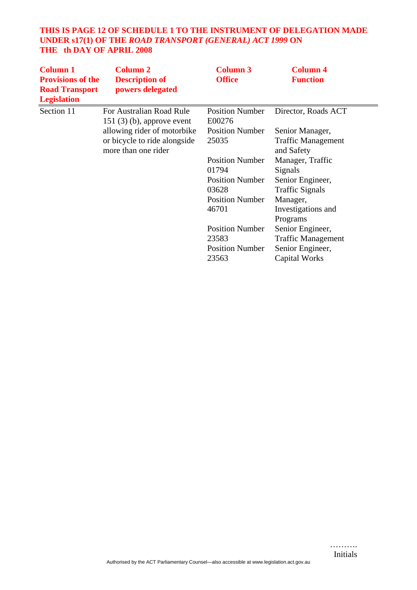# **THIS IS PAGE 12 OF SCHEDULE 1 TO THE INSTRUMENT OF DELEGATION MADE UNDER s17(1) OF THE** *ROAD TRANSPORT (GENERAL) ACT 1999* **ON THE th DAY OF APRIL 2008**

| <b>Column 1</b><br><b>Provisions of the</b><br><b>Road Transport</b><br><b>Legislation</b> | <b>Column 2</b><br><b>Description of</b><br>powers delegated                       | <b>Column 3</b><br><b>Office</b>                                                                                                                                                                               | <b>Column 4</b><br><b>Function</b>                                                                                                                                                                                                                                          |
|--------------------------------------------------------------------------------------------|------------------------------------------------------------------------------------|----------------------------------------------------------------------------------------------------------------------------------------------------------------------------------------------------------------|-----------------------------------------------------------------------------------------------------------------------------------------------------------------------------------------------------------------------------------------------------------------------------|
| Section 11                                                                                 | For Australian Road Rule<br>$151(3)(b)$ , approve event                            | <b>Position Number</b><br>E00276                                                                                                                                                                               | Director, Roads ACT                                                                                                                                                                                                                                                         |
|                                                                                            | allowing rider of motorbike<br>or bicycle to ride alongside<br>more than one rider | <b>Position Number</b><br>25035<br><b>Position Number</b><br>01794<br><b>Position Number</b><br>03628<br><b>Position Number</b><br>46701<br><b>Position Number</b><br>23583<br><b>Position Number</b><br>23563 | Senior Manager,<br><b>Traffic Management</b><br>and Safety<br>Manager, Traffic<br>Signals<br>Senior Engineer,<br><b>Traffic Signals</b><br>Manager,<br>Investigations and<br>Programs<br>Senior Engineer,<br><b>Traffic Management</b><br>Senior Engineer,<br>Capital Works |

……….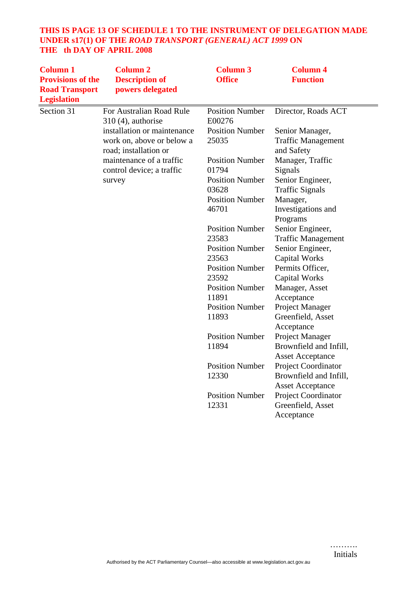# **THIS IS PAGE 13 OF SCHEDULE 1 TO THE INSTRUMENT OF DELEGATION MADE UNDER s17(1) OF THE** *ROAD TRANSPORT (GENERAL) ACT 1999* **ON THE th DAY OF APRIL 2008**

| <b>Column 1</b><br><b>Provisions of the</b><br><b>Road Transport</b><br><b>Legislation</b> | <b>Column 2</b><br><b>Description of</b><br>powers delegated                                                  | <b>Column 3</b><br><b>Office</b>                          | <b>Column 4</b><br><b>Function</b>                                             |
|--------------------------------------------------------------------------------------------|---------------------------------------------------------------------------------------------------------------|-----------------------------------------------------------|--------------------------------------------------------------------------------|
| Section 31                                                                                 | For Australian Road Rule<br>$310(4)$ , authorise                                                              | <b>Position Number</b><br>E00276                          | Director, Roads ACT                                                            |
|                                                                                            | installation or maintenance<br>work on, above or below a<br>road; installation or<br>maintenance of a traffic | <b>Position Number</b><br>25035<br><b>Position Number</b> | Senior Manager,<br><b>Traffic Management</b><br>and Safety<br>Manager, Traffic |
|                                                                                            | control device; a traffic<br>survey                                                                           | 01794<br><b>Position Number</b>                           | Signals<br>Senior Engineer,                                                    |
|                                                                                            |                                                                                                               | 03628<br><b>Position Number</b><br>46701                  | <b>Traffic Signals</b><br>Manager,<br>Investigations and<br>Programs           |
|                                                                                            |                                                                                                               | <b>Position Number</b><br>23583<br><b>Position Number</b> | Senior Engineer,<br><b>Traffic Management</b><br>Senior Engineer,              |
|                                                                                            |                                                                                                               | 23563<br><b>Position Number</b><br>23592                  | <b>Capital Works</b><br>Permits Officer,<br><b>Capital Works</b>               |
|                                                                                            |                                                                                                               | <b>Position Number</b><br>11891                           | Manager, Asset<br>Acceptance                                                   |
|                                                                                            |                                                                                                               | <b>Position Number</b><br>11893                           | Project Manager<br>Greenfield, Asset<br>Acceptance                             |
|                                                                                            |                                                                                                               | <b>Position Number</b><br>11894                           | Project Manager<br>Brownfield and Infill,<br><b>Asset Acceptance</b>           |
|                                                                                            |                                                                                                               | <b>Position Number</b><br>12330                           | Project Coordinator<br>Brownfield and Infill,<br><b>Asset Acceptance</b>       |
|                                                                                            |                                                                                                               | <b>Position Number</b><br>12331                           | Project Coordinator<br>Greenfield, Asset<br>Acceptance                         |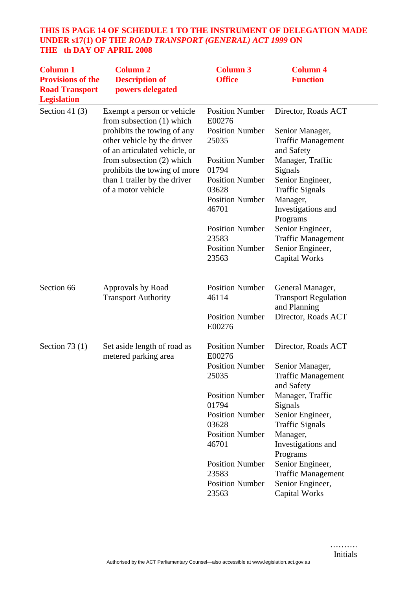# **THIS IS PAGE 14 OF SCHEDULE 1 TO THE INSTRUMENT OF DELEGATION MADE UNDER s17(1) OF THE** *ROAD TRANSPORT (GENERAL) ACT 1999* **ON THE th DAY OF APRIL 2008**

| <b>Column 1</b><br><b>Provisions of the</b><br><b>Road Transport</b><br><b>Legislation</b> | <b>Column 2</b><br><b>Description of</b><br>powers delegated                                | <b>Column 3</b><br><b>Office</b> | <b>Column 4</b><br><b>Function</b>                              |
|--------------------------------------------------------------------------------------------|---------------------------------------------------------------------------------------------|----------------------------------|-----------------------------------------------------------------|
| Section 41 $(3)$                                                                           | Exempt a person or vehicle<br>from subsection (1) which                                     | <b>Position Number</b><br>E00276 | Director, Roads ACT                                             |
|                                                                                            | prohibits the towing of any<br>other vehicle by the driver<br>of an articulated vehicle, or | <b>Position Number</b><br>25035  | Senior Manager,<br><b>Traffic Management</b><br>and Safety      |
|                                                                                            | from subsection (2) which<br>prohibits the towing of more                                   | <b>Position Number</b><br>01794  | Manager, Traffic<br>Signals                                     |
|                                                                                            | than 1 trailer by the driver<br>of a motor vehicle                                          | <b>Position Number</b><br>03628  | Senior Engineer,<br><b>Traffic Signals</b>                      |
|                                                                                            |                                                                                             | <b>Position Number</b><br>46701  | Manager,<br>Investigations and<br>Programs                      |
|                                                                                            |                                                                                             | <b>Position Number</b><br>23583  | Senior Engineer,<br><b>Traffic Management</b>                   |
|                                                                                            |                                                                                             | <b>Position Number</b><br>23563  | Senior Engineer,<br><b>Capital Works</b>                        |
| Section 66                                                                                 | Approvals by Road<br><b>Transport Authority</b>                                             | <b>Position Number</b><br>46114  | General Manager,<br><b>Transport Regulation</b><br>and Planning |
|                                                                                            |                                                                                             | <b>Position Number</b><br>E00276 | Director, Roads ACT                                             |
| Section 73 $(1)$                                                                           | Set aside length of road as<br>metered parking area                                         | <b>Position Number</b><br>E00276 | Director, Roads ACT                                             |
|                                                                                            |                                                                                             | <b>Position Number</b><br>25035  | Senior Manager,<br><b>Traffic Management</b><br>and Safety      |
|                                                                                            |                                                                                             | <b>Position Number</b><br>01794  | Manager, Traffic<br>Signals                                     |
|                                                                                            |                                                                                             | <b>Position Number</b><br>03628  | Senior Engineer,<br><b>Traffic Signals</b>                      |
|                                                                                            |                                                                                             | <b>Position Number</b><br>46701  | Manager,<br>Investigations and<br>Programs                      |
|                                                                                            |                                                                                             | <b>Position Number</b><br>23583  | Senior Engineer,<br><b>Traffic Management</b>                   |
|                                                                                            |                                                                                             | <b>Position Number</b><br>23563  | Senior Engineer,<br><b>Capital Works</b>                        |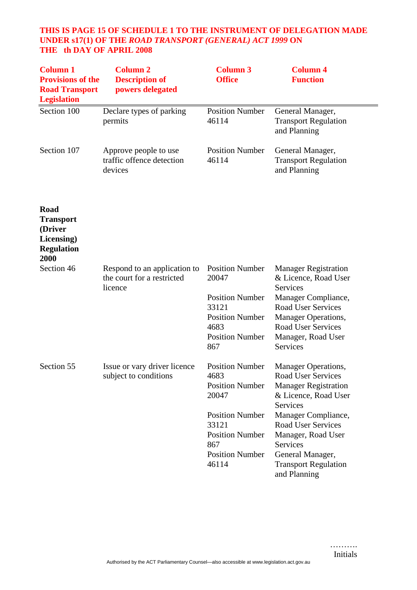# **THIS IS PAGE 15 OF SCHEDULE 1 TO THE INSTRUMENT OF DELEGATION MADE UNDER s17(1) OF THE** *ROAD TRANSPORT (GENERAL) ACT 1999* **ON THE th DAY OF APRIL 2008**

| <b>Column 1</b><br><b>Provisions of the</b><br><b>Road Transport</b><br><b>Legislation</b> | <b>Column 2</b><br><b>Description of</b><br>powers delegated          | <b>Column 3</b><br><b>Office</b>                                                                                                                                         | <b>Column 4</b><br><b>Function</b>                                                                                                                                                                                                                                    |
|--------------------------------------------------------------------------------------------|-----------------------------------------------------------------------|--------------------------------------------------------------------------------------------------------------------------------------------------------------------------|-----------------------------------------------------------------------------------------------------------------------------------------------------------------------------------------------------------------------------------------------------------------------|
| Section 100                                                                                | Declare types of parking<br>permits                                   | <b>Position Number</b><br>46114                                                                                                                                          | General Manager,<br><b>Transport Regulation</b><br>and Planning                                                                                                                                                                                                       |
| Section 107                                                                                | Approve people to use<br>traffic offence detection<br>devices         | <b>Position Number</b><br>46114                                                                                                                                          | General Manager,<br><b>Transport Regulation</b><br>and Planning                                                                                                                                                                                                       |
| Road<br><b>Transport</b><br>(Driver<br>Licensing)<br><b>Regulation</b><br>2000             |                                                                       |                                                                                                                                                                          |                                                                                                                                                                                                                                                                       |
| Section 46                                                                                 | Respond to an application to<br>the court for a restricted<br>licence | <b>Position Number</b><br>20047<br><b>Position Number</b><br>33121<br><b>Position Number</b><br>4683<br><b>Position Number</b><br>867                                    | <b>Manager Registration</b><br>& Licence, Road User<br>Services<br>Manager Compliance,<br><b>Road User Services</b><br>Manager Operations,<br><b>Road User Services</b><br>Manager, Road User<br>Services                                                             |
| Section 55                                                                                 | Issue or vary driver licence<br>subject to conditions                 | <b>Position Number</b><br>4683<br><b>Position Number</b><br>20047<br><b>Position Number</b><br>33121<br><b>Position Number</b><br>867<br><b>Position Number</b><br>46114 | Manager Operations,<br>Road User Services<br><b>Manager Registration</b><br>& Licence, Road User<br>Services<br>Manager Compliance,<br><b>Road User Services</b><br>Manager, Road User<br>Services<br>General Manager,<br><b>Transport Regulation</b><br>and Planning |

……….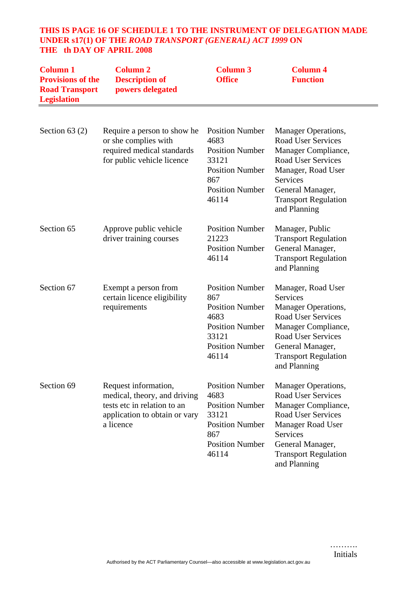# **THIS IS PAGE 16 OF SCHEDULE 1 TO THE INSTRUMENT OF DELEGATION MADE UNDER s17(1) OF THE** *ROAD TRANSPORT (GENERAL) ACT 1999* **ON THE th DAY OF APRIL 2008**

| <b>Column 1</b><br><b>Provisions of the</b><br><b>Road Transport</b><br><b>Legislation</b> | <b>Column 2</b><br><b>Description of</b><br>powers delegated                                                                      | <b>Column 3</b><br><b>Office</b>                                                                                                      | <b>Column 4</b><br><b>Function</b>                                                                                                                                                                                     |
|--------------------------------------------------------------------------------------------|-----------------------------------------------------------------------------------------------------------------------------------|---------------------------------------------------------------------------------------------------------------------------------------|------------------------------------------------------------------------------------------------------------------------------------------------------------------------------------------------------------------------|
| Section $63(2)$                                                                            | Require a person to show he<br>or she complies with<br>required medical standards<br>for public vehicle licence                   | <b>Position Number</b><br>4683<br><b>Position Number</b><br>33121<br><b>Position Number</b><br>867<br><b>Position Number</b><br>46114 | Manager Operations,<br><b>Road User Services</b><br>Manager Compliance,<br><b>Road User Services</b><br>Manager, Road User<br>Services<br>General Manager,<br><b>Transport Regulation</b><br>and Planning              |
| Section 65                                                                                 | Approve public vehicle<br>driver training courses                                                                                 | <b>Position Number</b><br>21223<br><b>Position Number</b><br>46114                                                                    | Manager, Public<br><b>Transport Regulation</b><br>General Manager,<br><b>Transport Regulation</b><br>and Planning                                                                                                      |
| Section 67                                                                                 | Exempt a person from<br>certain licence eligibility<br>requirements                                                               | <b>Position Number</b><br>867<br><b>Position Number</b><br>4683<br><b>Position Number</b><br>33121<br><b>Position Number</b><br>46114 | Manager, Road User<br>Services<br>Manager Operations,<br><b>Road User Services</b><br>Manager Compliance,<br><b>Road User Services</b><br>General Manager,<br><b>Transport Regulation</b><br>and Planning              |
| Section 69                                                                                 | Request information,<br>medical, theory, and driving<br>tests etc in relation to an<br>application to obtain or vary<br>a licence | <b>Position Number</b><br>4683<br><b>Position Number</b><br>33121<br><b>Position Number</b><br>867<br><b>Position Number</b><br>46114 | <b>Manager Operations,</b><br><b>Road User Services</b><br>Manager Compliance,<br><b>Road User Services</b><br><b>Manager Road User</b><br>Services<br>General Manager,<br><b>Transport Regulation</b><br>and Planning |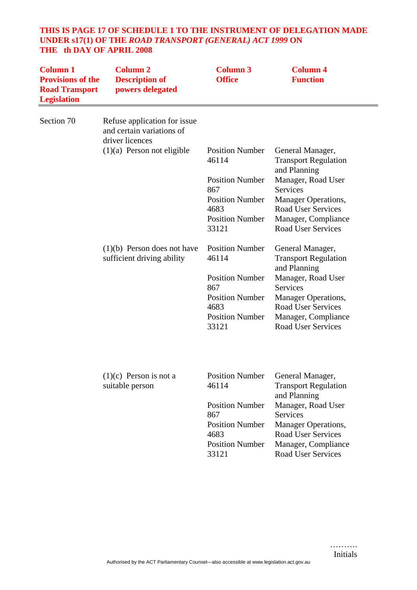# **THIS IS PAGE 17 OF SCHEDULE 1 TO THE INSTRUMENT OF DELEGATION MADE UNDER s17(1) OF THE** *ROAD TRANSPORT (GENERAL) ACT 1999* **ON THE th DAY OF APRIL 2008**

| <b>Column 1</b><br><b>Provisions of the</b><br><b>Road Transport</b><br><b>Legislation</b> | <b>Column 2</b><br><b>Description of</b><br>powers delegated                 | <b>Column 3</b><br><b>Office</b>                         | <b>Column 4</b><br><b>Function</b>                                      |
|--------------------------------------------------------------------------------------------|------------------------------------------------------------------------------|----------------------------------------------------------|-------------------------------------------------------------------------|
| Section 70                                                                                 | Refuse application for issue<br>and certain variations of<br>driver licences |                                                          |                                                                         |
|                                                                                            | $(1)(a)$ Person not eligible                                                 | <b>Position Number</b><br>46114                          | General Manager,<br><b>Transport Regulation</b><br>and Planning         |
|                                                                                            |                                                                              | <b>Position Number</b><br>867                            | Manager, Road User<br>Services                                          |
|                                                                                            |                                                                              | <b>Position Number</b><br>4683                           | Manager Operations,<br><b>Road User Services</b>                        |
|                                                                                            |                                                                              | <b>Position Number</b><br>33121                          | Manager, Compliance<br><b>Road User Services</b>                        |
|                                                                                            | $(1)(b)$ Person does not have<br>sufficient driving ability                  | <b>Position Number</b><br>46114                          | General Manager,<br><b>Transport Regulation</b><br>and Planning         |
|                                                                                            |                                                                              | <b>Position Number</b>                                   | Manager, Road User                                                      |
|                                                                                            |                                                                              | 867<br><b>Position Number</b>                            | <b>Services</b><br>Manager Operations,                                  |
|                                                                                            |                                                                              | 4683                                                     | <b>Road User Services</b>                                               |
|                                                                                            |                                                                              | <b>Position Number</b><br>33121                          | Manager, Compliance<br><b>Road User Services</b>                        |
|                                                                                            | $(1)(c)$ Person is not a                                                     | <b>Position Number</b>                                   | General Manager,                                                        |
|                                                                                            | suitable person                                                              | 46114                                                    | <b>Transport Regulation</b><br>and Planning                             |
|                                                                                            |                                                                              | <b>Position Number</b><br>867                            | Manager, Road User<br><b>Services</b>                                   |
|                                                                                            |                                                                              | <b>Position Number</b><br>4683<br><b>Position Number</b> | Manager Operations,<br><b>Road User Services</b><br>Manager, Compliance |
|                                                                                            |                                                                              | 33121                                                    | <b>Road User Services</b>                                               |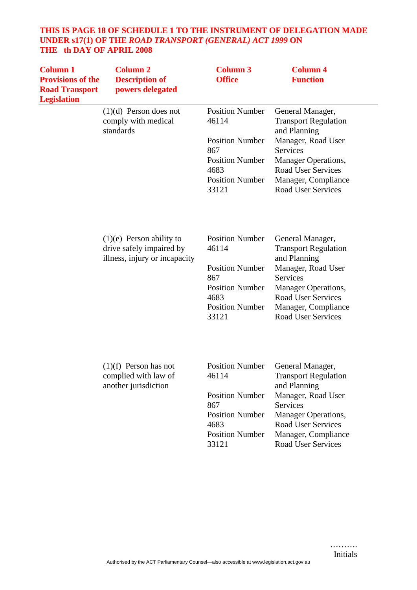# **THIS IS PAGE 18 OF SCHEDULE 1 TO THE INSTRUMENT OF DELEGATION MADE UNDER s17(1) OF THE** *ROAD TRANSPORT (GENERAL) ACT 1999* **ON THE th DAY OF APRIL 2008**

| <b>Column 1</b><br><b>Provisions of the</b><br><b>Road Transport</b><br><b>Legislation</b> | <b>Column 2</b><br><b>Description of</b><br>powers delegated                            | <b>Column 3</b><br><b>Office</b>                                                                                                      | <b>Column 4</b><br><b>Function</b>                                                                                                                                                                               |
|--------------------------------------------------------------------------------------------|-----------------------------------------------------------------------------------------|---------------------------------------------------------------------------------------------------------------------------------------|------------------------------------------------------------------------------------------------------------------------------------------------------------------------------------------------------------------|
|                                                                                            | $(1)(d)$ Person does not<br>comply with medical<br>standards                            | <b>Position Number</b><br>46114<br><b>Position Number</b><br>867<br><b>Position Number</b><br>4683<br><b>Position Number</b><br>33121 | General Manager,<br><b>Transport Regulation</b><br>and Planning<br>Manager, Road User<br>Services<br><b>Manager Operations,</b><br><b>Road User Services</b><br>Manager, Compliance<br><b>Road User Services</b> |
|                                                                                            | $(1)(e)$ Person ability to<br>drive safely impaired by<br>illness, injury or incapacity | <b>Position Number</b><br>46114<br><b>Position Number</b><br>867<br><b>Position Number</b><br>4683<br><b>Position Number</b><br>33121 | General Manager,<br><b>Transport Regulation</b><br>and Planning<br>Manager, Road User<br><b>Services</b><br>Manager Operations,<br><b>Road User Services</b><br>Manager, Compliance<br><b>Road User Services</b> |
|                                                                                            | $(1)(f)$ Person has not<br>complied with law of<br>another jurisdiction                 | <b>Position Number</b><br>46114<br><b>Position Number</b><br>867<br><b>Position Number</b><br>4683<br><b>Position Number</b><br>33121 | General Manager,<br><b>Transport Regulation</b><br>and Planning<br>Manager, Road User<br><b>Services</b><br>Manager Operations,<br><b>Road User Services</b><br>Manager, Compliance<br><b>Road User Services</b> |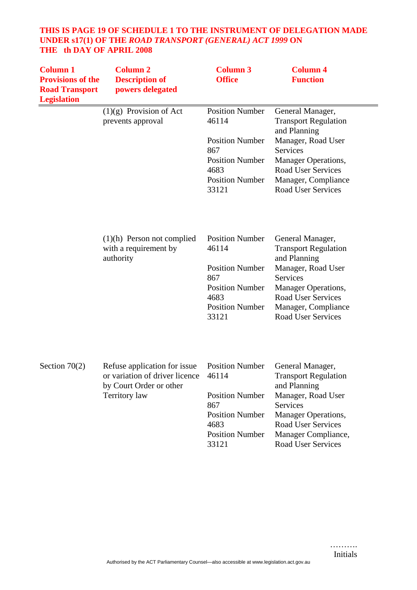# **THIS IS PAGE 19 OF SCHEDULE 1 TO THE INSTRUMENT OF DELEGATION MADE UNDER s17(1) OF THE** *ROAD TRANSPORT (GENERAL) ACT 1999* **ON THE th DAY OF APRIL 2008**

| <b>Column 1</b><br><b>Provisions of the</b><br><b>Road Transport</b><br><b>Legislation</b> | <b>Column 2</b><br><b>Description of</b><br>powers delegated                                               | <b>Column 3</b><br><b>Office</b>                                                                                                      | <b>Column 4</b><br><b>Function</b>                                                                                                                                                                               |
|--------------------------------------------------------------------------------------------|------------------------------------------------------------------------------------------------------------|---------------------------------------------------------------------------------------------------------------------------------------|------------------------------------------------------------------------------------------------------------------------------------------------------------------------------------------------------------------|
|                                                                                            | $(1)(g)$ Provision of Act<br>prevents approval                                                             | <b>Position Number</b><br>46114<br><b>Position Number</b><br>867<br><b>Position Number</b><br>4683<br><b>Position Number</b><br>33121 | General Manager,<br><b>Transport Regulation</b><br>and Planning<br>Manager, Road User<br>Services<br>Manager Operations,<br><b>Road User Services</b><br>Manager, Compliance<br><b>Road User Services</b>        |
|                                                                                            | $(1)(h)$ Person not complied<br>with a requirement by<br>authority                                         | <b>Position Number</b><br>46114<br><b>Position Number</b><br>867<br><b>Position Number</b><br>4683<br><b>Position Number</b><br>33121 | General Manager,<br><b>Transport Regulation</b><br>and Planning<br>Manager, Road User<br>Services<br>Manager Operations,<br><b>Road User Services</b><br>Manager, Compliance<br><b>Road User Services</b>        |
| Section $70(2)$                                                                            | Refuse application for issue<br>or variation of driver licence<br>by Court Order or other<br>Territory law | <b>Position Number</b><br>46114<br><b>Position Number</b><br>867<br><b>Position Number</b><br>4683<br><b>Position Number</b><br>33121 | General Manager,<br><b>Transport Regulation</b><br>and Planning<br>Manager, Road User<br><b>Services</b><br>Manager Operations,<br><b>Road User Services</b><br>Manager Compliance,<br><b>Road User Services</b> |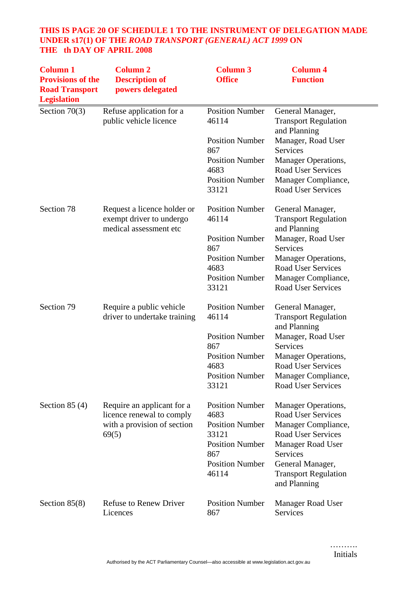# **THIS IS PAGE 20 OF SCHEDULE 1 TO THE INSTRUMENT OF DELEGATION MADE UNDER s17(1) OF THE** *ROAD TRANSPORT (GENERAL) ACT 1999* **ON THE th DAY OF APRIL 2008**

| <b>Column 1</b><br><b>Provisions of the</b><br><b>Road Transport</b><br><b>Legislation</b> | <b>Column 2</b><br><b>Description of</b><br>powers delegated                                    | <b>Column 3</b><br><b>Office</b>                                                                                                      | <b>Column 4</b><br><b>Function</b>                                                                                                                                                                               |
|--------------------------------------------------------------------------------------------|-------------------------------------------------------------------------------------------------|---------------------------------------------------------------------------------------------------------------------------------------|------------------------------------------------------------------------------------------------------------------------------------------------------------------------------------------------------------------|
| Section $70(3)$                                                                            | Refuse application for a<br>public vehicle licence                                              | <b>Position Number</b><br>46114<br><b>Position Number</b><br>867<br><b>Position Number</b><br>4683<br><b>Position Number</b><br>33121 | General Manager,<br><b>Transport Regulation</b><br>and Planning<br>Manager, Road User<br>Services<br>Manager Operations,<br><b>Road User Services</b><br>Manager Compliance,<br><b>Road User Services</b>        |
| Section 78                                                                                 | Request a licence holder or<br>exempt driver to undergo<br>medical assessment etc               | <b>Position Number</b><br>46114<br><b>Position Number</b><br>867<br><b>Position Number</b><br>4683<br><b>Position Number</b><br>33121 | General Manager,<br><b>Transport Regulation</b><br>and Planning<br>Manager, Road User<br>Services<br>Manager Operations,<br><b>Road User Services</b><br>Manager Compliance,<br>Road User Services               |
| Section 79                                                                                 | Require a public vehicle<br>driver to undertake training                                        | <b>Position Number</b><br>46114<br><b>Position Number</b><br>867<br><b>Position Number</b><br>4683<br><b>Position Number</b><br>33121 | General Manager,<br><b>Transport Regulation</b><br>and Planning<br>Manager, Road User<br>Services<br><b>Manager Operations,</b><br><b>Road User Services</b><br>Manager Compliance,<br><b>Road User Services</b> |
| Section $85(4)$                                                                            | Require an applicant for a<br>licence renewal to comply<br>with a provision of section<br>69(5) | <b>Position Number</b><br>4683<br><b>Position Number</b><br>33121<br><b>Position Number</b><br>867<br><b>Position Number</b><br>46114 | Manager Operations,<br><b>Road User Services</b><br>Manager Compliance,<br><b>Road User Services</b><br><b>Manager Road User</b><br>Services<br>General Manager,<br><b>Transport Regulation</b><br>and Planning  |
| Section $85(8)$                                                                            | <b>Refuse to Renew Driver</b><br>Licences                                                       | <b>Position Number</b><br>867                                                                                                         | Manager Road User<br>Services                                                                                                                                                                                    |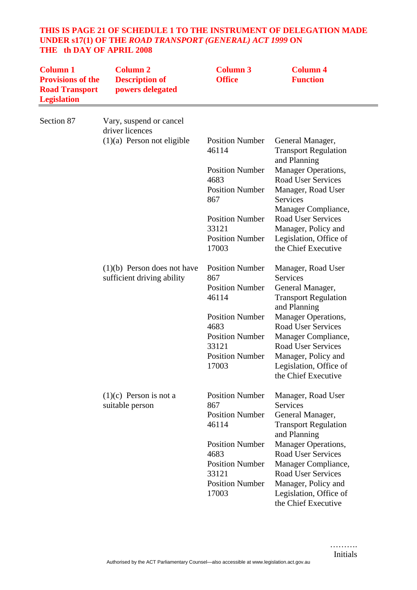# **THIS IS PAGE 21 OF SCHEDULE 1 TO THE INSTRUMENT OF DELEGATION MADE UNDER s17(1) OF THE** *ROAD TRANSPORT (GENERAL) ACT 1999* **ON THE th DAY OF APRIL 2008**

| <b>Column 1</b><br><b>Provisions of the</b><br><b>Road Transport</b><br><b>Legislation</b> | <b>Column 2</b><br><b>Description of</b><br>powers delegated | <b>Column 3</b><br><b>Office</b> | <b>Column 4</b><br><b>Function</b>                              |
|--------------------------------------------------------------------------------------------|--------------------------------------------------------------|----------------------------------|-----------------------------------------------------------------|
| Section 87                                                                                 | Vary, suspend or cancel<br>driver licences                   |                                  |                                                                 |
|                                                                                            | $(1)(a)$ Person not eligible                                 | <b>Position Number</b><br>46114  | General Manager,<br><b>Transport Regulation</b><br>and Planning |
|                                                                                            |                                                              | <b>Position Number</b>           | <b>Manager Operations,</b>                                      |
|                                                                                            |                                                              | 4683                             | <b>Road User Services</b>                                       |
|                                                                                            |                                                              | <b>Position Number</b>           | Manager, Road User                                              |
|                                                                                            |                                                              | 867                              | <b>Services</b><br>Manager Compliance,                          |
|                                                                                            |                                                              | <b>Position Number</b>           | <b>Road User Services</b>                                       |
|                                                                                            |                                                              | 33121                            | Manager, Policy and                                             |
|                                                                                            |                                                              | <b>Position Number</b>           | Legislation, Office of                                          |
|                                                                                            |                                                              | 17003                            | the Chief Executive                                             |
|                                                                                            | $(1)(b)$ Person does not have                                | <b>Position Number</b>           | Manager, Road User                                              |
|                                                                                            | sufficient driving ability                                   | 867                              | <b>Services</b>                                                 |
|                                                                                            |                                                              | <b>Position Number</b>           | General Manager,                                                |
|                                                                                            |                                                              | 46114                            | <b>Transport Regulation</b><br>and Planning                     |
|                                                                                            |                                                              | <b>Position Number</b>           | <b>Manager Operations,</b>                                      |
|                                                                                            |                                                              | 4683                             | <b>Road User Services</b>                                       |
|                                                                                            |                                                              | <b>Position Number</b>           | Manager Compliance,                                             |
|                                                                                            |                                                              | 33121                            | <b>Road User Services</b>                                       |
|                                                                                            |                                                              | <b>Position Number</b>           | Manager, Policy and                                             |
|                                                                                            |                                                              | 17003                            | Legislation, Office of<br>the Chief Executive                   |
|                                                                                            |                                                              |                                  |                                                                 |
|                                                                                            | $(1)(c)$ Person is not a                                     | <b>Position Number</b>           | Manager, Road User                                              |
|                                                                                            | suitable person                                              | 867                              | <b>Services</b>                                                 |
|                                                                                            |                                                              | <b>Position Number</b><br>46114  | General Manager,<br><b>Transport Regulation</b>                 |
|                                                                                            |                                                              |                                  | and Planning                                                    |
|                                                                                            |                                                              | <b>Position Number</b>           | <b>Manager Operations,</b>                                      |
|                                                                                            |                                                              | 4683                             | <b>Road User Services</b>                                       |
|                                                                                            |                                                              | <b>Position Number</b>           | Manager Compliance,                                             |
|                                                                                            |                                                              | 33121                            | <b>Road User Services</b>                                       |
|                                                                                            |                                                              | <b>Position Number</b><br>17003  | Manager, Policy and<br>Legislation, Office of                   |
|                                                                                            |                                                              |                                  | the Chief Executive                                             |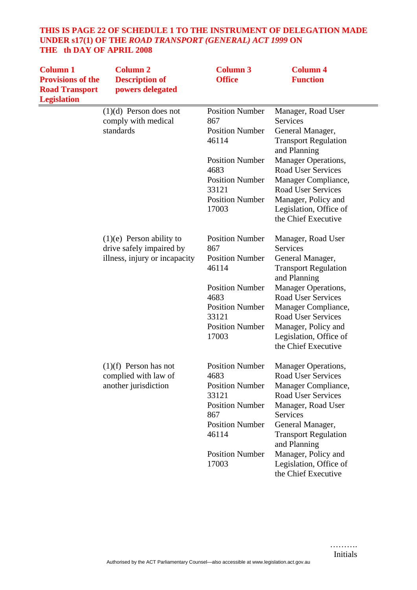# **THIS IS PAGE 22 OF SCHEDULE 1 TO THE INSTRUMENT OF DELEGATION MADE UNDER s17(1) OF THE** *ROAD TRANSPORT (GENERAL) ACT 1999* **ON THE th DAY OF APRIL 2008**

| <b>Column 1</b><br><b>Provisions of the</b><br><b>Road Transport</b><br><b>Legislation</b> | <b>Column 2</b><br><b>Description of</b><br>powers delegated                            | <b>Column 3</b><br><b>Office</b>                                                                                                                                         | <b>Column 4</b><br><b>Function</b>                                                                                                                                                                                                                                                       |
|--------------------------------------------------------------------------------------------|-----------------------------------------------------------------------------------------|--------------------------------------------------------------------------------------------------------------------------------------------------------------------------|------------------------------------------------------------------------------------------------------------------------------------------------------------------------------------------------------------------------------------------------------------------------------------------|
|                                                                                            | $(1)(d)$ Person does not<br>comply with medical<br>standards                            | <b>Position Number</b><br>867<br><b>Position Number</b><br>46114<br><b>Position Number</b>                                                                               | Manager, Road User<br>Services<br>General Manager,<br><b>Transport Regulation</b><br>and Planning                                                                                                                                                                                        |
|                                                                                            |                                                                                         | 4683<br><b>Position Number</b><br>33121<br><b>Position Number</b><br>17003                                                                                               | Manager Operations,<br><b>Road User Services</b><br>Manager Compliance,<br><b>Road User Services</b><br>Manager, Policy and<br>Legislation, Office of<br>the Chief Executive                                                                                                             |
|                                                                                            | $(1)(e)$ Person ability to<br>drive safely impaired by<br>illness, injury or incapacity | <b>Position Number</b><br>867<br><b>Position Number</b><br>46114<br><b>Position Number</b><br>4683<br><b>Position Number</b><br>33121<br><b>Position Number</b><br>17003 | Manager, Road User<br><b>Services</b><br>General Manager,<br><b>Transport Regulation</b><br>and Planning<br>Manager Operations,<br><b>Road User Services</b><br>Manager Compliance,<br><b>Road User Services</b><br>Manager, Policy and<br>Legislation, Office of<br>the Chief Executive |
|                                                                                            | $(1)(f)$ Person has not<br>complied with law of<br>another jurisdiction                 | <b>Position Number</b><br>4683<br><b>Position Number</b><br>33121<br><b>Position Number</b><br>867<br><b>Position Number</b><br>46114<br><b>Position Number</b><br>17003 | <b>Manager Operations,</b><br>Road User Services<br>Manager Compliance,<br><b>Road User Services</b><br>Manager, Road User<br>Services<br>General Manager,<br><b>Transport Regulation</b><br>and Planning<br>Manager, Policy and<br>Legislation, Office of<br>the Chief Executive        |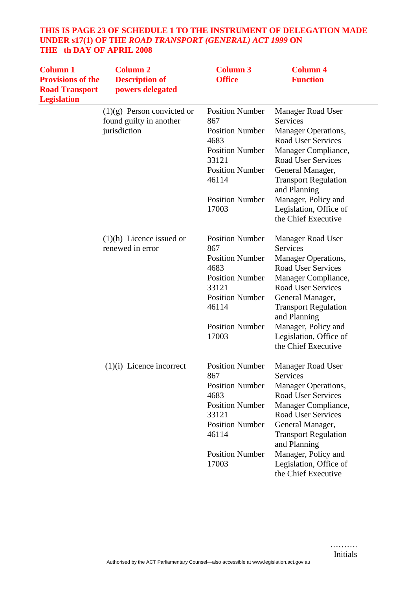# **THIS IS PAGE 23 OF SCHEDULE 1 TO THE INSTRUMENT OF DELEGATION MADE UNDER s17(1) OF THE** *ROAD TRANSPORT (GENERAL) ACT 1999* **ON THE th DAY OF APRIL 2008**

| <b>Column 1</b><br><b>Provisions of the</b><br><b>Road Transport</b><br><b>Legislation</b> | <b>Column 2</b><br><b>Description of</b><br>powers delegated | <b>Column 3</b><br><b>Office</b> | <b>Column 4</b><br><b>Function</b>            |
|--------------------------------------------------------------------------------------------|--------------------------------------------------------------|----------------------------------|-----------------------------------------------|
|                                                                                            | $(1)(g)$ Person convicted or                                 | <b>Position Number</b>           | <b>Manager Road User</b>                      |
|                                                                                            | found guilty in another                                      | 867                              | Services                                      |
|                                                                                            | jurisdiction                                                 | <b>Position Number</b>           | Manager Operations,                           |
|                                                                                            |                                                              | 4683                             | <b>Road User Services</b>                     |
|                                                                                            |                                                              | <b>Position Number</b>           | Manager Compliance,                           |
|                                                                                            |                                                              | 33121                            | <b>Road User Services</b>                     |
|                                                                                            |                                                              | <b>Position Number</b>           | General Manager,                              |
|                                                                                            |                                                              | 46114                            | <b>Transport Regulation</b>                   |
|                                                                                            |                                                              |                                  | and Planning                                  |
|                                                                                            |                                                              | <b>Position Number</b><br>17003  | Manager, Policy and                           |
|                                                                                            |                                                              |                                  | Legislation, Office of<br>the Chief Executive |
|                                                                                            |                                                              |                                  |                                               |
|                                                                                            | $(1)(h)$ Licence issued or                                   | <b>Position Number</b>           | Manager Road User                             |
|                                                                                            | renewed in error                                             | 867                              | Services                                      |
|                                                                                            |                                                              | <b>Position Number</b>           | Manager Operations,                           |
|                                                                                            |                                                              | 4683                             | <b>Road User Services</b>                     |
|                                                                                            |                                                              | <b>Position Number</b>           | Manager Compliance,                           |
|                                                                                            |                                                              | 33121                            | <b>Road User Services</b>                     |
|                                                                                            |                                                              | <b>Position Number</b>           | General Manager,                              |
|                                                                                            |                                                              | 46114                            | <b>Transport Regulation</b>                   |
|                                                                                            |                                                              |                                  | and Planning                                  |
|                                                                                            |                                                              | <b>Position Number</b>           | Manager, Policy and                           |
|                                                                                            |                                                              | 17003                            | Legislation, Office of                        |
|                                                                                            |                                                              |                                  | the Chief Executive                           |
|                                                                                            | $(1)(i)$ Licence incorrect                                   | <b>Position Number</b>           | <b>Manager Road User</b>                      |
|                                                                                            |                                                              | 867                              | Services                                      |
|                                                                                            |                                                              | <b>Position Number</b>           | Manager Operations,                           |
|                                                                                            |                                                              | 4683                             | <b>Road User Services</b>                     |
|                                                                                            |                                                              | <b>Position Number</b>           | Manager Compliance,                           |
|                                                                                            |                                                              | 33121                            | <b>Road User Services</b>                     |
|                                                                                            |                                                              | <b>Position Number</b>           | General Manager,                              |
|                                                                                            |                                                              | 46114                            | <b>Transport Regulation</b>                   |
|                                                                                            |                                                              |                                  | and Planning                                  |
|                                                                                            |                                                              | <b>Position Number</b>           | Manager, Policy and                           |
|                                                                                            |                                                              | 17003                            | Legislation, Office of                        |
|                                                                                            |                                                              |                                  | the Chief Executive                           |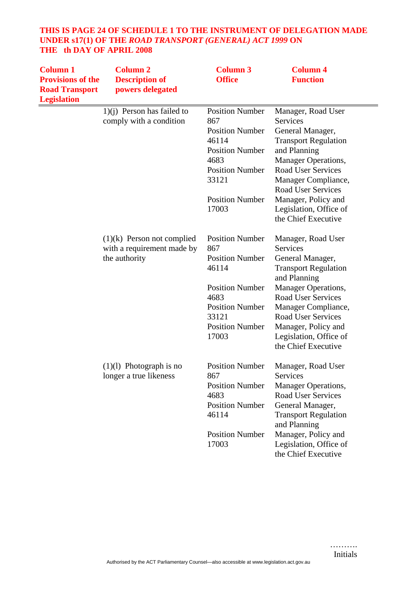# **THIS IS PAGE 24 OF SCHEDULE 1 TO THE INSTRUMENT OF DELEGATION MADE UNDER s17(1) OF THE** *ROAD TRANSPORT (GENERAL) ACT 1999* **ON THE th DAY OF APRIL 2008**

| <b>Column 1</b><br><b>Provisions of the</b><br><b>Road Transport</b><br><b>Legislation</b> | <b>Column 2</b><br><b>Description of</b><br>powers delegated | <b>Column 3</b><br><b>Office</b>                        | <b>Column 4</b><br><b>Function</b>                                   |
|--------------------------------------------------------------------------------------------|--------------------------------------------------------------|---------------------------------------------------------|----------------------------------------------------------------------|
|                                                                                            | $1)(i)$ Person has failed to<br>comply with a condition      | <b>Position Number</b><br>867<br><b>Position Number</b> | Manager, Road User<br>Services<br>General Manager,                   |
|                                                                                            |                                                              | 46114                                                   | <b>Transport Regulation</b>                                          |
|                                                                                            |                                                              | <b>Position Number</b>                                  | and Planning                                                         |
|                                                                                            |                                                              | 4683                                                    | <b>Manager Operations,</b>                                           |
|                                                                                            |                                                              | <b>Position Number</b>                                  | <b>Road User Services</b>                                            |
|                                                                                            |                                                              | 33121                                                   | Manager Compliance,<br><b>Road User Services</b>                     |
|                                                                                            |                                                              | <b>Position Number</b>                                  | Manager, Policy and                                                  |
|                                                                                            |                                                              | 17003                                                   | Legislation, Office of                                               |
|                                                                                            |                                                              |                                                         | the Chief Executive                                                  |
|                                                                                            | $(1)(k)$ Person not complied<br>with a requirement made by   | <b>Position Number</b><br>867                           | Manager, Road User<br><b>Services</b>                                |
|                                                                                            | the authority                                                | <b>Position Number</b>                                  | General Manager,                                                     |
|                                                                                            |                                                              | 46114                                                   | <b>Transport Regulation</b><br>and Planning                          |
|                                                                                            |                                                              | <b>Position Number</b>                                  | <b>Manager Operations,</b>                                           |
|                                                                                            |                                                              | 4683                                                    | <b>Road User Services</b>                                            |
|                                                                                            |                                                              | <b>Position Number</b>                                  | Manager Compliance,                                                  |
|                                                                                            |                                                              | 33121                                                   | <b>Road User Services</b>                                            |
|                                                                                            |                                                              | <b>Position Number</b>                                  | Manager, Policy and                                                  |
|                                                                                            |                                                              | 17003                                                   | Legislation, Office of<br>the Chief Executive                        |
|                                                                                            | $(1)(1)$ Photograph is no<br>longer a true likeness          | <b>Position Number</b><br>867                           | Manager, Road User<br>Services                                       |
|                                                                                            |                                                              | <b>Position Number</b>                                  | <b>Manager Operations,</b>                                           |
|                                                                                            |                                                              | 4683                                                    | <b>Road User Services</b>                                            |
|                                                                                            |                                                              | <b>Position Number</b>                                  | General Manager,                                                     |
|                                                                                            |                                                              | 46114                                                   | <b>Transport Regulation</b><br>and Planning                          |
|                                                                                            |                                                              | <b>Position Number</b><br>17003                         | Manager, Policy and<br>Legislation, Office of<br>the Chief Executive |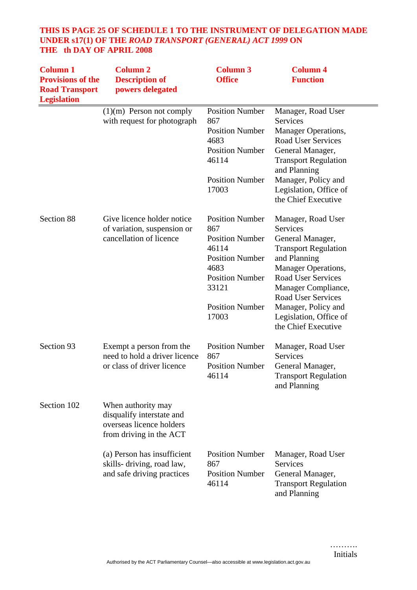# **THIS IS PAGE 25 OF SCHEDULE 1 TO THE INSTRUMENT OF DELEGATION MADE UNDER s17(1) OF THE** *ROAD TRANSPORT (GENERAL) ACT 1999* **ON THE th DAY OF APRIL 2008**

| <b>Column 1</b><br><b>Provisions of the</b><br><b>Road Transport</b><br><b>Legislation</b> | <b>Column 2</b><br><b>Description of</b><br>powers delegated                                           | <b>Column 3</b><br><b>Office</b>                                                                                                                                         | <b>Column 4</b><br><b>Function</b>                                                                                                                                                                                                                                                       |
|--------------------------------------------------------------------------------------------|--------------------------------------------------------------------------------------------------------|--------------------------------------------------------------------------------------------------------------------------------------------------------------------------|------------------------------------------------------------------------------------------------------------------------------------------------------------------------------------------------------------------------------------------------------------------------------------------|
|                                                                                            | $(1)(m)$ Person not comply<br>with request for photograph                                              | <b>Position Number</b><br>867<br><b>Position Number</b><br>4683<br><b>Position Number</b><br>46114<br><b>Position Number</b><br>17003                                    | Manager, Road User<br>Services<br>Manager Operations,<br>Road User Services<br>General Manager,<br><b>Transport Regulation</b><br>and Planning<br>Manager, Policy and<br>Legislation, Office of<br>the Chief Executive                                                                   |
| Section 88                                                                                 | Give licence holder notice<br>of variation, suspension or<br>cancellation of licence                   | <b>Position Number</b><br>867<br><b>Position Number</b><br>46114<br><b>Position Number</b><br>4683<br><b>Position Number</b><br>33121<br><b>Position Number</b><br>17003 | Manager, Road User<br><b>Services</b><br>General Manager,<br><b>Transport Regulation</b><br>and Planning<br><b>Manager Operations,</b><br>Road User Services<br>Manager Compliance,<br><b>Road User Services</b><br>Manager, Policy and<br>Legislation, Office of<br>the Chief Executive |
| Section 93                                                                                 | Exempt a person from the<br>need to hold a driver licence<br>or class of driver licence                | <b>Position Number</b><br>867<br><b>Position Number</b><br>46114                                                                                                         | Manager, Road User<br>Services<br>General Manager,<br><b>Transport Regulation</b><br>and Planning                                                                                                                                                                                        |
| Section 102                                                                                | When authority may<br>disqualify interstate and<br>overseas licence holders<br>from driving in the ACT |                                                                                                                                                                          |                                                                                                                                                                                                                                                                                          |
|                                                                                            | (a) Person has insufficient<br>skills- driving, road law,<br>and safe driving practices                | <b>Position Number</b><br>867<br><b>Position Number</b><br>46114                                                                                                         | Manager, Road User<br><b>Services</b><br>General Manager,<br><b>Transport Regulation</b><br>and Planning                                                                                                                                                                                 |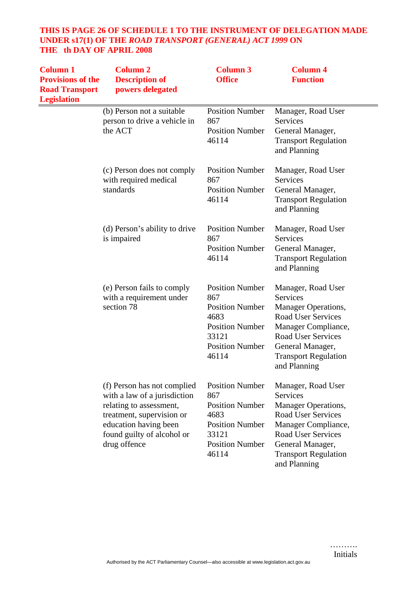# **THIS IS PAGE 26 OF SCHEDULE 1 TO THE INSTRUMENT OF DELEGATION MADE UNDER s17(1) OF THE** *ROAD TRANSPORT (GENERAL) ACT 1999* **ON THE th DAY OF APRIL 2008**

| <b>Column 1</b><br><b>Provisions of the</b><br><b>Road Transport</b><br><b>Legislation</b> | <b>Column 2</b><br><b>Description of</b><br>powers delegated                                                                                                                               | <b>Column 3</b><br><b>Office</b>                                                                                                      | <b>Column 4</b><br><b>Function</b>                                                                                                                                                                               |
|--------------------------------------------------------------------------------------------|--------------------------------------------------------------------------------------------------------------------------------------------------------------------------------------------|---------------------------------------------------------------------------------------------------------------------------------------|------------------------------------------------------------------------------------------------------------------------------------------------------------------------------------------------------------------|
|                                                                                            | (b) Person not a suitable<br>person to drive a vehicle in<br>the ACT                                                                                                                       | <b>Position Number</b><br>867<br><b>Position Number</b><br>46114                                                                      | Manager, Road User<br>Services<br>General Manager,<br><b>Transport Regulation</b><br>and Planning                                                                                                                |
|                                                                                            | (c) Person does not comply<br>with required medical<br>standards                                                                                                                           | <b>Position Number</b><br>867<br><b>Position Number</b><br>46114                                                                      | Manager, Road User<br><b>Services</b><br>General Manager,<br><b>Transport Regulation</b><br>and Planning                                                                                                         |
|                                                                                            | (d) Person's ability to drive<br>is impaired                                                                                                                                               | <b>Position Number</b><br>867<br><b>Position Number</b><br>46114                                                                      | Manager, Road User<br><b>Services</b><br>General Manager,<br><b>Transport Regulation</b><br>and Planning                                                                                                         |
|                                                                                            | (e) Person fails to comply<br>with a requirement under<br>section 78                                                                                                                       | <b>Position Number</b><br>867<br><b>Position Number</b><br>4683<br><b>Position Number</b><br>33121<br><b>Position Number</b><br>46114 | Manager, Road User<br><b>Services</b><br>Manager Operations,<br><b>Road User Services</b><br>Manager Compliance,<br><b>Road User Services</b><br>General Manager,<br><b>Transport Regulation</b><br>and Planning |
|                                                                                            | (f) Person has not complied<br>with a law of a jurisdiction<br>relating to assessment,<br>treatment, supervision or<br>education having been<br>found guilty of alcohol or<br>drug offence | <b>Position Number</b><br>867<br><b>Position Number</b><br>4683<br><b>Position Number</b><br>33121<br><b>Position Number</b><br>46114 | Manager, Road User<br>Services<br>Manager Operations,<br><b>Road User Services</b><br>Manager Compliance,<br><b>Road User Services</b><br>General Manager,<br><b>Transport Regulation</b><br>and Planning        |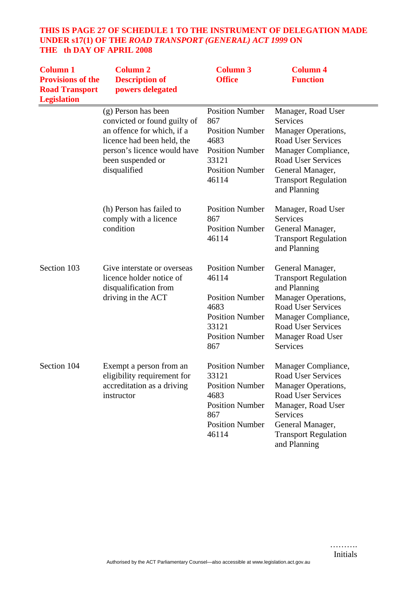# **THIS IS PAGE 27 OF SCHEDULE 1 TO THE INSTRUMENT OF DELEGATION MADE UNDER s17(1) OF THE** *ROAD TRANSPORT (GENERAL) ACT 1999* **ON THE th DAY OF APRIL 2008**

| <b>Column 1</b><br><b>Provisions of the</b><br><b>Road Transport</b><br><b>Legislation</b> | <b>Column 2</b><br><b>Description of</b><br>powers delegated                                                                                                                        | <b>Column 3</b><br><b>Office</b>                                                                                                      | <b>Column 4</b><br><b>Function</b>                                                                                                                                                                                     |
|--------------------------------------------------------------------------------------------|-------------------------------------------------------------------------------------------------------------------------------------------------------------------------------------|---------------------------------------------------------------------------------------------------------------------------------------|------------------------------------------------------------------------------------------------------------------------------------------------------------------------------------------------------------------------|
|                                                                                            | (g) Person has been<br>convicted or found guilty of<br>an offence for which, if a<br>licence had been held, the<br>person's licence would have<br>been suspended or<br>disqualified | <b>Position Number</b><br>867<br><b>Position Number</b><br>4683<br><b>Position Number</b><br>33121<br><b>Position Number</b><br>46114 | Manager, Road User<br><b>Services</b><br>Manager Operations,<br><b>Road User Services</b><br>Manager Compliance,<br><b>Road User Services</b><br>General Manager,<br><b>Transport Regulation</b><br>and Planning       |
|                                                                                            | (h) Person has failed to<br>comply with a licence<br>condition                                                                                                                      | <b>Position Number</b><br>867<br><b>Position Number</b><br>46114                                                                      | Manager, Road User<br><b>Services</b><br>General Manager,<br><b>Transport Regulation</b><br>and Planning                                                                                                               |
| Section 103                                                                                | Give interstate or overseas<br>licence holder notice of<br>disqualification from<br>driving in the ACT                                                                              | <b>Position Number</b><br>46114<br><b>Position Number</b><br>4683<br><b>Position Number</b><br>33121<br><b>Position Number</b><br>867 | General Manager,<br><b>Transport Regulation</b><br>and Planning<br>Manager Operations,<br><b>Road User Services</b><br>Manager Compliance,<br><b>Road User Services</b><br><b>Manager Road User</b><br><b>Services</b> |
| Section 104                                                                                | Exempt a person from an<br>eligibility requirement for<br>accreditation as a driving<br>instructor                                                                                  | <b>Position Number</b><br>33121<br><b>Position Number</b><br>4683<br><b>Position Number</b><br>867<br><b>Position Number</b><br>46114 | Manager Compliance,<br><b>Road User Services</b><br>Manager Operations,<br><b>Road User Services</b><br>Manager, Road User<br><b>Services</b><br>General Manager,<br><b>Transport Regulation</b><br>and Planning       |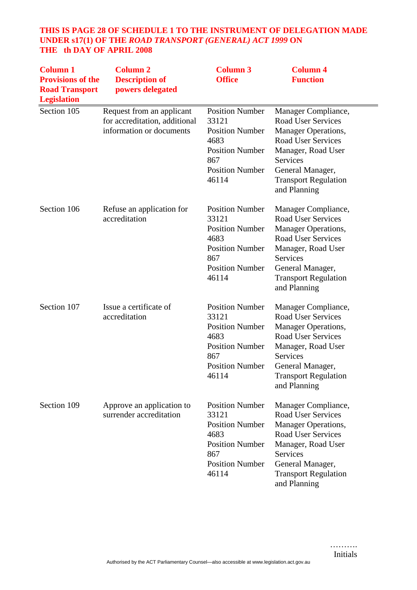# **THIS IS PAGE 28 OF SCHEDULE 1 TO THE INSTRUMENT OF DELEGATION MADE UNDER s17(1) OF THE** *ROAD TRANSPORT (GENERAL) ACT 1999* **ON THE th DAY OF APRIL 2008**

| <b>Column 1</b><br><b>Provisions of the</b><br><b>Road Transport</b><br><b>Legislation</b> | <b>Column 2</b><br><b>Description of</b><br>powers delegated                           | <b>Column 3</b><br><b>Office</b>                                                                                                      | <b>Column 4</b><br><b>Function</b>                                                                                                                                                                               |
|--------------------------------------------------------------------------------------------|----------------------------------------------------------------------------------------|---------------------------------------------------------------------------------------------------------------------------------------|------------------------------------------------------------------------------------------------------------------------------------------------------------------------------------------------------------------|
| Section 105                                                                                | Request from an applicant<br>for accreditation, additional<br>information or documents | <b>Position Number</b><br>33121<br><b>Position Number</b><br>4683<br><b>Position Number</b><br>867<br><b>Position Number</b><br>46114 | Manager Compliance,<br><b>Road User Services</b><br>Manager Operations,<br><b>Road User Services</b><br>Manager, Road User<br>Services<br>General Manager,<br><b>Transport Regulation</b><br>and Planning        |
| Section 106                                                                                | Refuse an application for<br>accreditation                                             | <b>Position Number</b><br>33121<br><b>Position Number</b><br>4683<br><b>Position Number</b><br>867<br><b>Position Number</b><br>46114 | Manager Compliance,<br><b>Road User Services</b><br>Manager Operations,<br><b>Road User Services</b><br>Manager, Road User<br><b>Services</b><br>General Manager,<br><b>Transport Regulation</b><br>and Planning |
| Section 107                                                                                | Issue a certificate of<br>accreditation                                                | <b>Position Number</b><br>33121<br><b>Position Number</b><br>4683<br><b>Position Number</b><br>867<br><b>Position Number</b><br>46114 | Manager Compliance,<br><b>Road User Services</b><br>Manager Operations,<br><b>Road User Services</b><br>Manager, Road User<br><b>Services</b><br>General Manager,<br><b>Transport Regulation</b><br>and Planning |
| Section 109                                                                                | Approve an application to<br>surrender accreditation                                   | <b>Position Number</b><br>33121<br><b>Position Number</b><br>4683<br><b>Position Number</b><br>867<br><b>Position Number</b><br>46114 | Manager Compliance,<br><b>Road User Services</b><br><b>Manager Operations,</b><br><b>Road User Services</b><br>Manager, Road User<br>Services<br>General Manager,<br><b>Transport Regulation</b><br>and Planning |

……….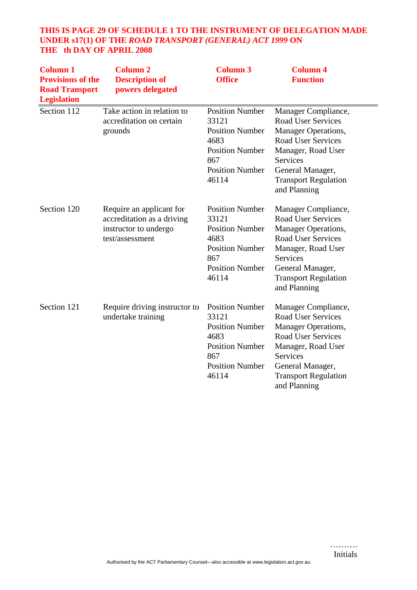# **THIS IS PAGE 29 OF SCHEDULE 1 TO THE INSTRUMENT OF DELEGATION MADE UNDER s17(1) OF THE** *ROAD TRANSPORT (GENERAL) ACT 1999* **ON THE th DAY OF APRIL 2008**

| <b>Column 1</b><br><b>Provisions of the</b><br><b>Road Transport</b><br><b>Legislation</b> | <b>Column 2</b><br><b>Description of</b><br>powers delegated                                       | <b>Column 3</b><br><b>Office</b>                                                                                                      | <b>Column 4</b><br><b>Function</b>                                                                                                                                                                               |
|--------------------------------------------------------------------------------------------|----------------------------------------------------------------------------------------------------|---------------------------------------------------------------------------------------------------------------------------------------|------------------------------------------------------------------------------------------------------------------------------------------------------------------------------------------------------------------|
| Section 112                                                                                | Take action in relation to<br>accreditation on certain<br>grounds                                  | <b>Position Number</b><br>33121<br><b>Position Number</b><br>4683<br><b>Position Number</b><br>867<br><b>Position Number</b><br>46114 | Manager Compliance,<br><b>Road User Services</b><br>Manager Operations,<br><b>Road User Services</b><br>Manager, Road User<br><b>Services</b><br>General Manager,<br><b>Transport Regulation</b><br>and Planning |
| Section 120                                                                                | Require an applicant for<br>accreditation as a driving<br>instructor to undergo<br>test/assessment | <b>Position Number</b><br>33121<br><b>Position Number</b><br>4683<br><b>Position Number</b><br>867<br><b>Position Number</b><br>46114 | Manager Compliance,<br><b>Road User Services</b><br>Manager Operations,<br><b>Road User Services</b><br>Manager, Road User<br>Services<br>General Manager,<br><b>Transport Regulation</b><br>and Planning        |
| Section 121                                                                                | Require driving instructor to<br>undertake training                                                | <b>Position Number</b><br>33121<br><b>Position Number</b><br>4683<br><b>Position Number</b><br>867<br><b>Position Number</b><br>46114 | Manager Compliance,<br><b>Road User Services</b><br>Manager Operations,<br><b>Road User Services</b><br>Manager, Road User<br>Services<br>General Manager,<br><b>Transport Regulation</b><br>and Planning        |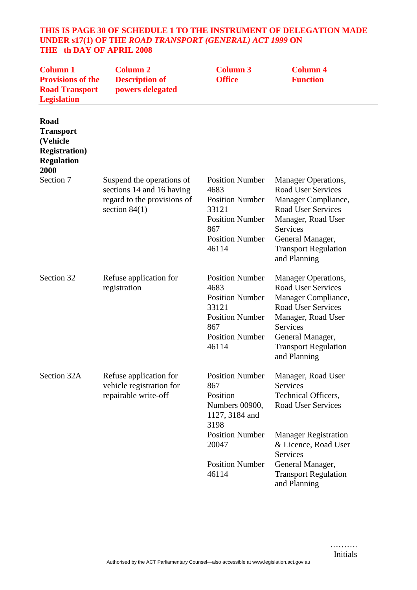#### **THIS IS PAGE 30 OF SCHEDULE 1 TO THE INSTRUMENT OF DELEGATION MADE UNDER s17(1) OF THE** *ROAD TRANSPORT (GENERAL) ACT 1999* **ON THE th DAY OF APRIL 2008**

| <b>Column 1</b><br><b>Provisions of the</b><br><b>Road Transport</b><br><b>Legislation</b> | <b>Column 2</b><br><b>Description of</b><br>powers delegated                                             | <b>Column 3</b><br><b>Office</b>                                                                                                      | <b>Column 4</b><br><b>Function</b>                                                                                                                                                                               |
|--------------------------------------------------------------------------------------------|----------------------------------------------------------------------------------------------------------|---------------------------------------------------------------------------------------------------------------------------------------|------------------------------------------------------------------------------------------------------------------------------------------------------------------------------------------------------------------|
| Road<br><b>Transport</b><br>(Vehicle<br><b>Registration</b> )<br><b>Regulation</b><br>2000 |                                                                                                          |                                                                                                                                       |                                                                                                                                                                                                                  |
| Section 7                                                                                  | Suspend the operations of<br>sections 14 and 16 having<br>regard to the provisions of<br>section $84(1)$ | <b>Position Number</b><br>4683<br><b>Position Number</b><br>33121<br><b>Position Number</b><br>867<br><b>Position Number</b><br>46114 | <b>Manager Operations,</b><br><b>Road User Services</b><br>Manager Compliance,<br><b>Road User Services</b><br>Manager, Road User<br>Services<br>General Manager,<br><b>Transport Regulation</b><br>and Planning |
| Section 32                                                                                 | Refuse application for<br>registration                                                                   | <b>Position Number</b><br>4683<br><b>Position Number</b><br>33121<br><b>Position Number</b><br>867<br><b>Position Number</b><br>46114 | Manager Operations,<br><b>Road User Services</b><br>Manager Compliance,<br><b>Road User Services</b><br>Manager, Road User<br>Services<br>General Manager,<br><b>Transport Regulation</b><br>and Planning        |
| Section 32A                                                                                | Refuse application for<br>vehicle registration for<br>repairable write-off                               | <b>Position Number</b><br>867<br>Position<br>Numbers 00900,<br>1127, 3184 and<br>3198                                                 | Manager, Road User<br>Services<br>Technical Officers,<br><b>Road User Services</b>                                                                                                                               |
|                                                                                            |                                                                                                          | <b>Position Number</b><br>20047                                                                                                       | <b>Manager Registration</b><br>& Licence, Road User<br><b>Services</b>                                                                                                                                           |
|                                                                                            |                                                                                                          | <b>Position Number</b><br>46114                                                                                                       | General Manager,<br><b>Transport Regulation</b><br>and Planning                                                                                                                                                  |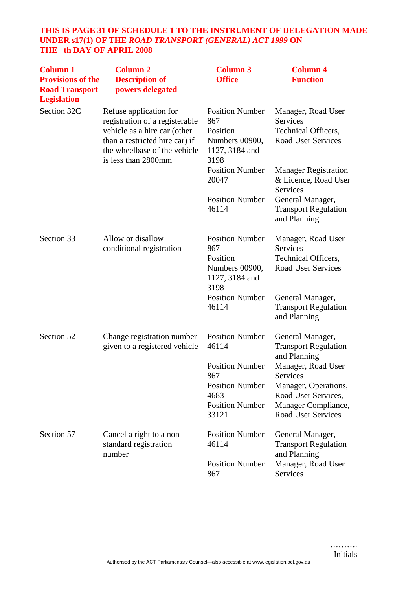# **THIS IS PAGE 31 OF SCHEDULE 1 TO THE INSTRUMENT OF DELEGATION MADE UNDER s17(1) OF THE** *ROAD TRANSPORT (GENERAL) ACT 1999* **ON THE th DAY OF APRIL 2008**

| <b>Column 1</b><br><b>Provisions of the</b><br><b>Road Transport</b><br><b>Legislation</b> | <b>Column 2</b><br><b>Description of</b><br>powers delegated                                                                                                                      | <b>Column 3</b><br><b>Office</b>                                                      | <b>Column 4</b><br><b>Function</b>                                                        |
|--------------------------------------------------------------------------------------------|-----------------------------------------------------------------------------------------------------------------------------------------------------------------------------------|---------------------------------------------------------------------------------------|-------------------------------------------------------------------------------------------|
| Section 32C                                                                                | Refuse application for<br>registration of a registerable<br>vehicle as a hire car (other<br>than a restricted hire car) if<br>the wheelbase of the vehicle<br>is less than 2800mm | <b>Position Number</b><br>867<br>Position<br>Numbers 00900,<br>1127, 3184 and<br>3198 | Manager, Road User<br>Services<br>Technical Officers,<br><b>Road User Services</b>        |
|                                                                                            |                                                                                                                                                                                   | <b>Position Number</b><br>20047                                                       | <b>Manager Registration</b><br>& Licence, Road User<br>Services                           |
|                                                                                            |                                                                                                                                                                                   | <b>Position Number</b><br>46114                                                       | General Manager,<br><b>Transport Regulation</b><br>and Planning                           |
| Section 33                                                                                 | Allow or disallow<br>conditional registration                                                                                                                                     | <b>Position Number</b><br>867<br>Position<br>Numbers 00900,<br>1127, 3184 and<br>3198 | Manager, Road User<br><b>Services</b><br>Technical Officers,<br><b>Road User Services</b> |
|                                                                                            |                                                                                                                                                                                   | <b>Position Number</b><br>46114                                                       | General Manager,<br><b>Transport Regulation</b><br>and Planning                           |
| Section 52                                                                                 | Change registration number<br>given to a registered vehicle                                                                                                                       | <b>Position Number</b><br>46114                                                       | General Manager,<br><b>Transport Regulation</b><br>and Planning                           |
|                                                                                            |                                                                                                                                                                                   | <b>Position Number</b><br>867                                                         | Manager, Road User<br>Services                                                            |
|                                                                                            |                                                                                                                                                                                   | <b>Position Number</b><br>4683                                                        | Manager, Operations,<br>Road User Services,                                               |
|                                                                                            |                                                                                                                                                                                   | <b>Position Number</b><br>33121                                                       | Manager Compliance,<br><b>Road User Services</b>                                          |
| Section 57                                                                                 | Cancel a right to a non-<br>standard registration<br>number                                                                                                                       | <b>Position Number</b><br>46114                                                       | General Manager,<br><b>Transport Regulation</b><br>and Planning                           |
|                                                                                            |                                                                                                                                                                                   | <b>Position Number</b><br>867                                                         | Manager, Road User<br>Services                                                            |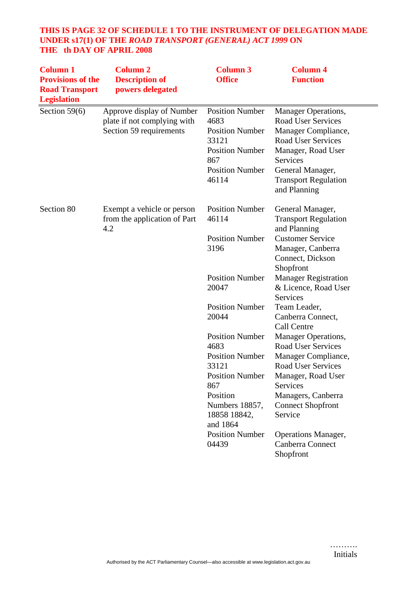# **THIS IS PAGE 32 OF SCHEDULE 1 TO THE INSTRUMENT OF DELEGATION MADE UNDER s17(1) OF THE** *ROAD TRANSPORT (GENERAL) ACT 1999* **ON THE th DAY OF APRIL 2008**

| <b>Column 1</b><br><b>Provisions of the</b><br><b>Road Transport</b><br><b>Legislation</b> | <b>Column 2</b><br><b>Description of</b><br>powers delegated                        | <b>Column 3</b><br><b>Office</b>                                                                                                                                                                | <b>Column 4</b><br><b>Function</b>                                                                                                                                                                                                                    |
|--------------------------------------------------------------------------------------------|-------------------------------------------------------------------------------------|-------------------------------------------------------------------------------------------------------------------------------------------------------------------------------------------------|-------------------------------------------------------------------------------------------------------------------------------------------------------------------------------------------------------------------------------------------------------|
| Section $59(6)$                                                                            | Approve display of Number<br>plate if not complying with<br>Section 59 requirements | <b>Position Number</b><br>4683<br><b>Position Number</b><br>33121<br><b>Position Number</b><br>867<br><b>Position Number</b><br>46114                                                           | Manager Operations,<br><b>Road User Services</b><br>Manager Compliance,<br><b>Road User Services</b><br>Manager, Road User<br>Services<br>General Manager,<br><b>Transport Regulation</b><br>and Planning                                             |
| Section 80                                                                                 | Exempt a vehicle or person<br>from the application of Part<br>4.2                   | <b>Position Number</b><br>46114<br><b>Position Number</b><br>3196                                                                                                                               | General Manager,<br><b>Transport Regulation</b><br>and Planning<br><b>Customer Service</b><br>Manager, Canberra<br>Connect, Dickson<br>Shopfront                                                                                                      |
|                                                                                            |                                                                                     | <b>Position Number</b><br>20047                                                                                                                                                                 | <b>Manager Registration</b><br>& Licence, Road User<br>Services                                                                                                                                                                                       |
|                                                                                            |                                                                                     | <b>Position Number</b><br>20044                                                                                                                                                                 | Team Leader,<br>Canberra Connect,<br>Call Centre                                                                                                                                                                                                      |
|                                                                                            |                                                                                     | <b>Position Number</b><br>4683<br><b>Position Number</b><br>33121<br><b>Position Number</b><br>867<br>Position<br>Numbers 18857,<br>18858 18842,<br>and 1864<br><b>Position Number</b><br>04439 | Manager Operations,<br><b>Road User Services</b><br>Manager Compliance,<br><b>Road User Services</b><br>Manager, Road User<br>Services<br>Managers, Canberra<br><b>Connect Shopfront</b><br>Service<br><b>Operations Manager,</b><br>Canberra Connect |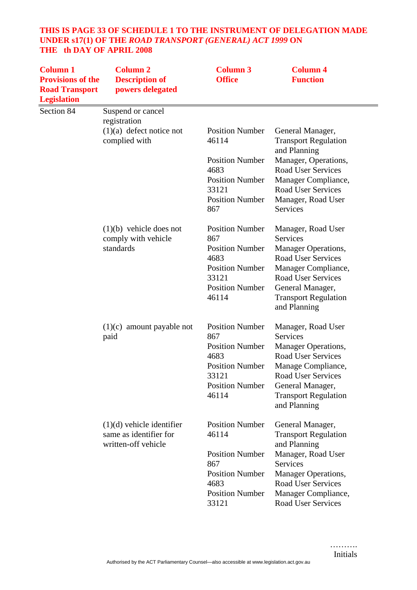# **THIS IS PAGE 33 OF SCHEDULE 1 TO THE INSTRUMENT OF DELEGATION MADE UNDER s17(1) OF THE** *ROAD TRANSPORT (GENERAL) ACT 1999* **ON THE th DAY OF APRIL 2008**

| <b>Column 1</b><br><b>Provisions of the</b><br><b>Road Transport</b><br><b>Legislation</b> | <b>Column 2</b><br><b>Description of</b><br>powers delegated                 | <b>Column 3</b><br><b>Office</b> | <b>Column 4</b><br><b>Function</b>                              |
|--------------------------------------------------------------------------------------------|------------------------------------------------------------------------------|----------------------------------|-----------------------------------------------------------------|
| Section 84                                                                                 | Suspend or cancel<br>registration                                            |                                  |                                                                 |
|                                                                                            | $(1)(a)$ defect notice not<br>complied with                                  | <b>Position Number</b><br>46114  | General Manager,<br><b>Transport Regulation</b><br>and Planning |
|                                                                                            |                                                                              | <b>Position Number</b><br>4683   | Manager, Operations,<br><b>Road User Services</b>               |
|                                                                                            |                                                                              | <b>Position Number</b><br>33121  | Manager Compliance,<br><b>Road User Services</b>                |
|                                                                                            |                                                                              | <b>Position Number</b><br>867    | Manager, Road User<br>Services                                  |
|                                                                                            | $(1)(b)$ vehicle does not<br>comply with vehicle                             | <b>Position Number</b><br>867    | Manager, Road User<br>Services                                  |
|                                                                                            | standards                                                                    | <b>Position Number</b>           | <b>Manager Operations,</b>                                      |
|                                                                                            |                                                                              | 4683<br><b>Position Number</b>   | <b>Road User Services</b><br>Manager Compliance,                |
|                                                                                            |                                                                              | 33121                            | <b>Road User Services</b>                                       |
|                                                                                            |                                                                              | <b>Position Number</b><br>46114  | General Manager,<br><b>Transport Regulation</b><br>and Planning |
|                                                                                            | $(1)(c)$ amount payable not<br>paid                                          | <b>Position Number</b><br>867    | Manager, Road User<br><b>Services</b>                           |
|                                                                                            |                                                                              | <b>Position Number</b><br>4683   | <b>Manager Operations,</b><br><b>Road User Services</b>         |
|                                                                                            |                                                                              | <b>Position Number</b><br>33121  | Manage Compliance,<br><b>Road User Services</b>                 |
|                                                                                            |                                                                              | <b>Position Number</b>           | General Manager,                                                |
|                                                                                            |                                                                              | 46114                            | <b>Transport Regulation</b><br>and Planning                     |
|                                                                                            | $(1)(d)$ vehicle identifier<br>same as identifier for<br>written-off vehicle | <b>Position Number</b><br>46114  | General Manager,<br><b>Transport Regulation</b><br>and Planning |
|                                                                                            |                                                                              | <b>Position Number</b><br>867    | Manager, Road User<br><b>Services</b>                           |
|                                                                                            |                                                                              | <b>Position Number</b>           | Manager Operations,                                             |
|                                                                                            |                                                                              | 4683<br><b>Position Number</b>   | <b>Road User Services</b>                                       |
|                                                                                            |                                                                              | 33121                            | Manager Compliance,<br><b>Road User Services</b>                |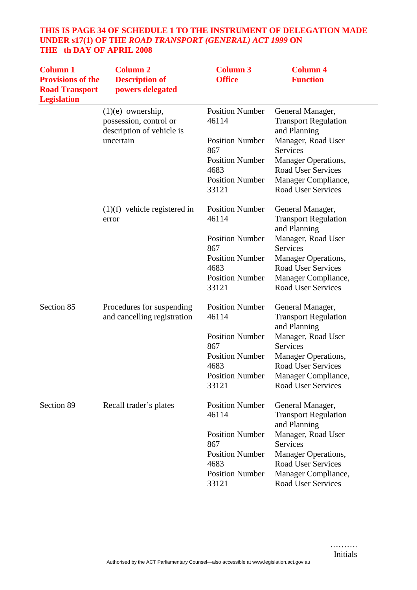# **THIS IS PAGE 34 OF SCHEDULE 1 TO THE INSTRUMENT OF DELEGATION MADE UNDER s17(1) OF THE** *ROAD TRANSPORT (GENERAL) ACT 1999* **ON THE th DAY OF APRIL 2008**

| <b>Column 1</b><br><b>Provisions of the</b><br><b>Road Transport</b><br><b>Legislation</b> | <b>Column 2</b><br><b>Description of</b><br>powers delegated               | <b>Column 3</b><br><b>Office</b> | <b>Column 4</b><br><b>Function</b>                              |
|--------------------------------------------------------------------------------------------|----------------------------------------------------------------------------|----------------------------------|-----------------------------------------------------------------|
|                                                                                            | $(1)(e)$ ownership,<br>possession, control or<br>description of vehicle is | <b>Position Number</b><br>46114  | General Manager,<br><b>Transport Regulation</b><br>and Planning |
|                                                                                            | uncertain                                                                  | <b>Position Number</b><br>867    | Manager, Road User<br><b>Services</b>                           |
|                                                                                            |                                                                            | <b>Position Number</b><br>4683   | <b>Manager Operations,</b><br><b>Road User Services</b>         |
|                                                                                            |                                                                            | <b>Position Number</b><br>33121  | Manager Compliance,<br><b>Road User Services</b>                |
|                                                                                            | $(1)(f)$ vehicle registered in<br>error                                    | <b>Position Number</b><br>46114  | General Manager,<br><b>Transport Regulation</b><br>and Planning |
|                                                                                            |                                                                            | <b>Position Number</b><br>867    | Manager, Road User<br><b>Services</b>                           |
|                                                                                            |                                                                            | <b>Position Number</b><br>4683   | Manager Operations,<br><b>Road User Services</b>                |
|                                                                                            |                                                                            | <b>Position Number</b><br>33121  | Manager Compliance,<br><b>Road User Services</b>                |
| Section 85                                                                                 | Procedures for suspending<br>and cancelling registration                   | <b>Position Number</b><br>46114  | General Manager,<br><b>Transport Regulation</b><br>and Planning |
|                                                                                            |                                                                            | <b>Position Number</b><br>867    | Manager, Road User<br>Services                                  |
|                                                                                            |                                                                            | <b>Position Number</b><br>4683   | Manager Operations,<br><b>Road User Services</b>                |
|                                                                                            |                                                                            | <b>Position Number</b><br>33121  | Manager Compliance,<br><b>Road User Services</b>                |
| Section 89                                                                                 | Recall trader's plates                                                     | <b>Position Number</b><br>46114  | General Manager,<br><b>Transport Regulation</b><br>and Planning |
|                                                                                            |                                                                            | <b>Position Number</b><br>867    | Manager, Road User<br>Services                                  |
|                                                                                            |                                                                            | <b>Position Number</b><br>4683   | Manager Operations,<br>Road User Services                       |
|                                                                                            |                                                                            | <b>Position Number</b><br>33121  | Manager Compliance,<br>Road User Services                       |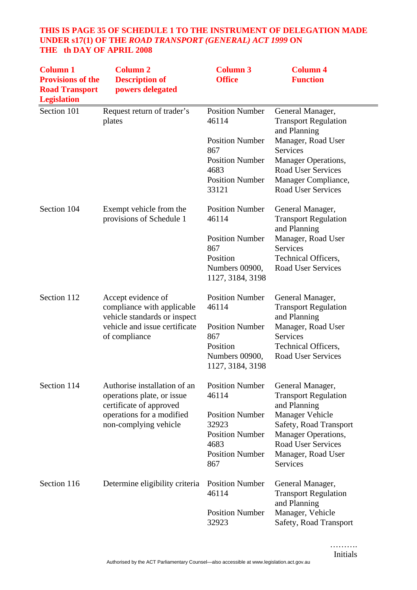# **THIS IS PAGE 35 OF SCHEDULE 1 TO THE INSTRUMENT OF DELEGATION MADE UNDER s17(1) OF THE** *ROAD TRANSPORT (GENERAL) ACT 1999* **ON THE th DAY OF APRIL 2008**

| <b>Column 1</b><br><b>Provisions of the</b><br><b>Road Transport</b><br><b>Legislation</b> | <b>Column 2</b><br><b>Description of</b><br>powers delegated                                                                       | <b>Column 3</b><br><b>Office</b>                                                                   | <b>Column 4</b><br><b>Function</b>                                                                                                     |
|--------------------------------------------------------------------------------------------|------------------------------------------------------------------------------------------------------------------------------------|----------------------------------------------------------------------------------------------------|----------------------------------------------------------------------------------------------------------------------------------------|
| Section 101                                                                                | Request return of trader's<br>plates                                                                                               | <b>Position Number</b><br>46114                                                                    | General Manager,<br><b>Transport Regulation</b><br>and Planning                                                                        |
|                                                                                            |                                                                                                                                    | <b>Position Number</b><br>867                                                                      | Manager, Road User<br><b>Services</b>                                                                                                  |
|                                                                                            |                                                                                                                                    | <b>Position Number</b><br>4683                                                                     | Manager Operations,<br><b>Road User Services</b>                                                                                       |
|                                                                                            |                                                                                                                                    | <b>Position Number</b><br>33121                                                                    | Manager Compliance,<br><b>Road User Services</b>                                                                                       |
| Section 104                                                                                | Exempt vehicle from the<br>provisions of Schedule 1                                                                                | <b>Position Number</b><br>46114                                                                    | General Manager,<br><b>Transport Regulation</b><br>and Planning                                                                        |
|                                                                                            |                                                                                                                                    | <b>Position Number</b><br>867                                                                      | Manager, Road User<br><b>Services</b>                                                                                                  |
|                                                                                            |                                                                                                                                    | Position<br>Numbers 00900,                                                                         | Technical Officers,<br><b>Road User Services</b>                                                                                       |
|                                                                                            |                                                                                                                                    | 1127, 3184, 3198                                                                                   |                                                                                                                                        |
| Section 112                                                                                | Accept evidence of<br>compliance with applicable<br>vehicle standards or inspect<br>vehicle and issue certificate<br>of compliance | <b>Position Number</b><br>46114                                                                    | General Manager,<br><b>Transport Regulation</b><br>and Planning                                                                        |
|                                                                                            |                                                                                                                                    | <b>Position Number</b><br>867                                                                      | Manager, Road User<br><b>Services</b>                                                                                                  |
|                                                                                            |                                                                                                                                    | Position<br>Numbers 00900,<br>1127, 3184, 3198                                                     | Technical Officers,<br><b>Road User Services</b>                                                                                       |
| Section 114                                                                                | Authorise installation of an<br>operations plate, or issue<br>certificate of approved                                              | <b>Position Number</b><br>46114                                                                    | General Manager,<br><b>Transport Regulation</b><br>and Planning                                                                        |
|                                                                                            | operations for a modified<br>non-complying vehicle                                                                                 | <b>Position Number</b><br>32923<br><b>Position Number</b><br>4683<br><b>Position Number</b><br>867 | Manager Vehicle<br>Safety, Road Transport<br>Manager Operations,<br><b>Road User Services</b><br>Manager, Road User<br><b>Services</b> |
| Section 116                                                                                | Determine eligibility criteria                                                                                                     | <b>Position Number</b><br>46114                                                                    | General Manager,<br><b>Transport Regulation</b>                                                                                        |
|                                                                                            |                                                                                                                                    | <b>Position Number</b><br>32923                                                                    | and Planning<br>Manager, Vehicle<br>Safety, Road Transport                                                                             |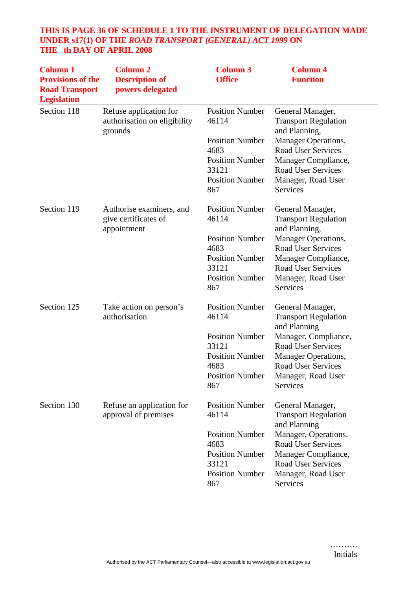# **THIS IS PAGE 36 OF SCHEDULE 1 TO THE INSTRUMENT OF DELEGATION MADE UNDER s17(1) OF THE** *ROAD TRANSPORT (GENERAL) ACT 1999* **ON THE th DAY OF APRIL 2008**

| <b>Column 1</b><br><b>Provisions of the</b><br><b>Road Transport</b><br><b>Legislation</b> | <b>Column 2</b><br><b>Description of</b><br>powers delegated      | <b>Column 3</b><br><b>Office</b>      | <b>Column 4</b><br><b>Function</b>                                 |
|--------------------------------------------------------------------------------------------|-------------------------------------------------------------------|---------------------------------------|--------------------------------------------------------------------|
| Section 118                                                                                | Refuse application for<br>authorisation on eligibility<br>grounds | <b>Position Number</b><br>46114       | General Manager,<br><b>Transport Regulation</b><br>and Planning,   |
|                                                                                            |                                                                   | <b>Position Number</b><br>4683        | Manager Operations,<br><b>Road User Services</b>                   |
|                                                                                            |                                                                   | <b>Position Number</b><br>33121       | Manager Compliance,<br><b>Road User Services</b>                   |
|                                                                                            |                                                                   | <b>Position Number</b><br>867         | Manager, Road User<br><b>Services</b>                              |
| Section 119                                                                                | Authorise examiners, and<br>give certificates of<br>appointment   | <b>Position Number</b><br>46114       | General Manager,<br><b>Transport Regulation</b><br>and Planning,   |
|                                                                                            |                                                                   | <b>Position Number</b>                | Manager Operations,                                                |
|                                                                                            |                                                                   | 4683<br><b>Position Number</b>        | <b>Road User Services</b><br>Manager Compliance,                   |
|                                                                                            |                                                                   | 33121                                 | <b>Road User Services</b>                                          |
|                                                                                            |                                                                   | <b>Position Number</b><br>867         | Manager, Road User<br>Services                                     |
| Section 125                                                                                | Take action on person's<br>authorisation                          | <b>Position Number</b><br>46114       | General Manager,<br><b>Transport Regulation</b><br>and Planning    |
|                                                                                            |                                                                   | <b>Position Number</b><br>33121       | Manager, Compliance,<br><b>Road User Services</b>                  |
|                                                                                            |                                                                   | <b>Position Number</b>                | <b>Manager Operations,</b>                                         |
|                                                                                            |                                                                   | 4683<br><b>Position Number</b><br>867 | <b>Road User Services</b><br>Manager, Road User<br><b>Services</b> |
| Section 130                                                                                | Refuse an application for<br>approval of premises                 | <b>Position Number</b><br>46114       | General Manager,<br><b>Transport Regulation</b><br>and Planning    |
|                                                                                            |                                                                   | <b>Position Number</b>                | Manager, Operations,                                               |
|                                                                                            |                                                                   | 4683                                  | <b>Road User Services</b>                                          |
|                                                                                            |                                                                   | <b>Position Number</b><br>33121       | Manager Compliance,<br><b>Road User Services</b>                   |
|                                                                                            |                                                                   | <b>Position Number</b><br>867         | Manager, Road User<br>Services                                     |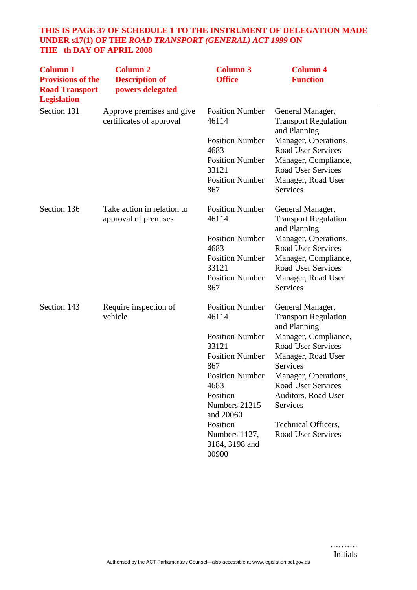# **THIS IS PAGE 37 OF SCHEDULE 1 TO THE INSTRUMENT OF DELEGATION MADE UNDER s17(1) OF THE** *ROAD TRANSPORT (GENERAL) ACT 1999* **ON THE th DAY OF APRIL 2008**

| <b>Column 1</b><br><b>Provisions of the</b><br><b>Road Transport</b><br><b>Legislation</b> | <b>Column 2</b><br><b>Description of</b><br>powers delegated | <b>Column 3</b><br><b>Office</b>   | <b>Column 4</b><br><b>Function</b>                              |
|--------------------------------------------------------------------------------------------|--------------------------------------------------------------|------------------------------------|-----------------------------------------------------------------|
| Section 131                                                                                | Approve premises and give<br>certificates of approval        | <b>Position Number</b><br>46114    | General Manager,<br><b>Transport Regulation</b><br>and Planning |
|                                                                                            |                                                              | <b>Position Number</b>             | Manager, Operations,                                            |
|                                                                                            |                                                              | 4683                               | <b>Road User Services</b>                                       |
|                                                                                            |                                                              | <b>Position Number</b>             | Manager, Compliance,                                            |
|                                                                                            |                                                              | 33121                              | <b>Road User Services</b>                                       |
|                                                                                            |                                                              | <b>Position Number</b><br>867      | Manager, Road User<br>Services                                  |
| Section 136                                                                                | Take action in relation to                                   | <b>Position Number</b>             | General Manager,                                                |
|                                                                                            | approval of premises                                         | 46114                              | <b>Transport Regulation</b><br>and Planning                     |
|                                                                                            |                                                              | <b>Position Number</b>             | Manager, Operations,                                            |
|                                                                                            |                                                              | 4683                               | <b>Road User Services</b>                                       |
|                                                                                            |                                                              | <b>Position Number</b>             | Manager, Compliance,                                            |
|                                                                                            |                                                              | 33121                              | <b>Road User Services</b>                                       |
|                                                                                            |                                                              | <b>Position Number</b><br>867      | Manager, Road User<br>Services                                  |
| Section 143                                                                                | Require inspection of                                        | <b>Position Number</b>             | General Manager,                                                |
|                                                                                            | vehicle                                                      | 46114                              | <b>Transport Regulation</b><br>and Planning                     |
|                                                                                            |                                                              | <b>Position Number</b>             | Manager, Compliance,                                            |
|                                                                                            |                                                              | 33121                              | <b>Road User Services</b>                                       |
|                                                                                            |                                                              | <b>Position Number</b>             | Manager, Road User                                              |
|                                                                                            |                                                              | 867                                | <b>Services</b>                                                 |
|                                                                                            |                                                              | <b>Position Number</b>             | Manager, Operations,                                            |
|                                                                                            |                                                              | 4683                               | Road User Services                                              |
|                                                                                            |                                                              |                                    |                                                                 |
|                                                                                            |                                                              | and 20060                          |                                                                 |
|                                                                                            |                                                              | Position                           | Technical Officers,                                             |
|                                                                                            |                                                              | Numbers 1127,<br>3184, 3198 and    | <b>Road User Services</b>                                       |
|                                                                                            |                                                              | Position<br>Numbers 21215<br>00900 | Auditors, Road User<br>Services                                 |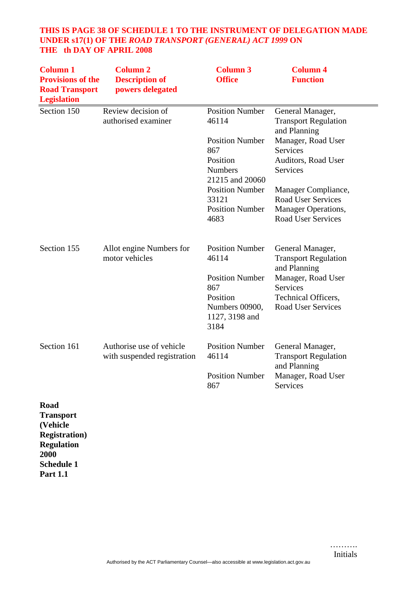# **THIS IS PAGE 38 OF SCHEDULE 1 TO THE INSTRUMENT OF DELEGATION MADE UNDER s17(1) OF THE** *ROAD TRANSPORT (GENERAL) ACT 1999* **ON THE th DAY OF APRIL 2008**

| <b>Column 1</b><br><b>Provisions of the</b><br><b>Road Transport</b><br><b>Legislation</b> | <b>Column 2</b><br><b>Description of</b><br>powers delegated | <b>Column 3</b><br><b>Office</b>                                                                                                                                                       | <b>Column 4</b><br><b>Function</b>                                                                                                                                                                                                                  |
|--------------------------------------------------------------------------------------------|--------------------------------------------------------------|----------------------------------------------------------------------------------------------------------------------------------------------------------------------------------------|-----------------------------------------------------------------------------------------------------------------------------------------------------------------------------------------------------------------------------------------------------|
| Section 150                                                                                | Review decision of<br>authorised examiner                    | <b>Position Number</b><br>46114<br><b>Position Number</b><br>867<br>Position<br><b>Numbers</b><br>21215 and 20060<br><b>Position Number</b><br>33121<br><b>Position Number</b><br>4683 | General Manager,<br><b>Transport Regulation</b><br>and Planning<br>Manager, Road User<br><b>Services</b><br>Auditors, Road User<br>Services<br>Manager Compliance,<br><b>Road User Services</b><br>Manager Operations,<br><b>Road User Services</b> |
| Section 155                                                                                | Allot engine Numbers for<br>motor vehicles                   | <b>Position Number</b><br>46114<br><b>Position Number</b><br>867<br>Position<br>Numbers 00900,<br>1127, 3198 and<br>3184                                                               | General Manager,<br><b>Transport Regulation</b><br>and Planning<br>Manager, Road User<br>Services<br>Technical Officers,<br><b>Road User Services</b>                                                                                               |
| Section 161                                                                                | Authorise use of vehicle<br>with suspended registration      | <b>Position Number</b><br>46114<br><b>Position Number</b><br>867                                                                                                                       | General Manager,<br><b>Transport Regulation</b><br>and Planning<br>Manager, Road User<br><b>Services</b>                                                                                                                                            |
| Road                                                                                       |                                                              |                                                                                                                                                                                        |                                                                                                                                                                                                                                                     |

**Transport (Vehicle Registration) Regulation 2000 Schedule 1 Part 1.1**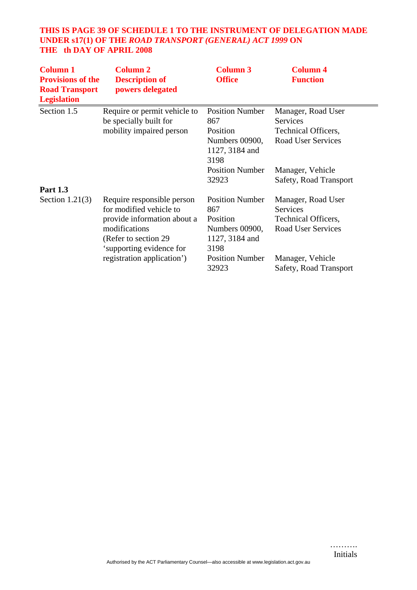# **THIS IS PAGE 39 OF SCHEDULE 1 TO THE INSTRUMENT OF DELEGATION MADE UNDER s17(1) OF THE** *ROAD TRANSPORT (GENERAL) ACT 1999* **ON THE th DAY OF APRIL 2008**

| <b>Column 1</b><br><b>Provisions of the</b><br><b>Road Transport</b><br><b>Legislation</b> | <b>Column 2</b><br><b>Description of</b><br>powers delegated                                                                                                                             | <b>Column 3</b><br><b>Office</b>                                                                                | <b>Column 4</b><br><b>Function</b>                                                              |
|--------------------------------------------------------------------------------------------|------------------------------------------------------------------------------------------------------------------------------------------------------------------------------------------|-----------------------------------------------------------------------------------------------------------------|-------------------------------------------------------------------------------------------------|
| Section 1.5                                                                                | Require or permit vehicle to<br>be specially built for<br>mobility impaired person                                                                                                       | <b>Position Number</b><br>867<br>Position<br>Numbers 00900,<br>1127, 3184 and<br>3198                           | Manager, Road User<br>Services<br><b>Technical Officers,</b><br><b>Road User Services</b>       |
| <b>Part 1.3</b>                                                                            |                                                                                                                                                                                          | <b>Position Number</b><br>32923                                                                                 | Manager, Vehicle<br>Safety, Road Transport                                                      |
| Section $1.21(3)$                                                                          | Require responsible person<br>for modified vehicle to<br>provide information about a<br>modifications<br>(Refer to section 29)<br>'supporting evidence for<br>registration application') | <b>Position Number</b><br>867<br>Position<br>Numbers 00900,<br>1127, 3184 and<br>3198<br><b>Position Number</b> | Manager, Road User<br>Services<br>Technical Officers,<br>Road User Services<br>Manager, Vehicle |
|                                                                                            |                                                                                                                                                                                          | 32923                                                                                                           | Safety, Road Transport                                                                          |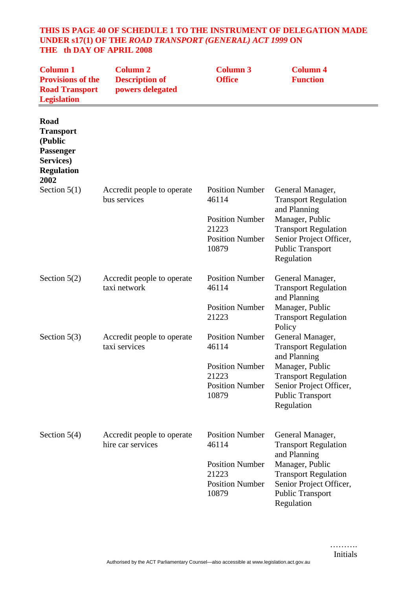#### **THIS IS PAGE 40 OF SCHEDULE 1 TO THE INSTRUMENT OF DELEGATION MADE UNDER s17(1) OF THE** *ROAD TRANSPORT (GENERAL) ACT 1999* **ON THE th DAY OF APRIL 2008**

| <b>Column 1</b><br><b>Provisions of the</b><br><b>Road Transport</b><br><b>Legislation</b>        | <b>Column 2</b><br><b>Description of</b><br>powers delegated | <b>Column 3</b><br><b>Office</b>                                                                      | <b>Column 4</b><br><b>Function</b>                                                                                                                                                              |
|---------------------------------------------------------------------------------------------------|--------------------------------------------------------------|-------------------------------------------------------------------------------------------------------|-------------------------------------------------------------------------------------------------------------------------------------------------------------------------------------------------|
| Road<br><b>Transport</b><br>(Public<br><b>Passenger</b><br>Services)<br><b>Regulation</b><br>2002 |                                                              |                                                                                                       |                                                                                                                                                                                                 |
| Section $5(1)$                                                                                    | Accredit people to operate<br>bus services                   | <b>Position Number</b><br>46114<br><b>Position Number</b><br>21223<br><b>Position Number</b><br>10879 | General Manager,<br><b>Transport Regulation</b><br>and Planning<br>Manager, Public<br><b>Transport Regulation</b><br>Senior Project Officer,<br><b>Public Transport</b><br>Regulation           |
| Section $5(2)$                                                                                    | Accredit people to operate<br>taxi network                   | <b>Position Number</b><br>46114<br><b>Position Number</b><br>21223                                    | General Manager,<br><b>Transport Regulation</b><br>and Planning<br>Manager, Public<br><b>Transport Regulation</b>                                                                               |
| Section $5(3)$                                                                                    | Accredit people to operate<br>taxi services                  | <b>Position Number</b><br>46114<br><b>Position Number</b><br>21223<br><b>Position Number</b><br>10879 | Policy<br>General Manager,<br><b>Transport Regulation</b><br>and Planning<br>Manager, Public<br><b>Transport Regulation</b><br>Senior Project Officer,<br><b>Public Transport</b><br>Regulation |
| Section $5(4)$                                                                                    | Accredit people to operate<br>hire car services              | <b>Position Number</b><br>46114<br><b>Position Number</b><br>21223<br><b>Position Number</b><br>10879 | General Manager,<br><b>Transport Regulation</b><br>and Planning<br>Manager, Public<br><b>Transport Regulation</b><br>Senior Project Officer,<br>Public Transport<br>Regulation                  |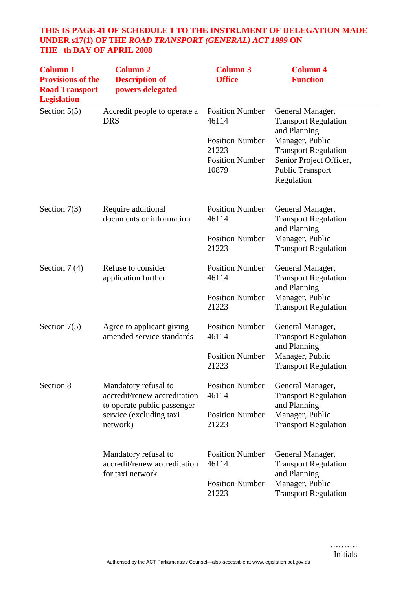# **THIS IS PAGE 41 OF SCHEDULE 1 TO THE INSTRUMENT OF DELEGATION MADE UNDER s17(1) OF THE** *ROAD TRANSPORT (GENERAL) ACT 1999* **ON THE th DAY OF APRIL 2008**

| <b>Column 1</b><br><b>Provisions of the</b><br><b>Road Transport</b><br><b>Legislation</b> | <b>Column 2</b><br><b>Description of</b><br>powers delegated                        | <b>Column 3</b><br><b>Office</b>                                   | <b>Column 4</b><br><b>Function</b>                                                                                 |
|--------------------------------------------------------------------------------------------|-------------------------------------------------------------------------------------|--------------------------------------------------------------------|--------------------------------------------------------------------------------------------------------------------|
| Section $5(5)$                                                                             | Accredit people to operate a<br><b>DRS</b>                                          | <b>Position Number</b><br>46114                                    | General Manager,<br><b>Transport Regulation</b><br>and Planning                                                    |
|                                                                                            |                                                                                     | <b>Position Number</b><br>21223<br><b>Position Number</b><br>10879 | Manager, Public<br><b>Transport Regulation</b><br>Senior Project Officer,<br><b>Public Transport</b><br>Regulation |
| Section $7(3)$                                                                             | Require additional<br>documents or information                                      | <b>Position Number</b><br>46114                                    | General Manager,<br><b>Transport Regulation</b><br>and Planning                                                    |
|                                                                                            |                                                                                     | <b>Position Number</b><br>21223                                    | Manager, Public<br><b>Transport Regulation</b>                                                                     |
| Section $7(4)$                                                                             | Refuse to consider<br>application further                                           | <b>Position Number</b><br>46114                                    | General Manager,<br><b>Transport Regulation</b><br>and Planning                                                    |
|                                                                                            |                                                                                     | <b>Position Number</b><br>21223                                    | Manager, Public<br><b>Transport Regulation</b>                                                                     |
| Section $7(5)$                                                                             | Agree to applicant giving<br>amended service standards                              | <b>Position Number</b><br>46114                                    | General Manager,<br><b>Transport Regulation</b><br>and Planning                                                    |
|                                                                                            |                                                                                     | <b>Position Number</b><br>21223                                    | Manager, Public<br><b>Transport Regulation</b>                                                                     |
| Section 8                                                                                  | Mandatory refusal to<br>accredit/renew accreditation<br>to operate public passenger | <b>Position Number</b><br>46114                                    | General Manager,<br><b>Transport Regulation</b><br>and Planning                                                    |
|                                                                                            | service (excluding taxi<br>network)                                                 | <b>Position Number</b><br>21223                                    | Manager, Public<br><b>Transport Regulation</b>                                                                     |
|                                                                                            | Mandatory refusal to<br>accredit/renew accreditation<br>for taxi network            | <b>Position Number</b><br>46114                                    | General Manager,<br><b>Transport Regulation</b><br>and Planning                                                    |
|                                                                                            |                                                                                     | <b>Position Number</b><br>21223                                    | Manager, Public<br><b>Transport Regulation</b>                                                                     |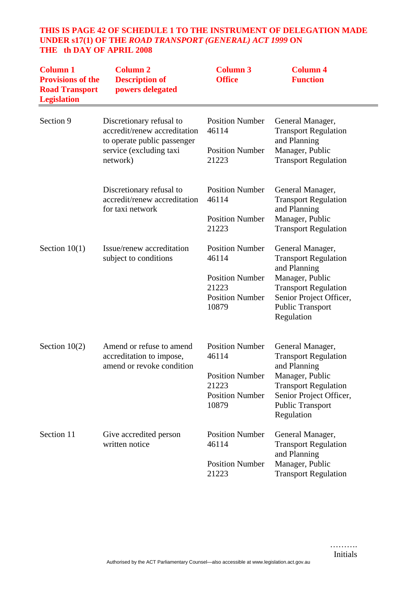# **THIS IS PAGE 42 OF SCHEDULE 1 TO THE INSTRUMENT OF DELEGATION MADE UNDER s17(1) OF THE** *ROAD TRANSPORT (GENERAL) ACT 1999* **ON THE th DAY OF APRIL 2008**

| <b>Column 1</b><br><b>Provisions of the</b><br><b>Road Transport</b><br><b>Legislation</b> | <b>Column 2</b><br><b>Description of</b><br>powers delegated                                                       | <b>Column 3</b><br><b>Office</b>                          | <b>Column 4</b><br><b>Function</b>                                                 |
|--------------------------------------------------------------------------------------------|--------------------------------------------------------------------------------------------------------------------|-----------------------------------------------------------|------------------------------------------------------------------------------------|
| Section 9                                                                                  | Discretionary refusal to<br>accredit/renew accreditation<br>to operate public passenger<br>service (excluding taxi | <b>Position Number</b><br>46114<br><b>Position Number</b> | General Manager,<br><b>Transport Regulation</b><br>and Planning<br>Manager, Public |
|                                                                                            | network)                                                                                                           | 21223                                                     | <b>Transport Regulation</b>                                                        |
|                                                                                            | Discretionary refusal to<br>accredit/renew accreditation<br>for taxi network                                       | <b>Position Number</b><br>46114                           | General Manager,<br><b>Transport Regulation</b><br>and Planning                    |
|                                                                                            |                                                                                                                    | <b>Position Number</b><br>21223                           | Manager, Public<br><b>Transport Regulation</b>                                     |
| Section $10(1)$                                                                            | Issue/renew accreditation<br>subject to conditions                                                                 | <b>Position Number</b><br>46114                           | General Manager,<br><b>Transport Regulation</b><br>and Planning                    |
|                                                                                            |                                                                                                                    | <b>Position Number</b><br>21223                           | Manager, Public<br><b>Transport Regulation</b>                                     |
|                                                                                            |                                                                                                                    | <b>Position Number</b><br>10879                           | Senior Project Officer,<br><b>Public Transport</b><br>Regulation                   |
| Section $10(2)$                                                                            | Amend or refuse to amend<br>accreditation to impose,<br>amend or revoke condition                                  | <b>Position Number</b><br>46114                           | General Manager,<br><b>Transport Regulation</b><br>and Planning                    |
|                                                                                            |                                                                                                                    | <b>Position Number</b><br>21223<br><b>Position Number</b> | Manager, Public<br><b>Transport Regulation</b><br>Senior Project Officer,          |
|                                                                                            |                                                                                                                    | 10879                                                     | Public Transport<br>Regulation                                                     |
| Section 11                                                                                 | Give accredited person<br>written notice                                                                           | <b>Position Number</b><br>46114                           | General Manager,<br><b>Transport Regulation</b><br>and Planning                    |
|                                                                                            |                                                                                                                    | <b>Position Number</b><br>21223                           | Manager, Public<br><b>Transport Regulation</b>                                     |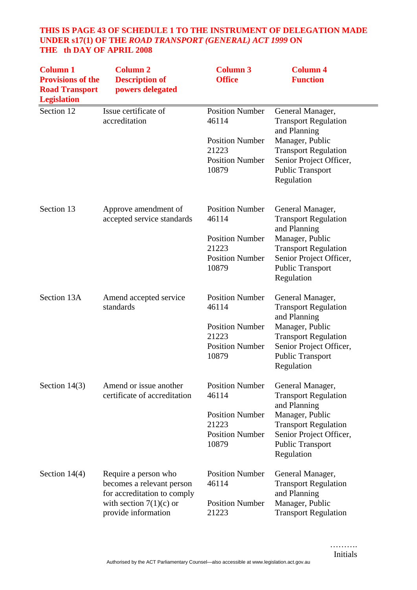# **THIS IS PAGE 43 OF SCHEDULE 1 TO THE INSTRUMENT OF DELEGATION MADE UNDER s17(1) OF THE** *ROAD TRANSPORT (GENERAL) ACT 1999* **ON THE th DAY OF APRIL 2008**

| <b>Column 1</b><br><b>Provisions of the</b><br><b>Road Transport</b><br><b>Legislation</b> | <b>Column 2</b><br><b>Description of</b><br>powers delegated                                                                         | <b>Column 3</b><br><b>Office</b>                                                                      | <b>Column 4</b><br><b>Function</b>                                                                                                                                                    |
|--------------------------------------------------------------------------------------------|--------------------------------------------------------------------------------------------------------------------------------------|-------------------------------------------------------------------------------------------------------|---------------------------------------------------------------------------------------------------------------------------------------------------------------------------------------|
| Section 12                                                                                 | Issue certificate of<br>accreditation                                                                                                | <b>Position Number</b><br>46114<br><b>Position Number</b><br>21223<br><b>Position Number</b><br>10879 | General Manager,<br><b>Transport Regulation</b><br>and Planning<br>Manager, Public<br><b>Transport Regulation</b><br>Senior Project Officer,<br><b>Public Transport</b><br>Regulation |
| Section 13                                                                                 | Approve amendment of<br>accepted service standards                                                                                   | <b>Position Number</b><br>46114<br><b>Position Number</b><br>21223<br><b>Position Number</b><br>10879 | General Manager,<br><b>Transport Regulation</b><br>and Planning<br>Manager, Public<br><b>Transport Regulation</b><br>Senior Project Officer,<br><b>Public Transport</b><br>Regulation |
| Section 13A                                                                                | Amend accepted service<br>standards                                                                                                  | <b>Position Number</b><br>46114<br><b>Position Number</b><br>21223<br><b>Position Number</b><br>10879 | General Manager,<br><b>Transport Regulation</b><br>and Planning<br>Manager, Public<br><b>Transport Regulation</b><br>Senior Project Officer,<br><b>Public Transport</b><br>Regulation |
| Section $14(3)$                                                                            | Amend or issue another<br>certificate of accreditation                                                                               | <b>Position Number</b><br>46114<br><b>Position Number</b><br>21223<br><b>Position Number</b><br>10879 | General Manager,<br><b>Transport Regulation</b><br>and Planning<br>Manager, Public<br><b>Transport Regulation</b><br>Senior Project Officer,<br><b>Public Transport</b><br>Regulation |
| Section $14(4)$                                                                            | Require a person who<br>becomes a relevant person<br>for accreditation to comply<br>with section $7(1)(c)$ or<br>provide information | <b>Position Number</b><br>46114<br><b>Position Number</b><br>21223                                    | General Manager,<br><b>Transport Regulation</b><br>and Planning<br>Manager, Public<br><b>Transport Regulation</b>                                                                     |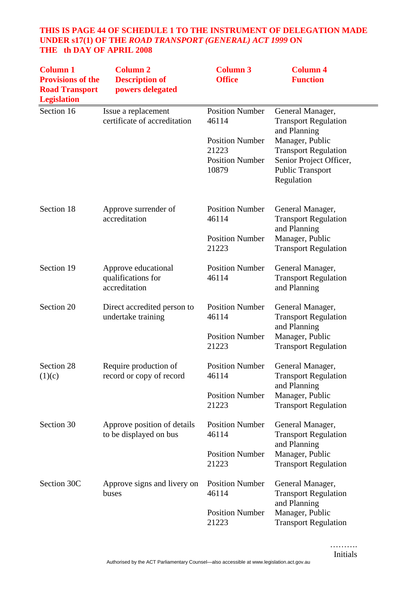# **THIS IS PAGE 44 OF SCHEDULE 1 TO THE INSTRUMENT OF DELEGATION MADE UNDER s17(1) OF THE** *ROAD TRANSPORT (GENERAL) ACT 1999* **ON THE th DAY OF APRIL 2008**

| <b>Column 1</b><br><b>Provisions of the</b><br><b>Road Transport</b><br><b>Legislation</b> | <b>Column 2</b><br><b>Description of</b><br>powers delegated | <b>Column 3</b><br><b>Office</b>                                   | <b>Column 4</b><br><b>Function</b>                                                                          |
|--------------------------------------------------------------------------------------------|--------------------------------------------------------------|--------------------------------------------------------------------|-------------------------------------------------------------------------------------------------------------|
| Section 16                                                                                 | Issue a replacement<br>certificate of accreditation          | <b>Position Number</b><br>46114                                    | General Manager,<br><b>Transport Regulation</b><br>and Planning                                             |
|                                                                                            |                                                              | <b>Position Number</b><br>21223<br><b>Position Number</b><br>10879 | Manager, Public<br><b>Transport Regulation</b><br>Senior Project Officer,<br>Public Transport<br>Regulation |
| Section 18                                                                                 | Approve surrender of<br>accreditation                        | <b>Position Number</b><br>46114                                    | General Manager,<br><b>Transport Regulation</b><br>and Planning                                             |
|                                                                                            |                                                              | <b>Position Number</b><br>21223                                    | Manager, Public<br><b>Transport Regulation</b>                                                              |
| Section 19                                                                                 | Approve educational<br>qualifications for<br>accreditation   | <b>Position Number</b><br>46114                                    | General Manager,<br><b>Transport Regulation</b><br>and Planning                                             |
| Section 20                                                                                 | Direct accredited person to<br>undertake training            | <b>Position Number</b><br>46114                                    | General Manager,<br><b>Transport Regulation</b><br>and Planning                                             |
|                                                                                            |                                                              | <b>Position Number</b><br>21223                                    | Manager, Public<br><b>Transport Regulation</b>                                                              |
| Section 28<br>(1)(c)                                                                       | Require production of<br>record or copy of record            | <b>Position Number</b><br>46114                                    | General Manager,<br><b>Transport Regulation</b><br>and Planning                                             |
|                                                                                            |                                                              | <b>Position Number</b><br>21223                                    | Manager, Public<br><b>Transport Regulation</b>                                                              |
| Section 30                                                                                 | Approve position of details<br>to be displayed on bus        | <b>Position Number</b><br>46114                                    | General Manager,<br><b>Transport Regulation</b>                                                             |
|                                                                                            |                                                              | <b>Position Number</b><br>21223                                    | and Planning<br>Manager, Public<br><b>Transport Regulation</b>                                              |
| Section 30C                                                                                | Approve signs and livery on<br>buses                         | <b>Position Number</b><br>46114                                    | General Manager,<br><b>Transport Regulation</b>                                                             |
|                                                                                            |                                                              | <b>Position Number</b><br>21223                                    | and Planning<br>Manager, Public<br><b>Transport Regulation</b>                                              |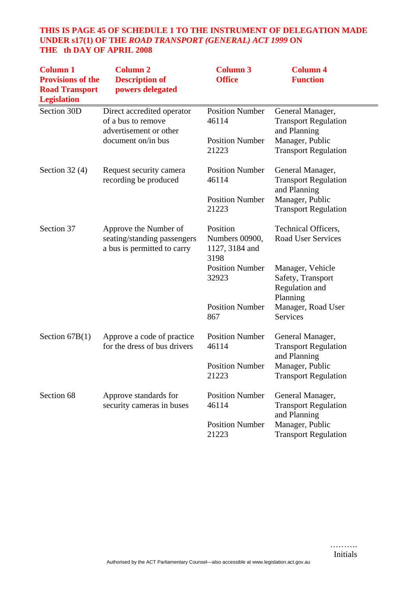# **THIS IS PAGE 45 OF SCHEDULE 1 TO THE INSTRUMENT OF DELEGATION MADE UNDER s17(1) OF THE** *ROAD TRANSPORT (GENERAL) ACT 1999* **ON THE th DAY OF APRIL 2008**

| <b>Column 1</b><br><b>Provisions of the</b><br><b>Road Transport</b><br><b>Legislation</b> | <b>Column 2</b><br><b>Description of</b><br>powers delegated                        | <b>Column 3</b><br><b>Office</b>                     | <b>Column 4</b><br><b>Function</b>                                  |
|--------------------------------------------------------------------------------------------|-------------------------------------------------------------------------------------|------------------------------------------------------|---------------------------------------------------------------------|
| Section 30D                                                                                | Direct accredited operator<br>of a bus to remove<br>advertisement or other          | <b>Position Number</b><br>46114                      | General Manager,<br><b>Transport Regulation</b><br>and Planning     |
|                                                                                            | document on/in bus                                                                  | <b>Position Number</b><br>21223                      | Manager, Public<br><b>Transport Regulation</b>                      |
| Section $32(4)$                                                                            | Request security camera<br>recording be produced                                    | <b>Position Number</b><br>46114                      | General Manager,<br><b>Transport Regulation</b><br>and Planning     |
|                                                                                            |                                                                                     | <b>Position Number</b><br>21223                      | Manager, Public<br><b>Transport Regulation</b>                      |
| Section 37                                                                                 | Approve the Number of<br>seating/standing passengers<br>a bus is permitted to carry | Position<br>Numbers 00900,<br>1127, 3184 and<br>3198 | Technical Officers,<br><b>Road User Services</b>                    |
|                                                                                            |                                                                                     | <b>Position Number</b><br>32923                      | Manager, Vehicle<br>Safety, Transport<br>Regulation and<br>Planning |
|                                                                                            |                                                                                     | <b>Position Number</b><br>867                        | Manager, Road User<br>Services                                      |
| Section $67B(1)$                                                                           | Approve a code of practice<br>for the dress of bus drivers                          | <b>Position Number</b><br>46114                      | General Manager,<br><b>Transport Regulation</b><br>and Planning     |
|                                                                                            |                                                                                     | <b>Position Number</b><br>21223                      | Manager, Public<br><b>Transport Regulation</b>                      |
| Section 68                                                                                 | Approve standards for<br>security cameras in buses                                  | <b>Position Number</b><br>46114                      | General Manager,<br><b>Transport Regulation</b><br>and Planning     |
|                                                                                            |                                                                                     | <b>Position Number</b><br>21223                      | Manager, Public<br><b>Transport Regulation</b>                      |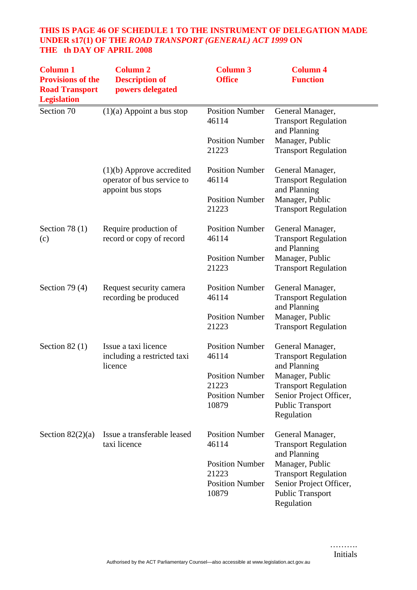# **THIS IS PAGE 46 OF SCHEDULE 1 TO THE INSTRUMENT OF DELEGATION MADE UNDER s17(1) OF THE** *ROAD TRANSPORT (GENERAL) ACT 1999* **ON THE th DAY OF APRIL 2008**

| <b>Column 1</b><br><b>Provisions of the</b><br><b>Road Transport</b><br><b>Legislation</b> | <b>Column 2</b><br><b>Description of</b><br>powers delegated                   | <b>Column 3</b><br><b>Office</b> | <b>Column 4</b><br><b>Function</b>                               |
|--------------------------------------------------------------------------------------------|--------------------------------------------------------------------------------|----------------------------------|------------------------------------------------------------------|
| Section 70                                                                                 | $(1)(a)$ Appoint a bus stop                                                    | <b>Position Number</b><br>46114  | General Manager,<br><b>Transport Regulation</b><br>and Planning  |
|                                                                                            |                                                                                | <b>Position Number</b><br>21223  | Manager, Public<br><b>Transport Regulation</b>                   |
|                                                                                            | $(1)(b)$ Approve accredited<br>operator of bus service to<br>appoint bus stops | <b>Position Number</b><br>46114  | General Manager,<br><b>Transport Regulation</b><br>and Planning  |
|                                                                                            |                                                                                | <b>Position Number</b><br>21223  | Manager, Public<br><b>Transport Regulation</b>                   |
| Section 78 $(1)$<br>(c)                                                                    | Require production of<br>record or copy of record                              | <b>Position Number</b><br>46114  | General Manager,<br><b>Transport Regulation</b><br>and Planning  |
|                                                                                            |                                                                                | <b>Position Number</b><br>21223  | Manager, Public<br><b>Transport Regulation</b>                   |
| Section 79 $(4)$                                                                           | Request security camera<br>recording be produced                               | <b>Position Number</b><br>46114  | General Manager,<br><b>Transport Regulation</b><br>and Planning  |
|                                                                                            |                                                                                | <b>Position Number</b><br>21223  | Manager, Public<br><b>Transport Regulation</b>                   |
| Section $82(1)$                                                                            | Issue a taxi licence<br>including a restricted taxi<br>licence                 | <b>Position Number</b><br>46114  | General Manager,<br><b>Transport Regulation</b><br>and Planning  |
|                                                                                            |                                                                                | <b>Position Number</b>           | Manager, Public                                                  |
|                                                                                            |                                                                                | 21223                            | <b>Transport Regulation</b>                                      |
|                                                                                            |                                                                                | <b>Position Number</b><br>10879  | Senior Project Officer,<br>Public Transport<br>Regulation        |
| Section $82(2)(a)$                                                                         | Issue a transferable leased<br>taxi licence                                    | <b>Position Number</b><br>46114  | General Manager,<br><b>Transport Regulation</b><br>and Planning  |
|                                                                                            |                                                                                | <b>Position Number</b>           | Manager, Public                                                  |
|                                                                                            |                                                                                | 21223                            | <b>Transport Regulation</b>                                      |
|                                                                                            |                                                                                | <b>Position Number</b><br>10879  | Senior Project Officer,<br><b>Public Transport</b><br>Regulation |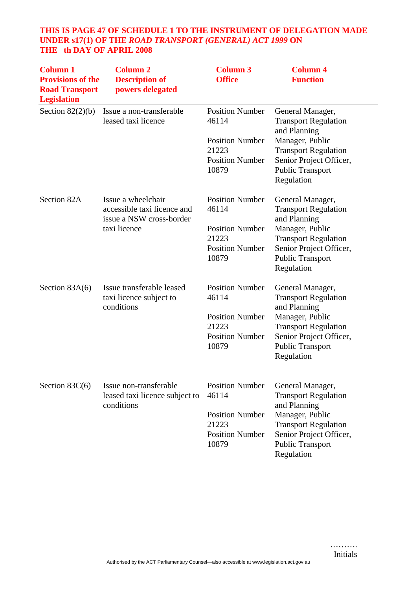# **THIS IS PAGE 47 OF SCHEDULE 1 TO THE INSTRUMENT OF DELEGATION MADE UNDER s17(1) OF THE** *ROAD TRANSPORT (GENERAL) ACT 1999* **ON THE th DAY OF APRIL 2008**

| <b>Column 1</b><br><b>Provisions of the</b><br><b>Road Transport</b><br><b>Legislation</b> | <b>Column 2</b><br><b>Description of</b><br>powers delegated                                  | <b>Column 3</b><br><b>Office</b>                                                                      | <b>Column 4</b><br><b>Function</b>                                                                                                                                                    |
|--------------------------------------------------------------------------------------------|-----------------------------------------------------------------------------------------------|-------------------------------------------------------------------------------------------------------|---------------------------------------------------------------------------------------------------------------------------------------------------------------------------------------|
| Section $82(2)(b)$                                                                         | Issue a non-transferable<br>leased taxi licence                                               | <b>Position Number</b><br>46114<br><b>Position Number</b><br>21223<br><b>Position Number</b><br>10879 | General Manager,<br><b>Transport Regulation</b><br>and Planning<br>Manager, Public<br><b>Transport Regulation</b><br>Senior Project Officer,<br><b>Public Transport</b><br>Regulation |
| Section 82A                                                                                | Issue a wheelchair<br>accessible taxi licence and<br>issue a NSW cross-border<br>taxi licence | <b>Position Number</b><br>46114<br><b>Position Number</b><br>21223<br><b>Position Number</b><br>10879 | General Manager,<br><b>Transport Regulation</b><br>and Planning<br>Manager, Public<br><b>Transport Regulation</b><br>Senior Project Officer,<br><b>Public Transport</b><br>Regulation |
| Section $83A(6)$                                                                           | Issue transferable leased<br>taxi licence subject to<br>conditions                            | <b>Position Number</b><br>46114<br><b>Position Number</b><br>21223<br><b>Position Number</b><br>10879 | General Manager,<br><b>Transport Regulation</b><br>and Planning<br>Manager, Public<br><b>Transport Regulation</b><br>Senior Project Officer,<br><b>Public Transport</b><br>Regulation |
| Section $83C(6)$                                                                           | Issue non-transferable<br>leased taxi licence subject to<br>conditions                        | <b>Position Number</b><br>46114<br><b>Position Number</b><br>21223<br><b>Position Number</b><br>10879 | General Manager,<br><b>Transport Regulation</b><br>and Planning<br>Manager, Public<br><b>Transport Regulation</b><br>Senior Project Officer,<br><b>Public Transport</b><br>Regulation |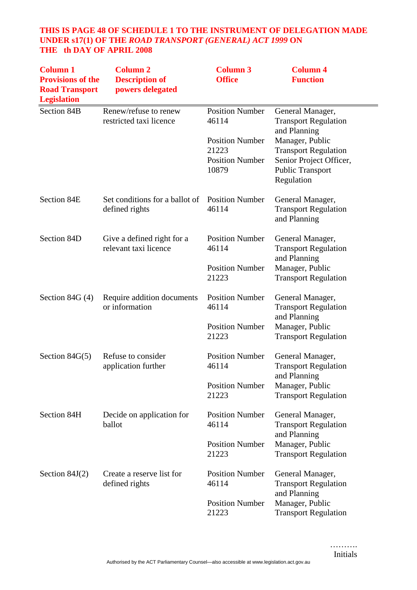# **THIS IS PAGE 48 OF SCHEDULE 1 TO THE INSTRUMENT OF DELEGATION MADE UNDER s17(1) OF THE** *ROAD TRANSPORT (GENERAL) ACT 1999* **ON THE th DAY OF APRIL 2008**

| <b>Column 1</b><br><b>Provisions of the</b><br><b>Road Transport</b><br><b>Legislation</b> | <b>Column 2</b><br><b>Description of</b><br>powers delegated | <b>Column 3</b><br><b>Office</b>                          | <b>Column 4</b><br><b>Function</b>                                                                          |
|--------------------------------------------------------------------------------------------|--------------------------------------------------------------|-----------------------------------------------------------|-------------------------------------------------------------------------------------------------------------|
| Section 84B                                                                                | Renew/refuse to renew<br>restricted taxi licence             | <b>Position Number</b><br>46114<br><b>Position Number</b> | General Manager,<br><b>Transport Regulation</b><br>and Planning                                             |
|                                                                                            |                                                              | 21223<br><b>Position Number</b><br>10879                  | Manager, Public<br><b>Transport Regulation</b><br>Senior Project Officer,<br>Public Transport<br>Regulation |
| Section 84E                                                                                | Set conditions for a ballot of<br>defined rights             | <b>Position Number</b><br>46114                           | General Manager,<br><b>Transport Regulation</b><br>and Planning                                             |
| Section 84D                                                                                | Give a defined right for a<br>relevant taxi licence          | <b>Position Number</b><br>46114                           | General Manager,<br><b>Transport Regulation</b><br>and Planning                                             |
|                                                                                            |                                                              | <b>Position Number</b><br>21223                           | Manager, Public<br><b>Transport Regulation</b>                                                              |
| Section 84G $(4)$                                                                          | Require addition documents<br>or information                 | <b>Position Number</b><br>46114                           | General Manager,<br><b>Transport Regulation</b><br>and Planning                                             |
|                                                                                            |                                                              | <b>Position Number</b><br>21223                           | Manager, Public<br><b>Transport Regulation</b>                                                              |
| Section $84G(5)$                                                                           | Refuse to consider<br>application further                    | <b>Position Number</b><br>46114                           | General Manager,<br><b>Transport Regulation</b><br>and Planning                                             |
|                                                                                            |                                                              | <b>Position Number</b><br>21223                           | Manager, Public<br><b>Transport Regulation</b>                                                              |
| Section 84H                                                                                | Decide on application for<br>ballot                          | <b>Position Number</b><br>46114                           | General Manager,<br><b>Transport Regulation</b><br>and Planning                                             |
|                                                                                            |                                                              | <b>Position Number</b><br>21223                           | Manager, Public<br><b>Transport Regulation</b>                                                              |
| Section $84J(2)$                                                                           | Create a reserve list for<br>defined rights                  | <b>Position Number</b><br>46114                           | General Manager,<br><b>Transport Regulation</b><br>and Planning                                             |
|                                                                                            |                                                              | <b>Position Number</b><br>21223                           | Manager, Public<br><b>Transport Regulation</b>                                                              |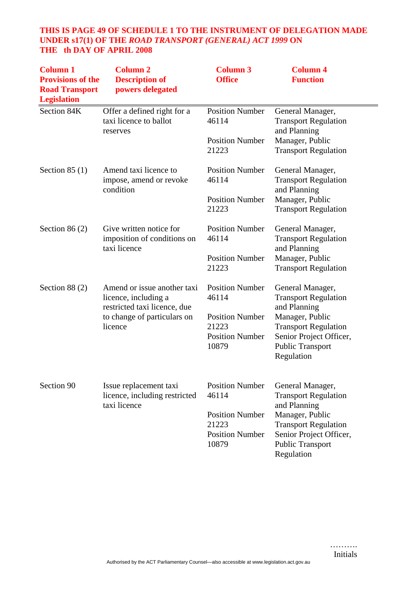# **THIS IS PAGE 49 OF SCHEDULE 1 TO THE INSTRUMENT OF DELEGATION MADE UNDER s17(1) OF THE** *ROAD TRANSPORT (GENERAL) ACT 1999* **ON THE th DAY OF APRIL 2008**

| <b>Column 1</b><br><b>Provisions of the</b><br><b>Road Transport</b><br><b>Legislation</b> | <b>Column 2</b><br><b>Description of</b><br>powers delegated                                                                  | <b>Column 3</b><br><b>Office</b> | <b>Column 4</b><br><b>Function</b>                               |
|--------------------------------------------------------------------------------------------|-------------------------------------------------------------------------------------------------------------------------------|----------------------------------|------------------------------------------------------------------|
| Section 84K                                                                                | Offer a defined right for a<br>taxi licence to ballot<br>reserves                                                             | <b>Position Number</b><br>46114  | General Manager,<br><b>Transport Regulation</b><br>and Planning  |
|                                                                                            |                                                                                                                               | <b>Position Number</b><br>21223  | Manager, Public<br><b>Transport Regulation</b>                   |
| Section $85(1)$                                                                            | Amend taxi licence to<br>impose, amend or revoke<br>condition                                                                 | <b>Position Number</b><br>46114  | General Manager,<br><b>Transport Regulation</b><br>and Planning  |
|                                                                                            |                                                                                                                               | <b>Position Number</b><br>21223  | Manager, Public<br><b>Transport Regulation</b>                   |
| Section $86(2)$                                                                            | Give written notice for<br>imposition of conditions on<br>taxi licence                                                        | <b>Position Number</b><br>46114  | General Manager,<br><b>Transport Regulation</b><br>and Planning  |
|                                                                                            |                                                                                                                               | <b>Position Number</b><br>21223  | Manager, Public<br><b>Transport Regulation</b>                   |
| Section $88(2)$                                                                            | Amend or issue another taxi<br>licence, including a<br>restricted taxi licence, due<br>to change of particulars on<br>licence | <b>Position Number</b><br>46114  | General Manager,<br><b>Transport Regulation</b>                  |
|                                                                                            |                                                                                                                               | <b>Position Number</b><br>21223  | and Planning<br>Manager, Public<br><b>Transport Regulation</b>   |
|                                                                                            |                                                                                                                               | <b>Position Number</b><br>10879  | Senior Project Officer,<br><b>Public Transport</b><br>Regulation |
| Section 90                                                                                 | Issue replacement taxi<br>licence, including restricted<br>taxi licence                                                       | <b>Position Number</b><br>46114  | General Manager,<br><b>Transport Regulation</b>                  |
|                                                                                            |                                                                                                                               | <b>Position Number</b><br>21223  | and Planning<br>Manager, Public<br><b>Transport Regulation</b>   |
|                                                                                            |                                                                                                                               | <b>Position Number</b><br>10879  | Senior Project Officer,<br><b>Public Transport</b><br>Regulation |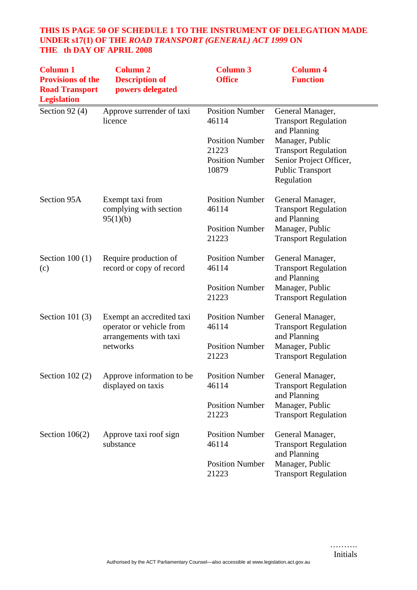# **THIS IS PAGE 50 OF SCHEDULE 1 TO THE INSTRUMENT OF DELEGATION MADE UNDER s17(1) OF THE** *ROAD TRANSPORT (GENERAL) ACT 1999* **ON THE th DAY OF APRIL 2008**

| <b>Column 1</b><br><b>Provisions of the</b><br><b>Road Transport</b><br><b>Legislation</b> | <b>Column 2</b><br><b>Description of</b><br>powers delegated                                | <b>Column 3</b><br><b>Office</b>                                   | <b>Column 4</b><br><b>Function</b>                                                                                 |
|--------------------------------------------------------------------------------------------|---------------------------------------------------------------------------------------------|--------------------------------------------------------------------|--------------------------------------------------------------------------------------------------------------------|
| Section 92 $(4)$                                                                           | Approve surrender of taxi<br>licence                                                        | <b>Position Number</b><br>46114                                    | General Manager,<br><b>Transport Regulation</b><br>and Planning                                                    |
|                                                                                            |                                                                                             | <b>Position Number</b><br>21223<br><b>Position Number</b><br>10879 | Manager, Public<br><b>Transport Regulation</b><br>Senior Project Officer,<br><b>Public Transport</b><br>Regulation |
| Section 95A                                                                                | Exempt taxi from<br>complying with section                                                  | <b>Position Number</b><br>46114                                    | General Manager,<br><b>Transport Regulation</b><br>and Planning                                                    |
|                                                                                            | 95(1)(b)                                                                                    | <b>Position Number</b><br>21223                                    | Manager, Public<br><b>Transport Regulation</b>                                                                     |
| Section $100(1)$<br>(c)                                                                    | Require production of<br>record or copy of record                                           | <b>Position Number</b><br>46114                                    | General Manager,<br><b>Transport Regulation</b><br>and Planning                                                    |
|                                                                                            |                                                                                             | <b>Position Number</b><br>21223                                    | Manager, Public<br><b>Transport Regulation</b>                                                                     |
| Section 101 $(3)$                                                                          | Exempt an accredited taxi<br>operator or vehicle from<br>arrangements with taxi<br>networks | <b>Position Number</b><br>46114                                    | General Manager,<br><b>Transport Regulation</b><br>and Planning                                                    |
|                                                                                            |                                                                                             | <b>Position Number</b><br>21223                                    | Manager, Public<br><b>Transport Regulation</b>                                                                     |
| Section $102(2)$                                                                           | Approve information to be<br>displayed on taxis                                             | <b>Position Number</b><br>46114                                    | General Manager,<br><b>Transport Regulation</b>                                                                    |
|                                                                                            |                                                                                             | <b>Position Number</b><br>21223                                    | and Planning<br>Manager, Public<br><b>Transport Regulation</b>                                                     |
| Section $106(2)$                                                                           | Approve taxi roof sign<br>substance                                                         | <b>Position Number</b><br>46114                                    | General Manager,<br><b>Transport Regulation</b>                                                                    |
|                                                                                            |                                                                                             | <b>Position Number</b><br>21223                                    | and Planning<br>Manager, Public<br><b>Transport Regulation</b>                                                     |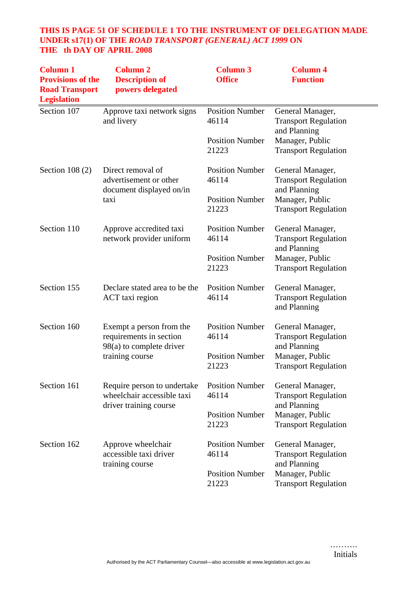# **THIS IS PAGE 51 OF SCHEDULE 1 TO THE INSTRUMENT OF DELEGATION MADE UNDER s17(1) OF THE** *ROAD TRANSPORT (GENERAL) ACT 1999* **ON THE th DAY OF APRIL 2008**

| <b>Column 1</b><br><b>Provisions of the</b><br><b>Road Transport</b><br><b>Legislation</b> | <b>Column 2</b><br><b>Description of</b><br>powers delegated                                         | <b>Column 3</b><br><b>Office</b> | <b>Column 4</b><br><b>Function</b>                              |
|--------------------------------------------------------------------------------------------|------------------------------------------------------------------------------------------------------|----------------------------------|-----------------------------------------------------------------|
| Section 107                                                                                | Approve taxi network signs<br>and livery                                                             | <b>Position Number</b><br>46114  | General Manager,<br><b>Transport Regulation</b><br>and Planning |
|                                                                                            |                                                                                                      | <b>Position Number</b><br>21223  | Manager, Public<br><b>Transport Regulation</b>                  |
| Section $108(2)$                                                                           | Direct removal of<br>advertisement or other<br>document displayed on/in                              | <b>Position Number</b><br>46114  | General Manager,<br><b>Transport Regulation</b><br>and Planning |
|                                                                                            | taxi                                                                                                 | <b>Position Number</b><br>21223  | Manager, Public<br><b>Transport Regulation</b>                  |
| Section 110                                                                                | Approve accredited taxi<br>network provider uniform                                                  | <b>Position Number</b><br>46114  | General Manager,<br><b>Transport Regulation</b><br>and Planning |
|                                                                                            |                                                                                                      | <b>Position Number</b><br>21223  | Manager, Public<br><b>Transport Regulation</b>                  |
| Section 155                                                                                | Declare stated area to be the<br>ACT taxi region                                                     | <b>Position Number</b><br>46114  | General Manager,<br><b>Transport Regulation</b><br>and Planning |
| Section 160                                                                                | Exempt a person from the<br>requirements in section<br>$98(a)$ to complete driver<br>training course | <b>Position Number</b><br>46114  | General Manager,<br><b>Transport Regulation</b>                 |
|                                                                                            |                                                                                                      | <b>Position Number</b><br>21223  | and Planning<br>Manager, Public<br><b>Transport Regulation</b>  |
| Section 161                                                                                | Require person to undertake<br>wheelchair accessible taxi<br>driver training course                  | <b>Position Number</b><br>46114  | General Manager,<br><b>Transport Regulation</b>                 |
|                                                                                            |                                                                                                      | <b>Position Number</b><br>21223  | and Planning<br>Manager, Public<br><b>Transport Regulation</b>  |
| Section 162                                                                                | Approve wheelchair<br>accessible taxi driver                                                         | <b>Position Number</b><br>46114  | General Manager,<br><b>Transport Regulation</b>                 |
|                                                                                            | training course                                                                                      | <b>Position Number</b><br>21223  | and Planning<br>Manager, Public<br><b>Transport Regulation</b>  |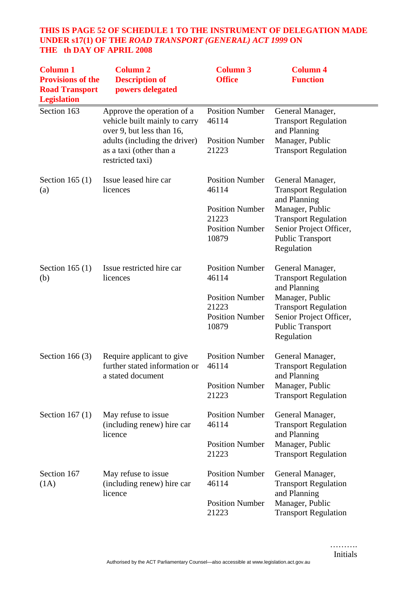# **THIS IS PAGE 52 OF SCHEDULE 1 TO THE INSTRUMENT OF DELEGATION MADE UNDER s17(1) OF THE** *ROAD TRANSPORT (GENERAL) ACT 1999* **ON THE th DAY OF APRIL 2008**

| <b>Column 1</b><br><b>Provisions of the</b><br><b>Road Transport</b><br><b>Legislation</b> | <b>Column 2</b><br><b>Description of</b><br>powers delegated                                                                                                             | <b>Column 3</b><br><b>Office</b>                                                                      | <b>Column 4</b><br><b>Function</b>                                                                                                                                                    |
|--------------------------------------------------------------------------------------------|--------------------------------------------------------------------------------------------------------------------------------------------------------------------------|-------------------------------------------------------------------------------------------------------|---------------------------------------------------------------------------------------------------------------------------------------------------------------------------------------|
| Section 163                                                                                | Approve the operation of a<br>vehicle built mainly to carry<br>over 9, but less than 16,<br>adults (including the driver)<br>as a taxi (other than a<br>restricted taxi) | <b>Position Number</b><br>46114<br><b>Position Number</b><br>21223                                    | General Manager,<br><b>Transport Regulation</b><br>and Planning<br>Manager, Public<br><b>Transport Regulation</b>                                                                     |
| Section 165 $(1)$<br>(a)                                                                   | Issue leased hire car<br>licences                                                                                                                                        | <b>Position Number</b><br>46114<br><b>Position Number</b><br>21223<br><b>Position Number</b><br>10879 | General Manager,<br><b>Transport Regulation</b><br>and Planning<br>Manager, Public<br><b>Transport Regulation</b><br>Senior Project Officer,<br><b>Public Transport</b><br>Regulation |
| Section 165 $(1)$<br>(b)                                                                   | Issue restricted hire car<br>licences                                                                                                                                    | <b>Position Number</b><br>46114<br><b>Position Number</b><br>21223<br><b>Position Number</b><br>10879 | General Manager,<br><b>Transport Regulation</b><br>and Planning<br>Manager, Public<br><b>Transport Regulation</b><br>Senior Project Officer,<br><b>Public Transport</b><br>Regulation |
| Section 166 $(3)$                                                                          | Require applicant to give<br>further stated information or<br>a stated document                                                                                          | <b>Position Number</b><br>46114<br><b>Position Number</b><br>21223                                    | General Manager,<br><b>Transport Regulation</b><br>and Planning<br>Manager, Public<br><b>Transport Regulation</b>                                                                     |
| Section 167 $(1)$                                                                          | May refuse to issue<br>(including renew) hire car<br>licence                                                                                                             | <b>Position Number</b><br>46114<br><b>Position Number</b><br>21223                                    | General Manager,<br><b>Transport Regulation</b><br>and Planning<br>Manager, Public<br><b>Transport Regulation</b>                                                                     |
| Section 167<br>(1A)                                                                        | May refuse to issue<br>(including renew) hire car<br>licence                                                                                                             | <b>Position Number</b><br>46114<br><b>Position Number</b><br>21223                                    | General Manager,<br><b>Transport Regulation</b><br>and Planning<br>Manager, Public<br><b>Transport Regulation</b>                                                                     |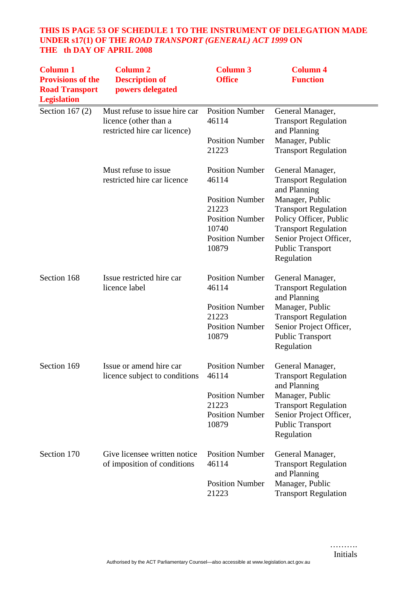# **THIS IS PAGE 53 OF SCHEDULE 1 TO THE INSTRUMENT OF DELEGATION MADE UNDER s17(1) OF THE** *ROAD TRANSPORT (GENERAL) ACT 1999* **ON THE th DAY OF APRIL 2008**

| <b>Column 1</b><br><b>Provisions of the</b><br><b>Road Transport</b><br><b>Legislation</b> | <b>Column 2</b><br><b>Description of</b><br>powers delegated                           | <b>Column 3</b><br><b>Office</b>                                                                                                         | <b>Column 4</b><br><b>Function</b>                                                                                                                                                                                               |
|--------------------------------------------------------------------------------------------|----------------------------------------------------------------------------------------|------------------------------------------------------------------------------------------------------------------------------------------|----------------------------------------------------------------------------------------------------------------------------------------------------------------------------------------------------------------------------------|
| Section 167 $(2)$                                                                          | Must refuse to issue hire car<br>licence (other than a<br>restricted hire car licence) | <b>Position Number</b><br>46114<br><b>Position Number</b><br>21223                                                                       | General Manager,<br><b>Transport Regulation</b><br>and Planning<br>Manager, Public<br><b>Transport Regulation</b>                                                                                                                |
|                                                                                            | Must refuse to issue.<br>restricted hire car licence                                   | <b>Position Number</b><br>46114<br><b>Position Number</b><br>21223<br><b>Position Number</b><br>10740<br><b>Position Number</b><br>10879 | General Manager,<br><b>Transport Regulation</b><br>and Planning<br>Manager, Public<br><b>Transport Regulation</b><br>Policy Officer, Public<br><b>Transport Regulation</b><br>Senior Project Officer,<br><b>Public Transport</b> |
| Section 168                                                                                | Issue restricted hire car<br>licence label                                             | <b>Position Number</b><br>46114<br><b>Position Number</b><br>21223<br><b>Position Number</b><br>10879                                    | Regulation<br>General Manager,<br><b>Transport Regulation</b><br>and Planning<br>Manager, Public<br><b>Transport Regulation</b><br>Senior Project Officer,<br><b>Public Transport</b><br>Regulation                              |
| Section 169                                                                                | Issue or amend hire car<br>licence subject to conditions                               | <b>Position Number</b><br>46114<br><b>Position Number</b><br>21223<br><b>Position Number</b><br>10879                                    | General Manager,<br><b>Transport Regulation</b><br>and Planning<br>Manager, Public<br><b>Transport Regulation</b><br>Senior Project Officer,<br><b>Public Transport</b><br>Regulation                                            |
| Section 170                                                                                | Give licensee written notice<br>of imposition of conditions                            | <b>Position Number</b><br>46114<br><b>Position Number</b><br>21223                                                                       | General Manager,<br><b>Transport Regulation</b><br>and Planning<br>Manager, Public<br><b>Transport Regulation</b>                                                                                                                |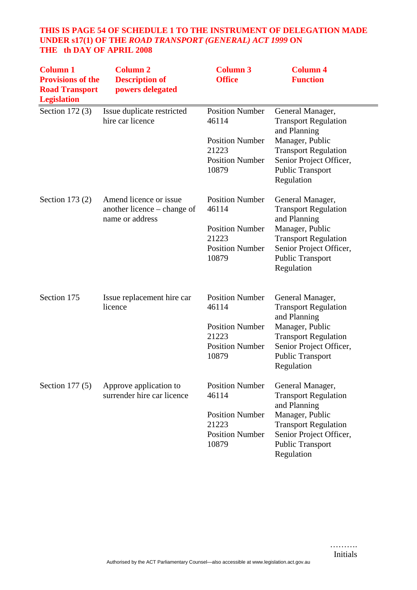# **THIS IS PAGE 54 OF SCHEDULE 1 TO THE INSTRUMENT OF DELEGATION MADE UNDER s17(1) OF THE** *ROAD TRANSPORT (GENERAL) ACT 1999* **ON THE th DAY OF APRIL 2008**

| <b>Column 1</b><br><b>Provisions of the</b><br><b>Road Transport</b><br><b>Legislation</b> | <b>Column 2</b><br><b>Description of</b><br>powers delegated             | <b>Column 3</b><br><b>Office</b>                                   | <b>Column 4</b><br><b>Function</b>                                                                                 |
|--------------------------------------------------------------------------------------------|--------------------------------------------------------------------------|--------------------------------------------------------------------|--------------------------------------------------------------------------------------------------------------------|
| Section 172 (3)                                                                            | Issue duplicate restricted<br>hire car licence                           | <b>Position Number</b><br>46114<br><b>Position Number</b><br>21223 | General Manager,<br><b>Transport Regulation</b><br>and Planning<br>Manager, Public                                 |
|                                                                                            |                                                                          | <b>Position Number</b><br>10879                                    | <b>Transport Regulation</b><br>Senior Project Officer,<br><b>Public Transport</b><br>Regulation                    |
| Section 173 $(2)$                                                                          | Amend licence or issue<br>another licence – change of<br>name or address | <b>Position Number</b><br>46114                                    | General Manager,<br><b>Transport Regulation</b><br>and Planning                                                    |
|                                                                                            |                                                                          | <b>Position Number</b><br>21223<br><b>Position Number</b><br>10879 | Manager, Public<br><b>Transport Regulation</b><br>Senior Project Officer,<br><b>Public Transport</b><br>Regulation |
| Section 175                                                                                | Issue replacement hire car<br>licence                                    | <b>Position Number</b><br>46114                                    | General Manager,<br><b>Transport Regulation</b><br>and Planning                                                    |
|                                                                                            |                                                                          | <b>Position Number</b><br>21223<br><b>Position Number</b><br>10879 | Manager, Public<br><b>Transport Regulation</b><br>Senior Project Officer,<br><b>Public Transport</b><br>Regulation |
| Section $177(5)$                                                                           | Approve application to<br>surrender hire car licence                     | <b>Position Number</b><br>46114                                    | General Manager,<br><b>Transport Regulation</b><br>and Planning                                                    |
|                                                                                            |                                                                          | <b>Position Number</b><br>21223<br><b>Position Number</b><br>10879 | Manager, Public<br><b>Transport Regulation</b><br>Senior Project Officer,<br><b>Public Transport</b><br>Regulation |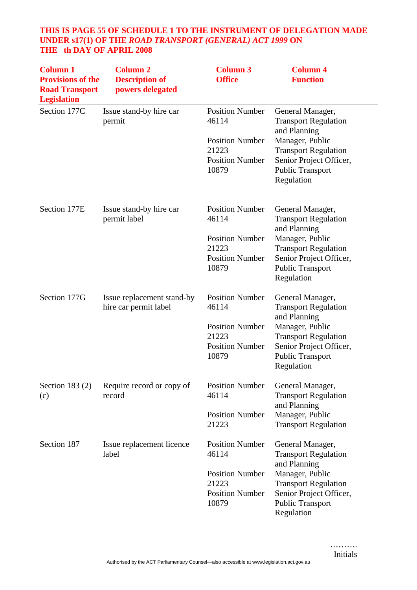# **THIS IS PAGE 55 OF SCHEDULE 1 TO THE INSTRUMENT OF DELEGATION MADE UNDER s17(1) OF THE** *ROAD TRANSPORT (GENERAL) ACT 1999* **ON THE th DAY OF APRIL 2008**

| <b>Column 1</b><br><b>Provisions of the</b><br><b>Road Transport</b><br><b>Legislation</b> | <b>Column 2</b><br><b>Description of</b><br>powers delegated | <b>Column 3</b><br><b>Office</b>                                                                      | <b>Column 4</b><br><b>Function</b>                                                                                                                                                    |
|--------------------------------------------------------------------------------------------|--------------------------------------------------------------|-------------------------------------------------------------------------------------------------------|---------------------------------------------------------------------------------------------------------------------------------------------------------------------------------------|
| Section 177C                                                                               | Issue stand-by hire car<br>permit                            | <b>Position Number</b><br>46114<br><b>Position Number</b><br>21223<br><b>Position Number</b><br>10879 | General Manager,<br><b>Transport Regulation</b><br>and Planning<br>Manager, Public<br><b>Transport Regulation</b><br>Senior Project Officer,<br><b>Public Transport</b><br>Regulation |
| Section 177E                                                                               | Issue stand-by hire car<br>permit label                      | <b>Position Number</b><br>46114<br><b>Position Number</b><br>21223<br><b>Position Number</b><br>10879 | General Manager,<br><b>Transport Regulation</b><br>and Planning<br>Manager, Public<br><b>Transport Regulation</b><br>Senior Project Officer,<br><b>Public Transport</b><br>Regulation |
| Section 177G                                                                               | Issue replacement stand-by<br>hire car permit label          | <b>Position Number</b><br>46114<br><b>Position Number</b><br>21223<br><b>Position Number</b><br>10879 | General Manager,<br><b>Transport Regulation</b><br>and Planning<br>Manager, Public<br><b>Transport Regulation</b><br>Senior Project Officer,<br><b>Public Transport</b><br>Regulation |
| Section 183 $(2)$<br>(c)                                                                   | Require record or copy of<br>record                          | <b>Position Number</b><br>46114<br><b>Position Number</b><br>21223                                    | General Manager,<br><b>Transport Regulation</b><br>and Planning<br>Manager, Public<br><b>Transport Regulation</b>                                                                     |
| Section 187                                                                                | Issue replacement licence<br>label                           | <b>Position Number</b><br>46114<br><b>Position Number</b><br>21223<br><b>Position Number</b><br>10879 | General Manager,<br><b>Transport Regulation</b><br>and Planning<br>Manager, Public<br><b>Transport Regulation</b><br>Senior Project Officer,<br><b>Public Transport</b><br>Regulation |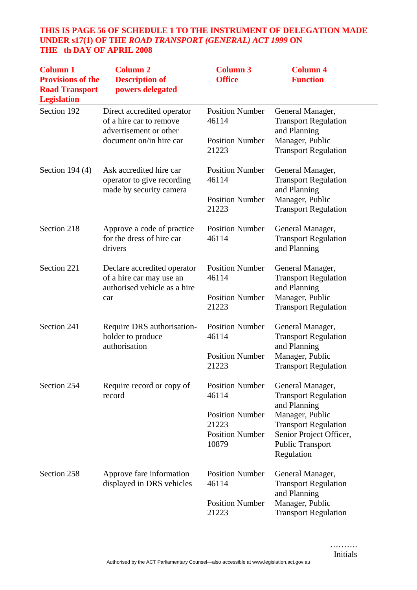# **THIS IS PAGE 56 OF SCHEDULE 1 TO THE INSTRUMENT OF DELEGATION MADE UNDER s17(1) OF THE** *ROAD TRANSPORT (GENERAL) ACT 1999* **ON THE th DAY OF APRIL 2008**

| <b>Column 1</b><br><b>Provisions of the</b><br><b>Road Transport</b><br><b>Legislation</b> | <b>Column 2</b><br><b>Description of</b><br>powers delegated                                   | <b>Column 3</b><br><b>Office</b> | <b>Column 4</b><br><b>Function</b>                               |
|--------------------------------------------------------------------------------------------|------------------------------------------------------------------------------------------------|----------------------------------|------------------------------------------------------------------|
| Section 192                                                                                | Direct accredited operator<br>of a hire car to remove<br>advertisement or other                | <b>Position Number</b><br>46114  | General Manager,<br><b>Transport Regulation</b><br>and Planning  |
|                                                                                            | document on/in hire car                                                                        | <b>Position Number</b><br>21223  | Manager, Public<br><b>Transport Regulation</b>                   |
| Section $194(4)$                                                                           | Ask accredited hire car<br>operator to give recording<br>made by security camera               | <b>Position Number</b><br>46114  | General Manager,<br><b>Transport Regulation</b><br>and Planning  |
|                                                                                            |                                                                                                | <b>Position Number</b><br>21223  | Manager, Public<br><b>Transport Regulation</b>                   |
| Section 218                                                                                | Approve a code of practice<br>for the dress of hire car<br>drivers                             | <b>Position Number</b><br>46114  | General Manager,<br><b>Transport Regulation</b><br>and Planning  |
| Section 221                                                                                | Declare accredited operator<br>of a hire car may use an<br>authorised vehicle as a hire<br>car | <b>Position Number</b><br>46114  | General Manager,<br><b>Transport Regulation</b><br>and Planning  |
|                                                                                            |                                                                                                | <b>Position Number</b><br>21223  | Manager, Public<br><b>Transport Regulation</b>                   |
| Section 241                                                                                | Require DRS authorisation-<br>holder to produce<br>authorisation                               | <b>Position Number</b><br>46114  | General Manager,<br><b>Transport Regulation</b>                  |
|                                                                                            |                                                                                                | <b>Position Number</b><br>21223  | and Planning<br>Manager, Public<br><b>Transport Regulation</b>   |
| Section 254                                                                                | Require record or copy of<br>record                                                            | <b>Position Number</b><br>46114  | General Manager,<br><b>Transport Regulation</b>                  |
|                                                                                            |                                                                                                | <b>Position Number</b><br>21223  | and Planning<br>Manager, Public<br><b>Transport Regulation</b>   |
|                                                                                            |                                                                                                | <b>Position Number</b><br>10879  | Senior Project Officer,<br><b>Public Transport</b><br>Regulation |
| Section 258                                                                                | Approve fare information<br>displayed in DRS vehicles                                          | <b>Position Number</b><br>46114  | General Manager,<br><b>Transport Regulation</b><br>and Planning  |
|                                                                                            |                                                                                                | <b>Position Number</b><br>21223  | Manager, Public<br><b>Transport Regulation</b>                   |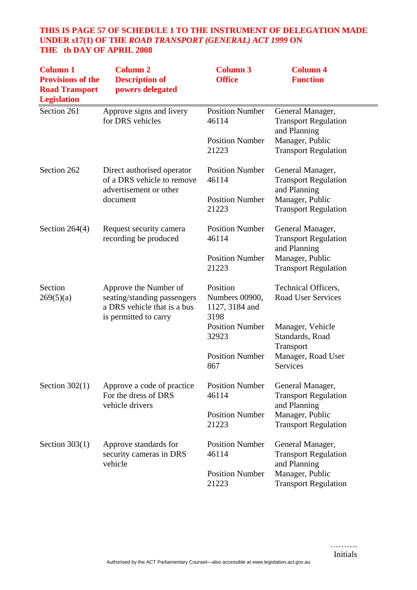# **THIS IS PAGE 57 OF SCHEDULE 1 TO THE INSTRUMENT OF DELEGATION MADE UNDER s17(1) OF THE** *ROAD TRANSPORT (GENERAL) ACT 1999* **ON THE th DAY OF APRIL 2008**

| <b>Column 1</b><br><b>Provisions of the</b><br><b>Road Transport</b><br><b>Legislation</b> | <b>Column 2</b><br><b>Description of</b><br>powers delegated                                                 | <b>Column 3</b><br><b>Office</b>                     | <b>Column 4</b><br><b>Function</b>                              |
|--------------------------------------------------------------------------------------------|--------------------------------------------------------------------------------------------------------------|------------------------------------------------------|-----------------------------------------------------------------|
| Section 261                                                                                | Approve signs and livery<br>for DRS vehicles                                                                 | <b>Position Number</b><br>46114                      | General Manager,<br><b>Transport Regulation</b><br>and Planning |
|                                                                                            |                                                                                                              | <b>Position Number</b><br>21223                      | Manager, Public<br><b>Transport Regulation</b>                  |
| Section 262                                                                                | Direct authorised operator<br>of a DRS vehicle to remove<br>advertisement or other                           | <b>Position Number</b><br>46114                      | General Manager,<br><b>Transport Regulation</b><br>and Planning |
|                                                                                            | document                                                                                                     | <b>Position Number</b><br>21223                      | Manager, Public<br><b>Transport Regulation</b>                  |
| Section $264(4)$                                                                           | Request security camera<br>recording be produced                                                             | <b>Position Number</b><br>46114                      | General Manager,<br><b>Transport Regulation</b><br>and Planning |
|                                                                                            |                                                                                                              | <b>Position Number</b><br>21223                      | Manager, Public<br><b>Transport Regulation</b>                  |
| Section<br>269(5)(a)                                                                       | Approve the Number of<br>seating/standing passengers<br>a DRS vehicle that is a bus<br>is permitted to carry | Position<br>Numbers 00900,<br>1127, 3184 and<br>3198 | Technical Officers,<br><b>Road User Services</b>                |
|                                                                                            |                                                                                                              | <b>Position Number</b><br>32923                      | Manager, Vehicle<br>Standards, Road                             |
|                                                                                            |                                                                                                              | <b>Position Number</b><br>867                        | Transport<br>Manager, Road User<br>Services                     |
| Section $302(1)$                                                                           | Approve a code of practice<br>For the dress of DRS<br>vehicle drivers                                        | <b>Position Number</b><br>46114                      | General Manager,<br><b>Transport Regulation</b>                 |
|                                                                                            |                                                                                                              | <b>Position Number</b><br>21223                      | and Planning<br>Manager, Public<br><b>Transport Regulation</b>  |
| Section $303(1)$                                                                           | Approve standards for<br>security cameras in DRS<br>vehicle                                                  | <b>Position Number</b><br>46114                      | General Manager,<br><b>Transport Regulation</b>                 |
|                                                                                            |                                                                                                              | <b>Position Number</b><br>21223                      | and Planning<br>Manager, Public<br><b>Transport Regulation</b>  |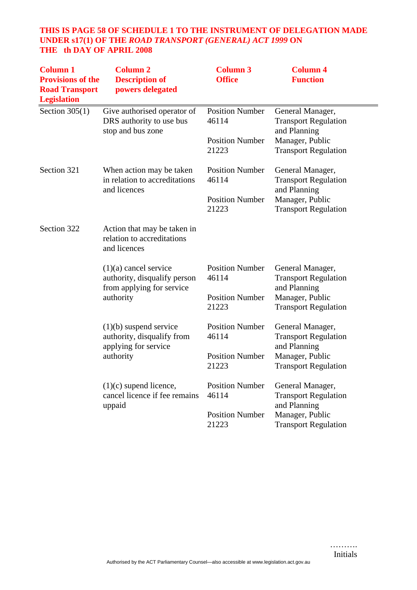# **THIS IS PAGE 58 OF SCHEDULE 1 TO THE INSTRUMENT OF DELEGATION MADE UNDER s17(1) OF THE** *ROAD TRANSPORT (GENERAL) ACT 1999* **ON THE th DAY OF APRIL 2008**

| <b>Column 1</b><br><b>Provisions of the</b><br><b>Road Transport</b><br><b>Legislation</b> | <b>Column 2</b><br><b>Description of</b><br>powers delegated                                      | <b>Column 3</b><br><b>Office</b> | <b>Column 4</b><br><b>Function</b>                              |
|--------------------------------------------------------------------------------------------|---------------------------------------------------------------------------------------------------|----------------------------------|-----------------------------------------------------------------|
| Section $305(1)$                                                                           | Give authorised operator of<br>DRS authority to use bus<br>stop and bus zone                      | <b>Position Number</b><br>46114  | General Manager,<br><b>Transport Regulation</b><br>and Planning |
|                                                                                            |                                                                                                   | <b>Position Number</b><br>21223  | Manager, Public<br><b>Transport Regulation</b>                  |
| Section 321                                                                                | When action may be taken<br>in relation to accreditations<br>and licences                         | <b>Position Number</b><br>46114  | General Manager,<br><b>Transport Regulation</b><br>and Planning |
|                                                                                            |                                                                                                   | <b>Position Number</b><br>21223  | Manager, Public<br><b>Transport Regulation</b>                  |
| Section 322                                                                                | Action that may be taken in<br>relation to accreditations<br>and licences                         |                                  |                                                                 |
|                                                                                            | $(1)(a)$ cancel service<br>authority, disqualify person<br>from applying for service<br>authority | <b>Position Number</b><br>46114  | General Manager,<br><b>Transport Regulation</b><br>and Planning |
|                                                                                            |                                                                                                   | <b>Position Number</b><br>21223  | Manager, Public<br><b>Transport Regulation</b>                  |
|                                                                                            | $(1)(b)$ suspend service<br>authority, disqualify from                                            | <b>Position Number</b><br>46114  | General Manager,<br><b>Transport Regulation</b>                 |
|                                                                                            | applying for service<br>authority                                                                 | <b>Position Number</b><br>21223  | and Planning<br>Manager, Public<br><b>Transport Regulation</b>  |
|                                                                                            | $(1)(c)$ supend licence,<br>cancel licence if fee remains                                         | <b>Position Number</b><br>46114  | General Manager,<br><b>Transport Regulation</b>                 |
|                                                                                            | uppaid                                                                                            | <b>Position Number</b><br>21223  | and Planning<br>Manager, Public<br><b>Transport Regulation</b>  |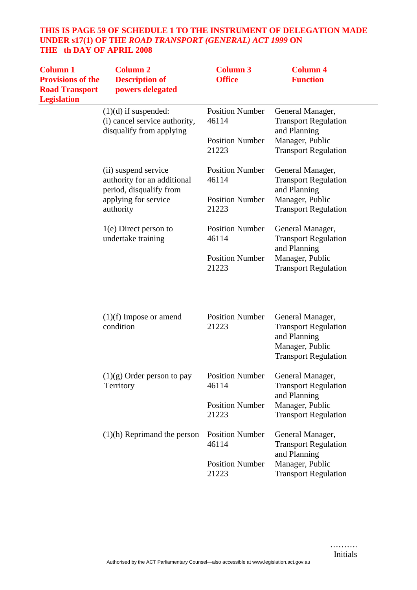# **THIS IS PAGE 59 OF SCHEDULE 1 TO THE INSTRUMENT OF DELEGATION MADE UNDER s17(1) OF THE** *ROAD TRANSPORT (GENERAL) ACT 1999* **ON THE th DAY OF APRIL 2008**

| <b>Column 1</b><br><b>Provisions of the</b><br><b>Road Transport</b><br><b>Legislation</b> | <b>Column 2</b><br><b>Description of</b><br>powers delegated                        | <b>Column 3</b><br><b>Office</b> | <b>Column 4</b><br><b>Function</b>                                                                                |
|--------------------------------------------------------------------------------------------|-------------------------------------------------------------------------------------|----------------------------------|-------------------------------------------------------------------------------------------------------------------|
|                                                                                            | $(1)(d)$ if suspended:<br>(i) cancel service authority,<br>disqualify from applying | <b>Position Number</b><br>46114  | General Manager,<br><b>Transport Regulation</b><br>and Planning                                                   |
|                                                                                            |                                                                                     | <b>Position Number</b><br>21223  | Manager, Public<br><b>Transport Regulation</b>                                                                    |
|                                                                                            | (ii) suspend service<br>authority for an additional<br>period, disqualify from      | <b>Position Number</b><br>46114  | General Manager,<br><b>Transport Regulation</b><br>and Planning                                                   |
|                                                                                            | applying for service<br>authority                                                   | <b>Position Number</b><br>21223  | Manager, Public<br><b>Transport Regulation</b>                                                                    |
|                                                                                            | $1(e)$ Direct person to<br>undertake training                                       | <b>Position Number</b><br>46114  | General Manager,<br><b>Transport Regulation</b><br>and Planning                                                   |
|                                                                                            |                                                                                     | <b>Position Number</b><br>21223  | Manager, Public<br><b>Transport Regulation</b>                                                                    |
|                                                                                            | $(1)(f)$ Impose or amend<br>condition                                               | <b>Position Number</b><br>21223  | General Manager,<br><b>Transport Regulation</b><br>and Planning<br>Manager, Public<br><b>Transport Regulation</b> |
|                                                                                            | $(1)(g)$ Order person to pay<br>Territory                                           | <b>Position Number</b><br>46114  | General Manager.<br><b>Transport Regulation</b><br>and Planning                                                   |
|                                                                                            |                                                                                     | <b>Position Number</b><br>21223  | Manager, Public<br><b>Transport Regulation</b>                                                                    |
|                                                                                            | $(1)(h)$ Reprimand the person                                                       | <b>Position Number</b><br>46114  | General Manager,<br><b>Transport Regulation</b><br>and Planning                                                   |
|                                                                                            |                                                                                     | <b>Position Number</b><br>21223  | Manager, Public<br><b>Transport Regulation</b>                                                                    |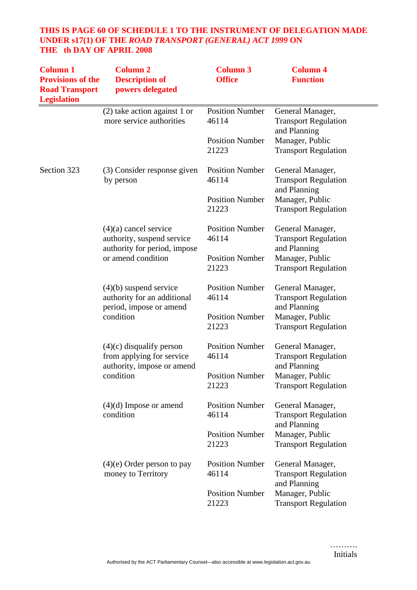# **THIS IS PAGE 60 OF SCHEDULE 1 TO THE INSTRUMENT OF DELEGATION MADE UNDER s17(1) OF THE** *ROAD TRANSPORT (GENERAL) ACT 1999* **ON THE th DAY OF APRIL 2008**

| <b>Column 1</b><br><b>Provisions of the</b><br><b>Road Transport</b><br><b>Legislation</b> | <b>Column 2</b><br><b>Description of</b><br>powers delegated                                                | <b>Column 3</b><br><b>Office</b> | <b>Column 4</b><br><b>Function</b>                              |
|--------------------------------------------------------------------------------------------|-------------------------------------------------------------------------------------------------------------|----------------------------------|-----------------------------------------------------------------|
|                                                                                            | $(2)$ take action against 1 or<br>more service authorities                                                  | <b>Position Number</b><br>46114  | General Manager,<br><b>Transport Regulation</b><br>and Planning |
|                                                                                            |                                                                                                             | <b>Position Number</b><br>21223  | Manager, Public<br><b>Transport Regulation</b>                  |
| Section 323                                                                                | (3) Consider response given<br>by person                                                                    | <b>Position Number</b><br>46114  | General Manager,<br><b>Transport Regulation</b><br>and Planning |
|                                                                                            |                                                                                                             | <b>Position Number</b><br>21223  | Manager, Public<br><b>Transport Regulation</b>                  |
|                                                                                            | $(4)(a)$ cancel service<br>authority, suspend service<br>authority for period, impose<br>or amend condition | <b>Position Number</b><br>46114  | General Manager,<br><b>Transport Regulation</b><br>and Planning |
|                                                                                            |                                                                                                             | <b>Position Number</b><br>21223  | Manager, Public<br><b>Transport Regulation</b>                  |
|                                                                                            | $(4)(b)$ suspend service<br>authority for an additional<br>period, impose or amend<br>condition             | <b>Position Number</b><br>46114  | General Manager,<br><b>Transport Regulation</b><br>and Planning |
|                                                                                            |                                                                                                             | <b>Position Number</b><br>21223  | Manager, Public<br><b>Transport Regulation</b>                  |
|                                                                                            | $(4)(c)$ disqualify person<br>from applying for service<br>authority, impose or amend<br>condition          | <b>Position Number</b><br>46114  | General Manager,<br><b>Transport Regulation</b><br>and Planning |
|                                                                                            |                                                                                                             | <b>Position Number</b><br>21223  | Manager, Public<br><b>Transport Regulation</b>                  |
|                                                                                            | $(4)(d)$ Impose or amend<br>condition                                                                       | <b>Position Number</b><br>46114  | General Manager,<br><b>Transport Regulation</b><br>and Planning |
|                                                                                            |                                                                                                             | <b>Position Number</b><br>21223  | Manager, Public<br><b>Transport Regulation</b>                  |
|                                                                                            | $(4)(e)$ Order person to pay<br>money to Territory                                                          | <b>Position Number</b><br>46114  | General Manager,<br><b>Transport Regulation</b><br>and Planning |
|                                                                                            |                                                                                                             | <b>Position Number</b><br>21223  | Manager, Public<br><b>Transport Regulation</b>                  |